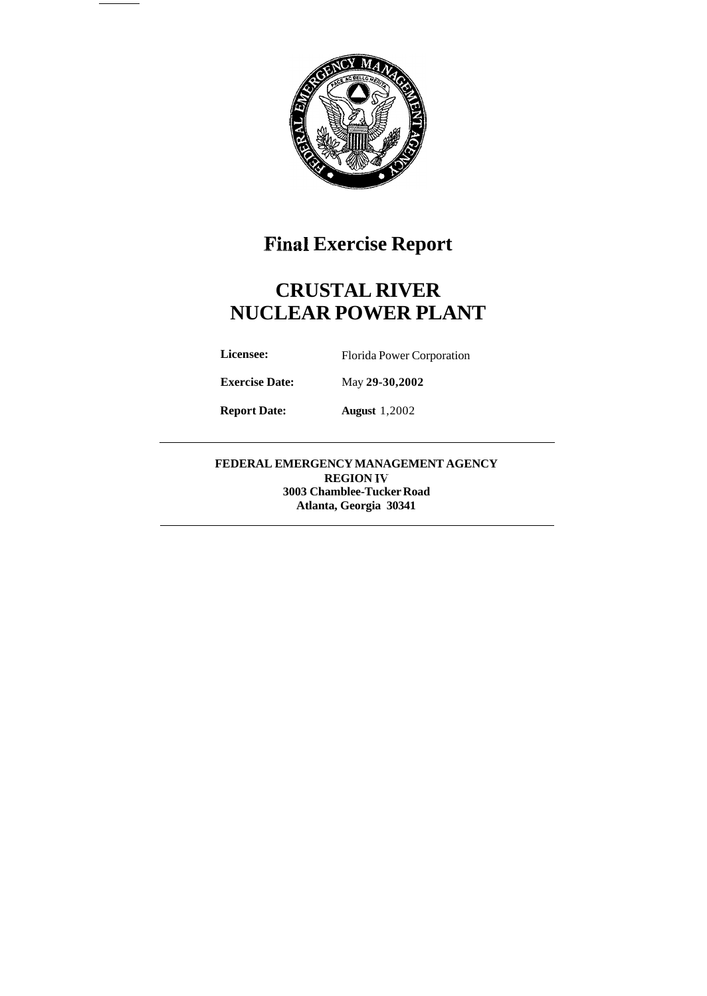

# **Final Exercise Report**

# **CRUSTAL RIVER NUCLEAR POWER PLANT**

Licensee: Florida Power Corporation

**Exercise Date:** May **29-30,2002** 

**Report Date: August** 1,2002

**FEDERAL EMERGENCY MANAGEMENT AGENCY REGION IV 3003 Chamblee-Tucker Road Atlanta, Georgia 30341**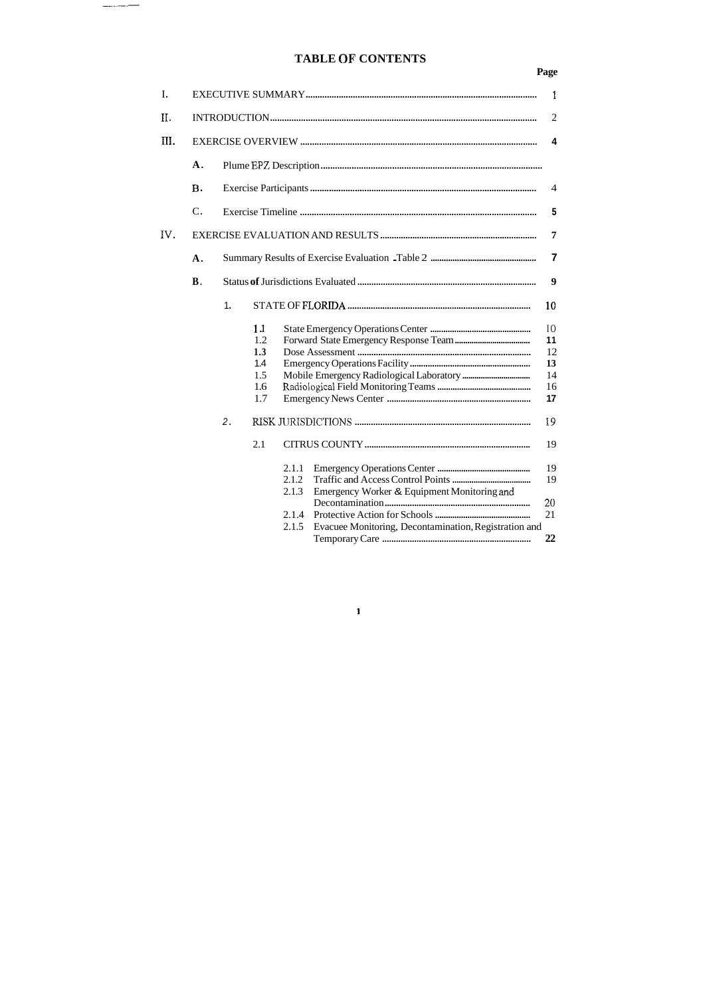## **TABLE OF CONTENTS**

 $\begin{tabular}{ll} \hline \multicolumn{3}{l}{} & \multicolumn{3}{l}{} & \multicolumn{3}{l}{} \\ \multicolumn{3}{l}{} & \multicolumn{3}{l}{} & \multicolumn{3}{l}{} \\ \multicolumn{3}{l}{} & \multicolumn{3}{l}{} & \multicolumn{3}{l}{} \\ \multicolumn{3}{l}{} & \multicolumn{3}{l}{} & \multicolumn{3}{l}{} \\ \multicolumn{3}{l}{} & \multicolumn{3}{l}{} & \multicolumn{3}{l}{} \\ \multicolumn{3}{l}{} & \multicolumn{3}{l}{} & \multicolumn{3}{l}{} \\ \multicolumn{3}{l}{} &$ 

## **Page**

| I.                     |                  | 1              |                                       |                                           |                                                                                                      |                                        |  |  |  |  |  |
|------------------------|------------------|----------------|---------------------------------------|-------------------------------------------|------------------------------------------------------------------------------------------------------|----------------------------------------|--|--|--|--|--|
| Η.                     |                  | $\overline{2}$ |                                       |                                           |                                                                                                      |                                        |  |  |  |  |  |
| $\overline{\rm III}$ . |                  | 4              |                                       |                                           |                                                                                                      |                                        |  |  |  |  |  |
|                        | $\mathbf{A}$ .   |                |                                       |                                           |                                                                                                      |                                        |  |  |  |  |  |
|                        | <b>B.</b>        |                |                                       |                                           |                                                                                                      |                                        |  |  |  |  |  |
|                        | $\mathcal{C}$ .  |                |                                       |                                           |                                                                                                      |                                        |  |  |  |  |  |
| IV.                    |                  |                |                                       |                                           |                                                                                                      |                                        |  |  |  |  |  |
|                        | $\mathbf{A}$ .   |                |                                       |                                           |                                                                                                      |                                        |  |  |  |  |  |
|                        | <b>B</b> .       |                |                                       |                                           |                                                                                                      |                                        |  |  |  |  |  |
|                        | 1.               |                |                                       |                                           |                                                                                                      |                                        |  |  |  |  |  |
|                        |                  |                | 11<br>1.2<br>1.3<br>1.4<br>1.5<br>1.6 |                                           |                                                                                                      | 10<br>11<br>12<br>13<br>14<br>16<br>17 |  |  |  |  |  |
|                        | 1.7<br>2.<br>2.1 |                |                                       |                                           |                                                                                                      |                                        |  |  |  |  |  |
|                        |                  |                |                                       | 2.1.1<br>2.1.2<br>2.1.3<br>2.1.4<br>2.1.5 | Emergency Worker & Equipment Monitoring and<br>Evacuee Monitoring, Decontamination, Registration and | 19<br>19<br>20<br>21<br>22             |  |  |  |  |  |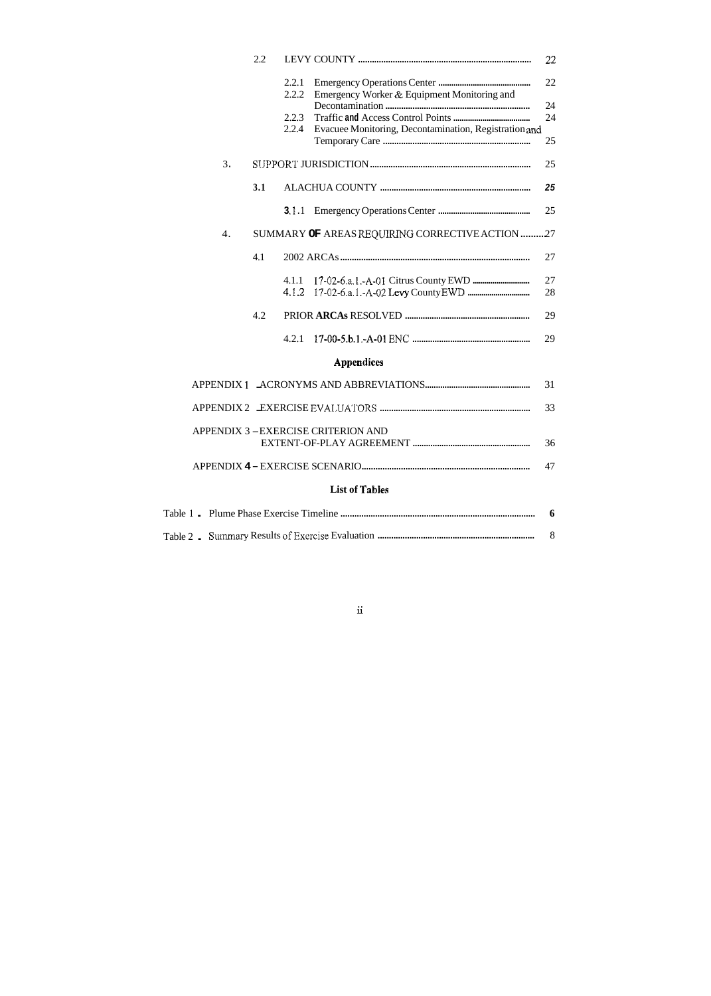|                                         | 2.2 |                |                                                       | 22       |  |
|-----------------------------------------|-----|----------------|-------------------------------------------------------|----------|--|
|                                         |     | 2.2.1<br>2.2.2 | Emergency Worker & Equipment Monitoring and           | 22       |  |
|                                         |     | 2.2.3          |                                                       | 24<br>24 |  |
|                                         |     | 2.2.4          | Evacuee Monitoring, Decontamination, Registration and | 25       |  |
| 3.                                      |     |                |                                                       | 25       |  |
|                                         | 3.1 |                |                                                       | 25       |  |
|                                         |     | 31.1           |                                                       | 25       |  |
| 4.                                      |     |                | SUMMARY OF AREAS REQUIRING CORRECTIVE ACTION 27       |          |  |
|                                         | 4.1 |                |                                                       | 27       |  |
|                                         |     | 4.1.1<br>4.1.2 |                                                       | 27<br>28 |  |
|                                         | 4.2 |                |                                                       | 29       |  |
|                                         |     | 4.2.1          |                                                       | 29       |  |
|                                         |     |                | <b>Appendices</b>                                     |          |  |
|                                         |     |                |                                                       | 31       |  |
|                                         |     |                |                                                       | 33       |  |
| APPENDIX 3-EXERCISE CRITERION AND<br>36 |     |                |                                                       |          |  |
| 47                                      |     |                |                                                       |          |  |
| <b>List of Tables</b>                   |     |                |                                                       |          |  |
| 6                                       |     |                |                                                       |          |  |
|                                         |     |                |                                                       | 8        |  |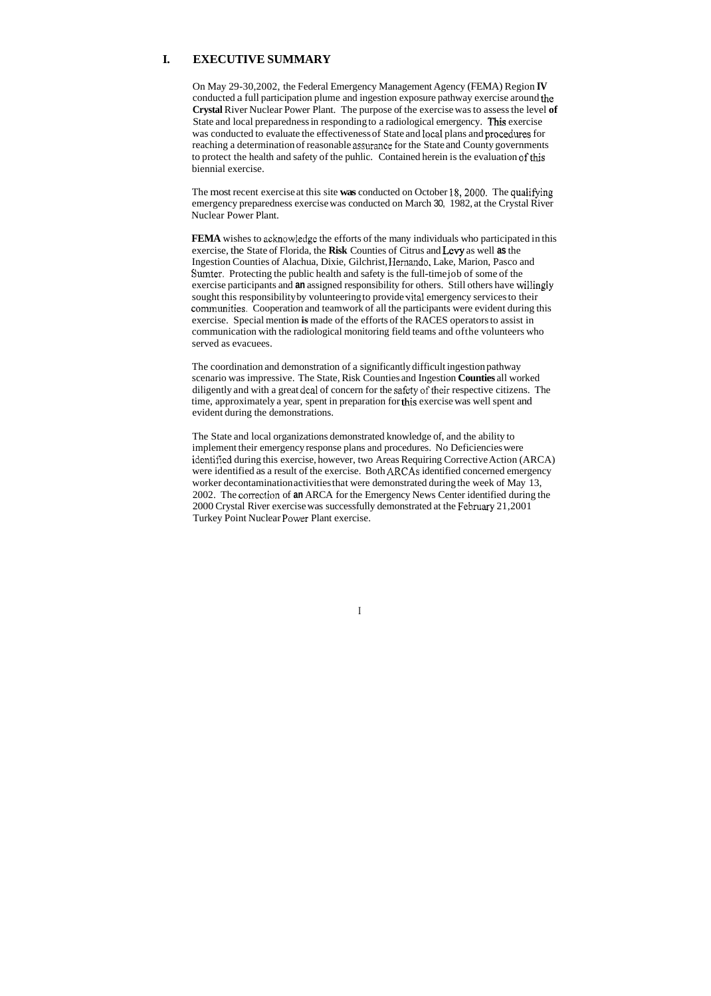### **I. EXECUTIVE SUMMARY**

On May 29-30,2002, the Federal Emergency Management Agency (FEMA) Region **IV**  conducted a full participation plume and ingestion exposure pathway exercise around the **Crystal** River Nuclear Power Plant. The purpose of the exercise was to assess the level **of**  State and local preparedness in responding to a radiological emergency. **This** exercise was conducted to evaluate the effectiveness of State and local plans and procedures for reaching a determination of reasonable assurance for the State and County governments to protect the health and safety of the puhlic. Contained herein is the evaluation of this biennial exercise.

The most recent exercise at this site **was** conducted on October 18,2080. The qualifying emergency preparedness exercise was conducted on March 30, 1982, at the Crystal River Nuclear Power Plant.

**FEMA** wishes to acknowledge the efforts of the many individuals who participated in this exercise, the State of Florida, the **Risk** Counties of Citrus and Levy as well **as** the Ingestion Counties of Alachua, Dixie, Gilchrist, Hemando. Lake, Marion, Pasco and Sumter. Protecting the public health and safety is the full-time job of some of the exercise participants and **an** assigned responsibility for others. Still others have wiilingly sought this responsibility by volunteering to provide vital emergency services to their comnunities. Cooperation and teamwork of all the participants were evident during this exercise. Special mention **is** made of the efforts of the RACES operators to assist in communication with the radiological monitoring field teams and ofthe volunteers who served as evacuees.

The State and local organizations demonstrated knowledge of, and the ability to implement their emergency response plans and procedures. No Deficiencies were identifled during this exercise, however, two Areas Requiring Corrective Action (ARCA) were identified as a result of the exercise. Both **ARCAs** identified concerned emergency worker decontamination activities that were demonstrated during the week of May 13, 2002. The correction of **an** ARCA for the Emergency News Center identified during the 2000 Crystal River exercise was successfully demonstrated at the February 21,2001 Turkey Point Nuclear Power Plant exercise.

The coordination and demonstration of a significantly difficult ingestion pathway scenario was impressive. The State, Risk Counties and Ingestion **Counties** all worked diligently and with a great deal of concern for the safety of their respective citizens. The time, approximately a year, spent in preparation for this exercise was well spent and evident during the demonstrations.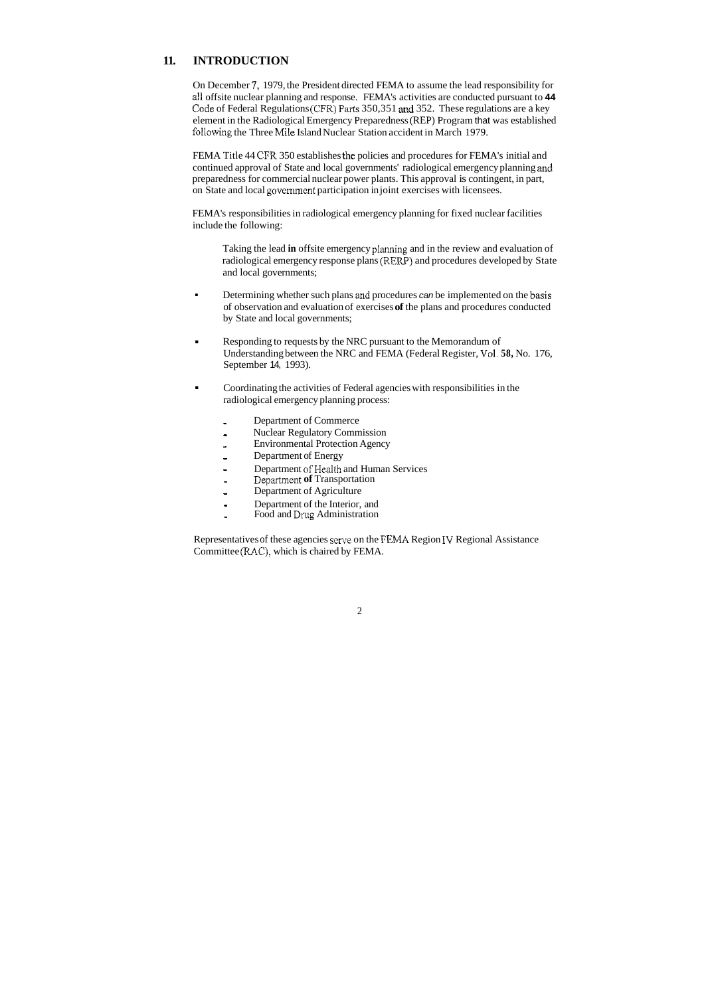### **11. INTRODUCTION**

On December **7,** 1979, the President directed FEMA to assume the lead responsibility for all offsite nuclear planning and response. FEMA's activities are conducted pursuant to **44**  Code of Federal Regulations (CFR) Parts  $350,351$  and  $352$ . These regulations are a key element in the Radiological Emergency Preparedness (REP) Program that was established following the Three Mile Island Nuclear Station accident in March 1979.

FEMA Title 44 CFR 350 establishes the policies and procedures for FEMA's initial and continued approval of State and local governments' radiological emergency planning **and**  preparedness for commercial nuclear power plants. This approval is contingent, in part, on State and local govenunent participation in joint exercises with licensees.

FEMA's responsibilities in radiological emergency planning for fixed nuclear facilities include the following:

Taking the lead **in** offsite emergency planning and in the review and evaluation of radiological emergency response plans (RERP) and procedures developed by State and local governments;

- **Example 1** Determining whether such plans and procedures *can* be implemented on the basis of observation and evaluation of exercises **of** the plans and procedures conducted by State and local governments;
- **Example 1** Responding to requests by the NRC pursuant to the Memorandum of Understanding between the NRC and FEMA (Federal Register, Vol. **58,** No. 176, September 14, 1993).
- **EXECUTE:** Coordinating the activities of Federal agencies with responsibilities in the radiological emergency planning process:
	- Department of Commerce
	- Nuclear Regulatory Commission
	- Environmental Protection Agency
	- Department of Energy
	- Department of Health and Human Services -
	- Departnient **of** Transportation
	- Department of Agriculture
	- Department of the Interior, and -
	- Food and Drug Administration

Representatives of these agencies serve on the FEMA Region **IV** Regional Assistance Committee (RAC). which is chaired by FEMA.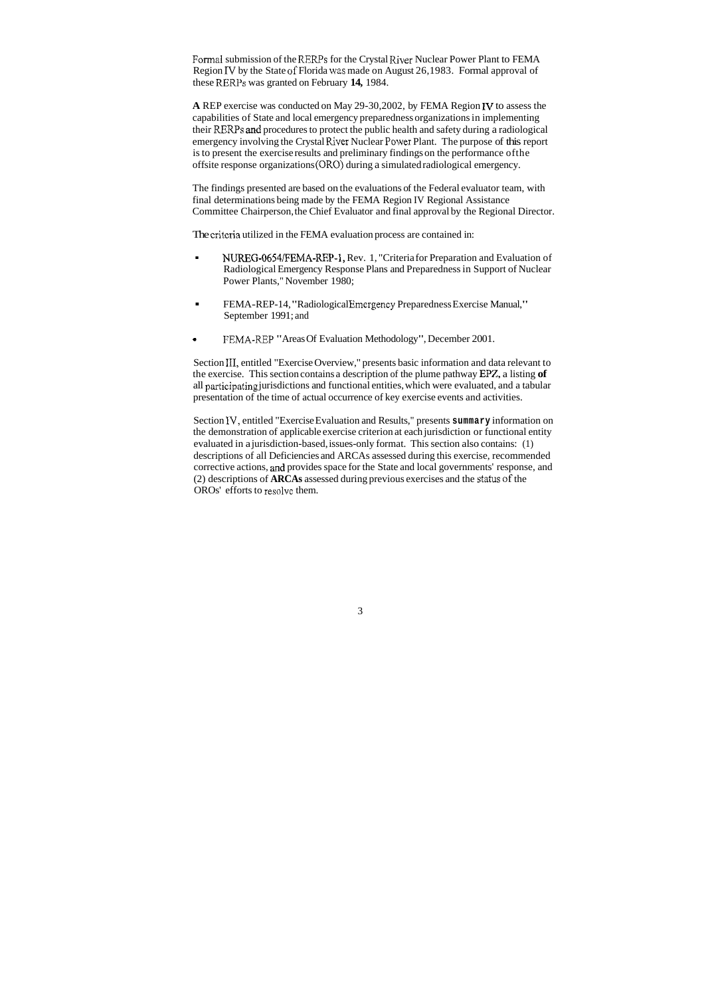Formal submission of the RERPs for the Crystal River Nuclear Power Plant to FEMA Region IV by the State of Florida was made on August 26,1983. Formal approval of these RERPs was granted on February 14, 1984.

**A** REP exercise was conducted on May 29-30,2002, by FEMA Region **I\(** to assess the capabilities of State and local emergency preparedness organizations in implementing their RERPs and procedures to protect the public health and safety during a radiological emergency involving the Crystal River Nuclear Power Plant. The purpose of this report is to present the exercise results and preliminary findings on the performance ofthe offsite response organizations (ORO) during a simulated radiological emergency.

- UREG-0654/FEMA-REP-1, Rev. 1, "Criteria for Preparation and Evaluation of Radiological Emergency Response Plans and Preparedness in Support of Nuclear Power Plants," November 1980;
- . FEMA-REP-14, "Radiological Emcrgency Preparedness Exercise Manual," September 1991; and
- I:EMA-REP "Areas Of Evaluation Methodology", December 2001. \*

The findings presented are based on the evaluations of the Federal evaluator team, with final determinations being made by the FEMA Region IV Regional Assistance Committee Chairperson, the Chief Evaluator and final approval by the Regional Director.

The critcria utilized in the FEMA evaluation process are contained in:

Section 111, entitled "Exercise Overview," presents basic information and data relevant to the exercise. This section contains a description of the plume pathway EPZ, a listing of all participating jurisdictions and functional entities, which were evaluated, and a tabular presentation of the time of actual occurrence of key exercise events and activities.

Section IV, entitled "Exercise Evaluation and Results," presents **summary** information on the demonstration of applicable exercise criterion at each jurisdiction or functional entity evaluated in a jurisdiction-based, issues-only format. This section also contains: (1) descriptions of all Deficiencies and ARCAs assessed during this exercise, recommended corrective actions, and provides space for the State and local governments' response, and (2) descriptions of **ARCAs** assessed during previous exercises and the status of the OROs' efforts to resolvc them.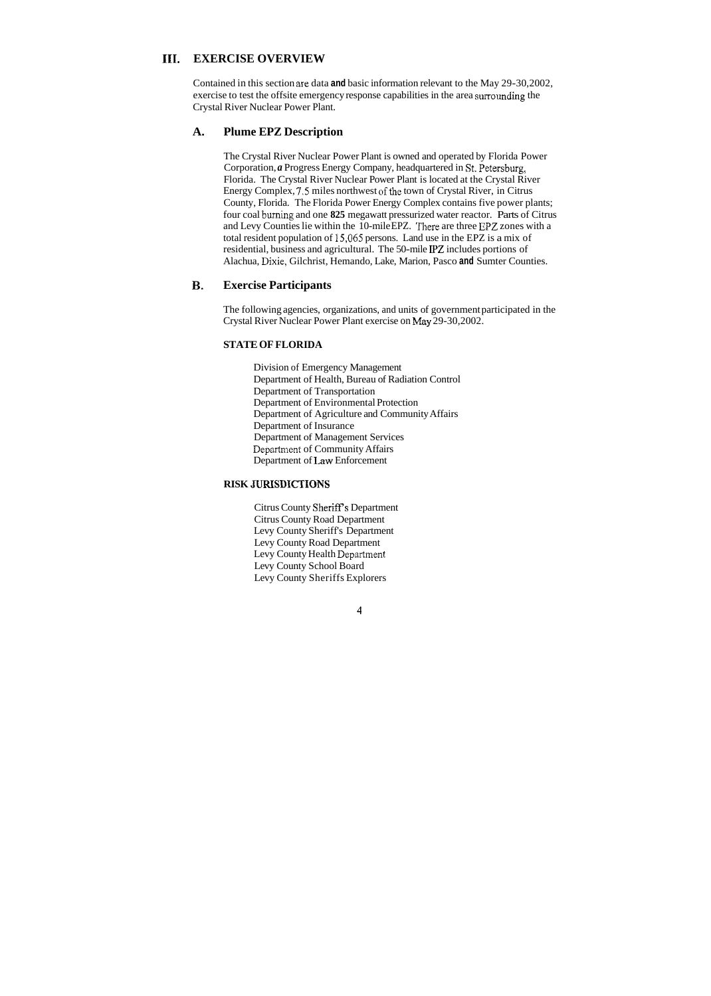### **111. EXERCISE OVERVIEW**

Contained in this section are data and basic information relevant to the May 29-30,2002, exercise to test the offsite emergency response capabilities in the area surrounding the Crystal River Nuclear Power Plant.

### **A. Plume EPZ Description**

The Crystal River Nuclear Power Plant is owned and operated by Florida Power Corporation, *a* Progress Energy Company, headquartered in St. Petersburg, Florida. The Crystal River Nuclear Power Plant is located at the Crystal River Energy Complex, 7.5 miles northwest of the town of Crystal River, in Citrus County, Florida. The Florida Power Energy Complex contains five power plants; four coal burning and one **825** megawatt pressurized water reactor. Parts of Citrus and Levy Counties lie within the 10-mile EPZ. There are three EPZ zones with a total resident population of 15,065 persons. Land use in the EPZ is a mix of residential, business and agricultural. The 50-mile PZ includes portions of Alachua, Dixie, Gilchrist, Hemando, Lake, Marion, Pasco **and** Sumter Counties.

### **B. Exercise Participants**

The following agencies, organizations, and units of government participated in the Crystal River Nuclear Power Plant exercise on May 29-30,2002.

### **STATE OF FLORIDA**

Division of Emergency Management Department of Health, Bureau of Radiation Control Department of Transportation Department of Environmental Protection Department of Agriculture and Community Affairs Department of Insurance Department of Management Services Departnient of Community Affairs Department of Law Enforcement

### **RISK JURESDICTIONS**

Citrus County Sheriff?s Department Citrus County Road Department Levy County Sheriff's Department Levy County Road Department Levy County Health Depatment Levy County School Board Levy County Sheriffs Explorers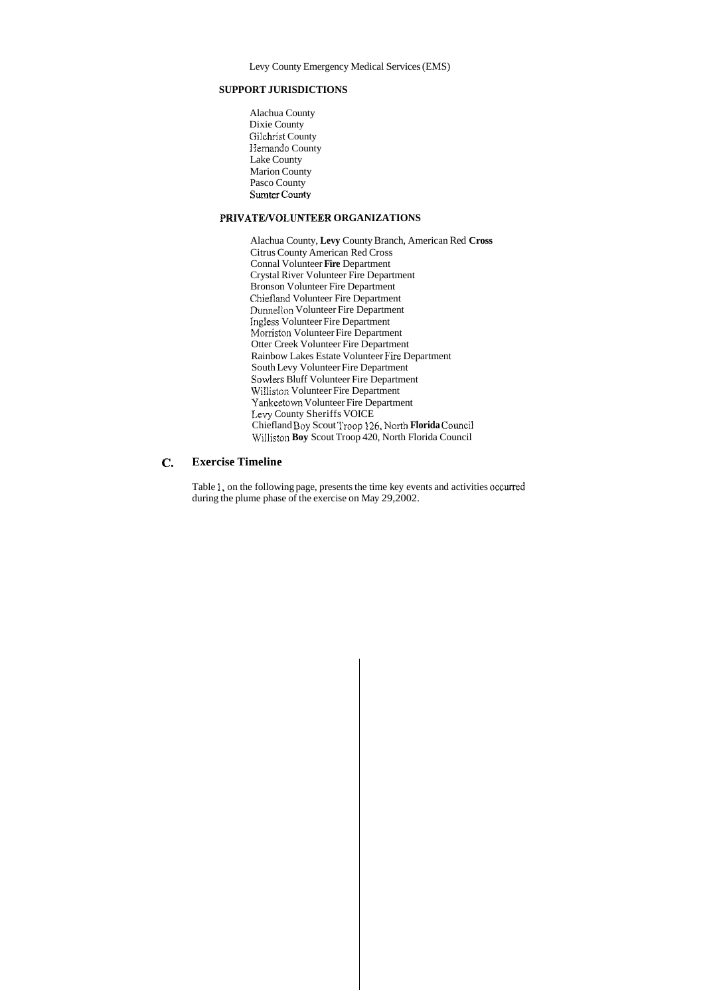Levy County Emergency Medical Services (EMS)

### **SUPPORT JURISDICTIONS**

Alachua County Dixie County Giichrist County Hernando County Lake County Marion County Pasco County Sumter County

### **PRIVATE/VOLUNTEER ORGANIZATIONS**

#### *e.*  **Exercise Timeline**

Alachua County, **Levy** County Branch, American Red **Cross**  Citrus County American Red Cross Connal Volunteer **Fire** Department Crystal River Volunteer Fire Department Bronson Volunteer Fire Department Chiefland Volunteer Fire Department Dunnellon Volunteer Fire Department Ingiess Volunteer Fire Department Morriston Volunteer Fire Department Otter Creek Volunteer Fire Department Rainbow Lakes Estate Volunteer Fire Department South Levy Volunteer Fire Department Sowlers Bluff Volunteer Fire Department Williston Volunteer Fire Department Yankeetown Volunteer Fire Department Levy County Sheriffs VOICE Chiefland Boy Scout Troop **126,** North **Florida** Council Williston **Boy** Scout Troop 420, North Florida Council

Table 1, on the following page, presents the time key events and activities occurred during the plume phase of the exercise on May 29,2002.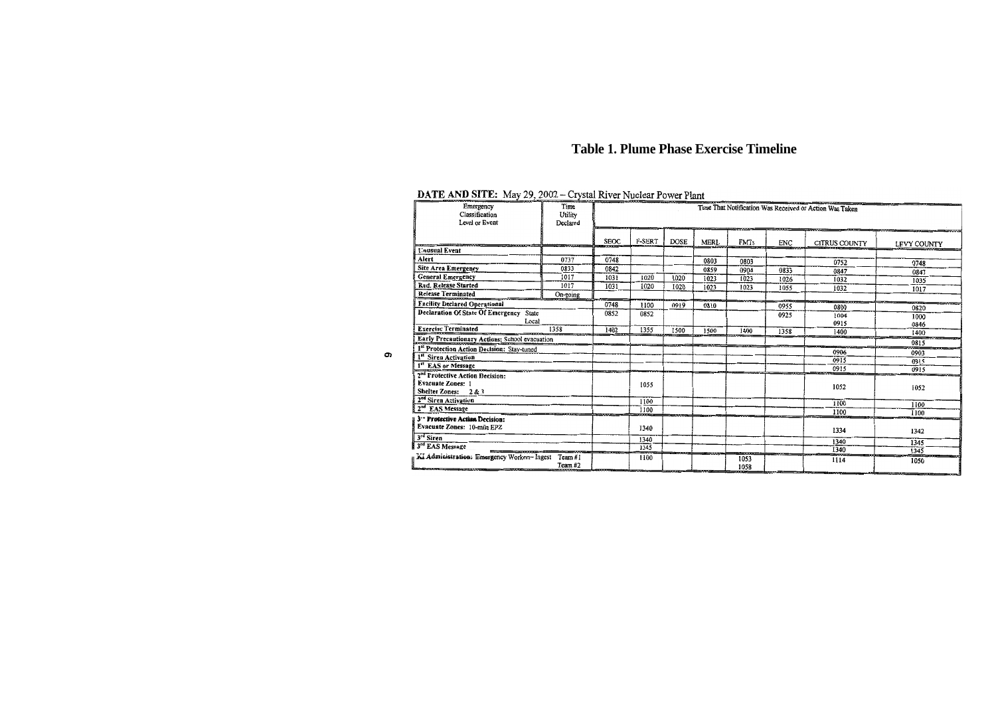## **Table 1. Plume Phase Exercise Timeline**

## DATE AND SITE: May 29, 2002 - Crystal River Nuclear Power Plant

*0)* 

| Emergency<br>Classification<br>Level or Event    | Time<br>Utility<br>Declared | Time That Notification Was Received or Action Was Taken |               |             |              |      |            |               |              |
|--------------------------------------------------|-----------------------------|---------------------------------------------------------|---------------|-------------|--------------|------|------------|---------------|--------------|
|                                                  |                             | <b>SEOC</b>                                             | <b>F-SERT</b> | <b>DOSE</b> | <b>MERL</b>  | FMTs | <b>ENC</b> | CITRUS COUNTY | LEVY COUNTY  |
| <b>Unusual Event</b>                             |                             |                                                         |               |             |              |      |            |               |              |
| Alert                                            | 0737                        | 0748                                                    |               |             | 0803         | 0803 |            | 0752          | 0748         |
| <b>Site Area Emergency</b>                       | 0833                        | 0842                                                    |               |             | 0859         | 0904 | 0833       | 0847          | 0847         |
| <b>General Emergency</b>                         | 1017                        | 1031                                                    | 1020          | 1020        | 1023         | 1023 | 1026       | 1032          | 1035         |
| Rad. Release Started                             | 1017                        | 1031                                                    | 1020          | 1020        | 1023         | 1023 | 1055       | 1032          | 1017         |
| <b>Release Terminated</b>                        | On-going                    |                                                         |               |             |              |      |            |               |              |
| <b>Facility Declared Operational</b>             |                             | 0748                                                    | 1100          | 0919        | 0810         |      | 0955       | 0800          | 0820         |
| Declaration Of State Of Emergency State<br>Local |                             | 0852                                                    | 0852          |             |              |      | 0925       | 1004<br>0915  | 1000<br>0846 |
| <b>Exercise Terminated</b>                       | 1358                        | 1402                                                    | 1355          | 1500        | 1500         | 1400 | 1358       | 1400          | 1400         |
| Early Precautionary Actions: School evacuation   |                             |                                                         |               |             |              |      |            |               | 0815         |
| 1st Protection Action Decision: Stay-tuned       |                             |                                                         |               |             |              |      |            | 0906          | 0903         |
| 1st Siren Activation                             |                             |                                                         |               |             |              |      |            | 0915          | 0915         |
| 1st EAS or Message                               |                             |                                                         |               |             |              |      |            | 0915          | 0915         |
| 2 <sup>nd</sup> Protective Action Decision:      |                             |                                                         |               |             |              |      |            |               |              |
| <b>Evacuate Zones: 1</b>                         |                             |                                                         | 1055          |             |              |      |            | 1052          | 1052         |
| Shelter Zones: 2 & 3                             |                             |                                                         |               |             |              |      |            |               |              |
| 2 <sup>nd</sup> Siren Activation                 |                             |                                                         | 1100          |             |              |      |            | 1100          | 1100         |
| 2 <sup>nd</sup> EAS Message                      |                             |                                                         | 1100          |             |              |      |            | 1100          | 1100         |
| 3 <sup>--</sup> Protective Action Decision:      |                             |                                                         |               |             |              |      |            |               |              |
| Evacuate Zones: 10-mile EPZ                      |                             | 1340                                                    |               |             |              |      | 1334       | 1342          |              |
| 3 <sup>rd</sup> Siren                            |                             |                                                         | 1340          |             |              |      |            | 1340          | 1345         |
| 3rd EAS Message                                  |                             |                                                         | 1345          |             |              |      |            | 1340          | 1345         |
| KI Administration: Emergency Workers-Ingest      |                             | 1100                                                    |               |             | 1053<br>1058 |      | 1114       | 1050          |              |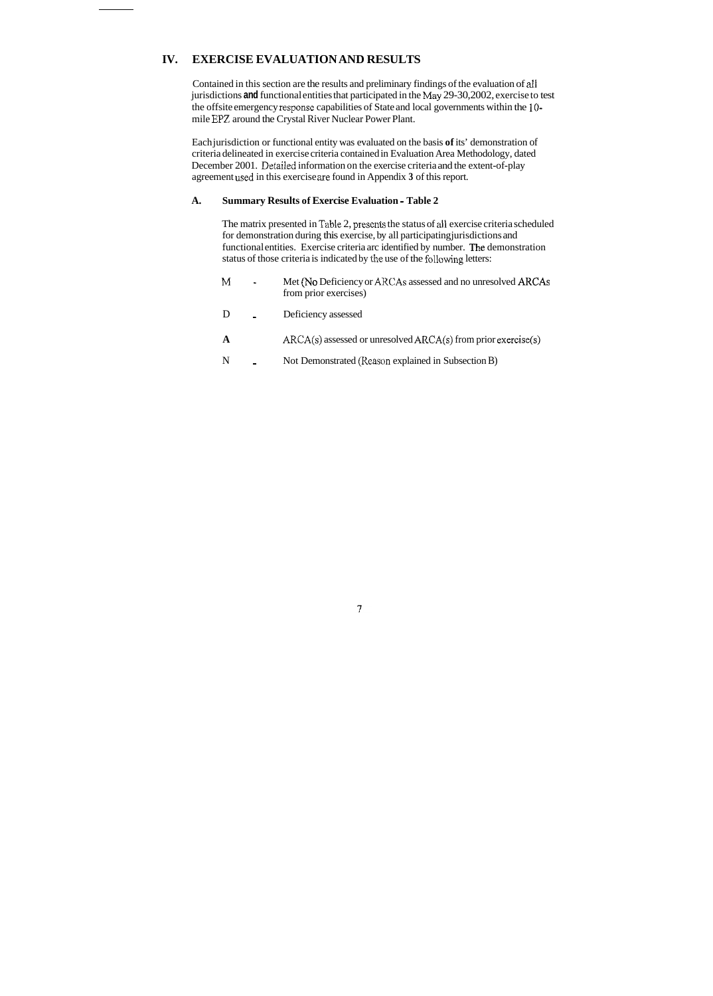### **IV. EXERCISE EVALUATION AND RESULTS**

Contained in this section are the results and preliminary findings of the evaluation of dl jurisdictions **and** functional entities that participated in the May 29-30,2002, exercise to test the offsite emergency response capabilities of State and local governments within the **10**  mile EPZ around the Crystal River Nuclear Power Plant.

The matrix presented in Table 2, presents the status of all exercise criteria scheduled for demonstration during this exercise, by all participating jurisdictions and functional entities. Exercise criteria arc identified by number. The demonstration status of those criteria is indicated by the use of the following letters:

- M<sub>-</sub> Met *(No Deficiency or ARCAs* assessed and no unresolved ARCAs from prior exercises)
- D Deficiency assessed
- A **ARCA(s)** assessed or unresolved ARCA(s) from prior exercise(s)
- N Not Demonstrated (Reason explained in Subsection B)

Each jurisdiction or functional entity was evaluated on the basis **of** its' demonstration of criteria delineated in exercise criteria contained in Evaluation Area Methodology, dated December 2001. Detailed information on the exercise criteria and the extent-of-play agreement used in this exercise are found in Appendix **3** of this report.

### **A. Summary Results of Exercise Evaluation** - **[Table 2](#page-10-0)**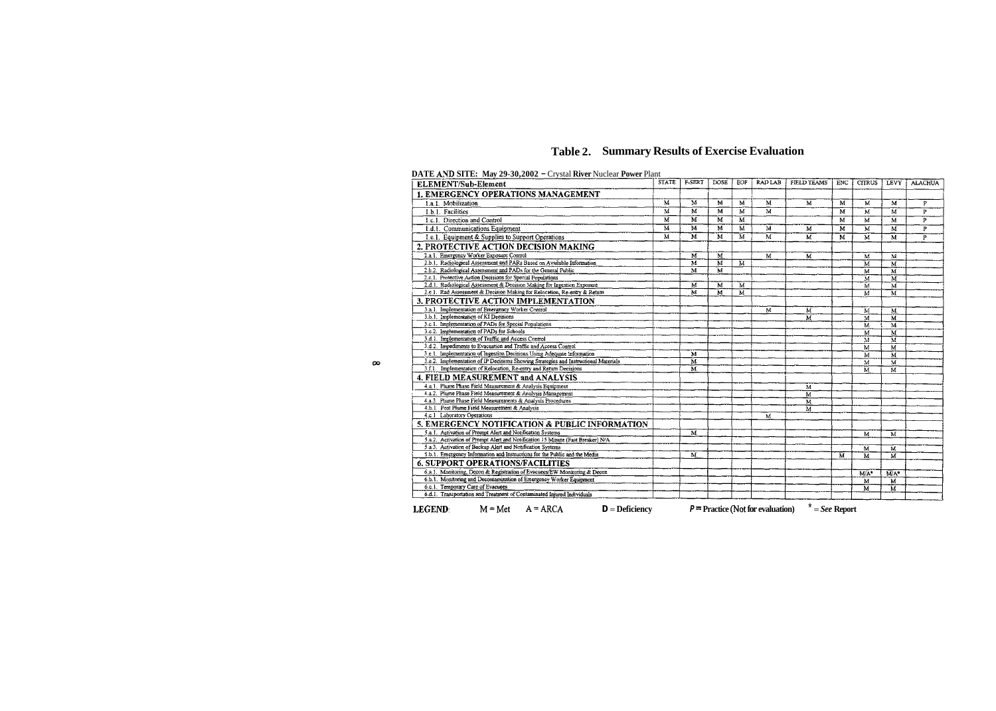## **Table 2. Summary Results of Exercise Evaluation**

### <span id="page-10-0"></span>**DATE AND SITE: May 29-30,2002 - Crystal River Nuclear Power Plant**

| <b>ELEMENT/Sub-Element</b>                                                                                           | <b>STATE</b>            | <b>F-SERT</b>           | <b>DOSE</b>             | EOF | <b>RAD LAB</b>                      | <b>FIELD TEAMS</b>      | ENC            | <b>CITRUS</b>           | LEVY                       | <b>ALACHUA</b> |
|----------------------------------------------------------------------------------------------------------------------|-------------------------|-------------------------|-------------------------|-----|-------------------------------------|-------------------------|----------------|-------------------------|----------------------------|----------------|
| 1. EMERGENCY OPERATIONS MANAGEMENT                                                                                   |                         |                         |                         |     |                                     |                         |                |                         |                            |                |
| I.a.1. Mobilization                                                                                                  | $\overline{\mathbf{M}}$ | $\mathbb{M}$            | M                       | M   | M                                   | М                       | M              | M                       | $\overline{M}$             | P              |
| 1.b.I. Facilities                                                                                                    | M                       | $\overline{\mathbf{M}}$ | M                       | M   | M                                   |                         | M              | M                       | M                          | P              |
| 1.c.1. Direction and Control                                                                                         | M                       | $\overline{\mathbf{M}}$ | M                       | M   |                                     |                         | M              | M                       | $\mathbf{M}$               | P              |
| 1.d.1. Communications Equipment                                                                                      | $\overline{\mathbf{M}}$ | $\overline{\mathbf{M}}$ | $\overline{\mathbf{M}}$ | M   | $\overline{\mathbf{M}}$             | M                       | $\overline{M}$ | M                       | $\overline{M}$             | P              |
| 1.e.1. Equipment & Supplies to Support Operations                                                                    | M                       | $\overline{\mathbf{M}}$ | M                       | M   | $\overline{M}$                      | M                       | M              | $\overline{M}$          | $\overline{M}$             | P              |
| 2. PROTECTIVE ACTION DECISION MAKING                                                                                 |                         |                         |                         |     |                                     |                         |                |                         |                            |                |
| 2.a.1. Emergency Worker Exposure Control                                                                             |                         | $\overline{\mathbf{M}}$ | $\overline{M}$          |     | $\overline{\mathbf{M}}$             | М                       |                | M                       | M                          |                |
| 2.b.1. Radiological Assessment and PARs Based on Available Information                                               |                         | $\overline{\mathbf{M}}$ | M                       | M   |                                     |                         |                | M                       | $\overline{M}$             |                |
| 2.b.2. Radiological Assessment and PADs for the General Public                                                       |                         | $\overline{\mathbf{M}}$ | M                       |     |                                     |                         |                | M                       | $\overline{\text{M}}$      |                |
| 2.c.1. Protective Action Decisions for Special Populations                                                           |                         |                         |                         |     |                                     |                         |                | M                       | $\overline{\mathbf{M}}$    |                |
| 2.d.l. Radiological Assessment & Decision Making for Ingestion Exposure                                              |                         | M                       | М                       | M   |                                     |                         |                | M                       | $\overline{\mathbf{M}}$    |                |
| 2.e.1. Rad Assessment & Decision Making for Relocation, Re-entry & Return                                            |                         | M                       | M                       | M   |                                     |                         |                | M                       | $\overline{\mathbf{M}}$    |                |
| <b>3. PROTECTIVE ACTION IMPLEMENTATION</b>                                                                           |                         |                         |                         |     |                                     |                         |                |                         |                            |                |
| 3.a.1. Implementation of Emergency Worker Control                                                                    |                         |                         |                         |     | $\overline{M}$                      | М                       |                | M                       | $\overline{\mathbf{M}}$    |                |
| 3.b.1. Implementation of KI Decisions                                                                                |                         |                         |                         |     |                                     | M                       |                | $\overline{\mathbf{M}}$ | $\mathbf{M}$               |                |
| 3.c.1. Implementation of PADs for Special Populations                                                                |                         |                         |                         |     |                                     |                         |                | M                       | $\overline{\mathbf{M}}$    |                |
| 3.c.2. Implementation of PADs for Schools                                                                            |                         |                         |                         |     |                                     |                         |                | M                       | $\overline{\mathbf{M}}$    |                |
| 3.d.1. Implementation of Traffic and Access Control                                                                  |                         |                         |                         |     |                                     |                         |                | M                       | M                          |                |
| 3.d.2. Impediments to Evacuation and Traffic and Access Control                                                      |                         |                         |                         |     |                                     |                         |                | M                       | M                          |                |
| 3.e.1. Implementation of Ingestion Decisions Using Adequate Information                                              |                         | $\overline{\mathbf{M}}$ |                         |     |                                     |                         |                | $\overline{M}$          | M                          |                |
| 3.e.2. Implementation of IP Decisions Showing Strategies and Instructional Materials                                 |                         | $\overline{\mathbf{M}}$ |                         |     |                                     |                         |                | $\overline{\mathbf{M}}$ | $\overline{M}$             |                |
| 3.f.1. Implementation of Relocation, Re-entry and Return Decisions                                                   |                         | $\overline{\mathbf{M}}$ |                         |     |                                     |                         |                | M                       | $\overline{M}$             |                |
| 4. FIELD MEASUREMENT and ANALYSIS                                                                                    |                         |                         |                         |     |                                     |                         |                |                         |                            |                |
| 4.a.1. Plume Phase Field Measurement & Analysis Equipment                                                            |                         |                         |                         |     |                                     | М                       |                |                         |                            |                |
| 4.a.2. Plume Phase Field Measurement & Analysis Management                                                           |                         |                         |                         |     |                                     | $\overline{M}$          |                |                         |                            |                |
| 4.a.3. Plume Phase Field Measurements & Analysis Procedures                                                          |                         |                         |                         |     |                                     | $\overline{\mathbf{M}}$ |                |                         |                            |                |
| 4.b.1 Post Plume Field Measurement & Analysis                                                                        |                         |                         |                         |     |                                     | $\overline{M}$          |                |                         |                            |                |
| 4.c.1 Laboratory Operations                                                                                          |                         |                         |                         |     | M                                   |                         |                |                         |                            |                |
| 5. EMERGENCY NOTIFICATION & PUBLIC INFORMATION                                                                       |                         |                         |                         |     |                                     |                         |                |                         |                            |                |
| 5.a.1. Activation of Promot Alert and Notification Systems                                                           |                         | $\overline{\mathbf{M}}$ |                         |     |                                     |                         |                | M                       | M                          |                |
| 5.a.2. Activation of Prompt Alert and Notification 15 Minute (Fast Breaker) N/A                                      |                         |                         |                         |     |                                     |                         |                |                         |                            |                |
| 5.a.3. Activation of Backup Alert and Notification Systems                                                           |                         |                         |                         |     |                                     |                         |                | M                       | M                          |                |
| 5.b.1. Emergency Information and Instructions for the Public and the Media                                           |                         | М                       |                         |     |                                     |                         | M              | M                       | $\overline{M}$             |                |
| <b>6. SUPPORT OPERATIONS/FACILITIES</b><br>6.a.1. Monitoring, Decon & Registration of Evacuees/EW Monitoring & Decon |                         |                         |                         |     |                                     |                         |                |                         |                            |                |
| 6.b.1. Monitoring and Decontamination of Emergency Worker Equipment                                                  |                         |                         |                         |     |                                     |                         |                | $M/A^*$                 | $\overline{\mathsf{M}}$ A* |                |
| 6.c.1. Temporary Care of Evacuees                                                                                    |                         |                         |                         |     |                                     |                         |                | M                       | M                          |                |
| 6.d.1. Transportation and Treatment of Contaminated Injured Individuals                                              |                         |                         |                         |     |                                     |                         |                | M                       | M                          |                |
|                                                                                                                      |                         |                         |                         |     |                                     |                         |                |                         |                            |                |
| <b>LEGEND</b><br>$M = Met$ $A = ARCA$<br>$D = Deficiency$                                                            |                         |                         |                         |     | $P =$ Practice (Not for evaluation) | $x^* = See$ Report      |                |                         |                            |                |

 $\infty$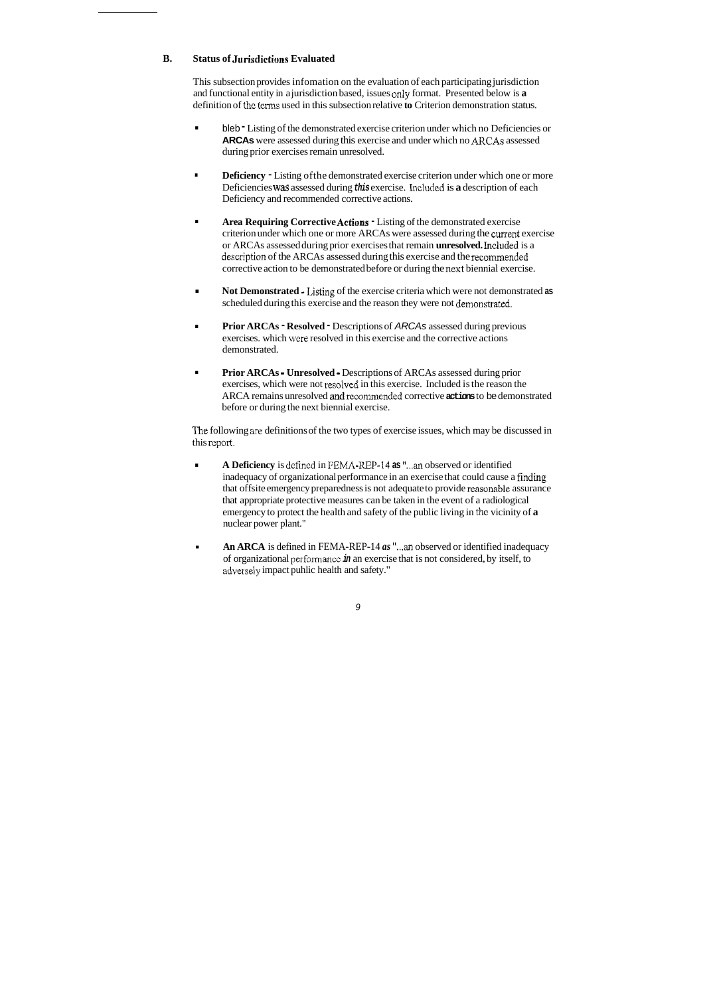### **B.** Status of Jurisdictions Evaluated

This subsection provides infomation on the evaluation of each participating jurisdiction and functional entity in a jurisdiction based, issues only format. Presented below is **a**  definition of the terms used in this subsection relative **to** Criterion demonstration status.

- . bleb Listing of the demonstrated exercise criterion under which no Deficiencies or **ARCAs** were assessed during this exercise and under which no ARCAs assessed during prior exercises remain unresolved.
- **Deficiency -** Listing of the demonstrated exercise criterion under which one or more Deficiencies was assessed during *this* exercise. Included is **a** description of each Deficiency and recommended corrective actions.
- . **Area Requiring Corrective Actions**  Listing of the demonstrated exercise criterion under which one or more ARCAs were assessed during the current exercise or ARCAs assessed during prior exercises that remain **unresolved.** Inciuded is a description of the ARCAs assessed during this exercise and the recommended corrective action to be demonstrated before or during the next biennial exercise.
- . **Not Demonstrated** -Listing of the exercise criteria which were not demonstrated **as**  scheduled during this exercise and the reason they were not demonsitrated.
- **Prior ARCAs Resolved**  Descriptions of *ARCAs* assessed during previous ■ Prior ARCAs • Resolved • Descriptions of *ARCAs* assessed during previewercises. which were resolved in this exercise and the corrective actions demonstrated.
- . **Prior ARCAs Unresolved**  Descriptions of ARCAs assessed during prior exercises, which were not resolved in this exercise. Included is the reason the ARCA remains unresolved **and** recommended corrective **actions** to be demonstrated before or during the next biennial exercise.

The following are definitions of the two types of exercise issues, which may be discussed in this rcport.

- . **A Deficiency** is defined in FEMA-REP-I4 **as "...an** observed or identified inadequacy of organizational performance in an exercise that could cause a finding that offsite emergency preparedness is not adequate to provide reasonable assurance that appropriate protective measures can be taken in the event of a radiological emergency to protect the health and safety of the public living in the vicinity of **a**  nuclear power plant."
- **An ARCA** is defined in FEMA-REP-14 *as* "...an observed or identified inadequacy of organizational perfomancc *in* an exercise that is not considered, by itself, to adverseiy impact puhlic health and safety."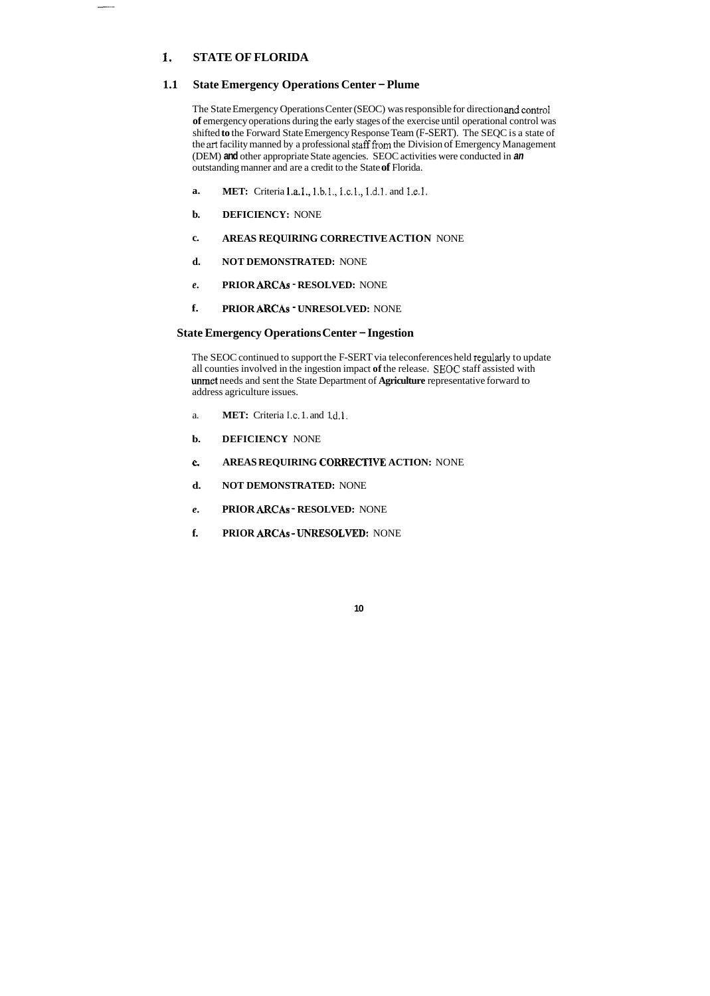### **1. STATE OF FLORIDA**

### **1.1 State Emergency Operations Center – Plume**

The State Emergency Operations Center (SEOC) was responsible for direction and control **of** emergency operations during the early stages of the exercise until operational control was shifted **to** the Forward State Emergency Response Team (F-SERT). The SEQC is a state of the **art** facility manned by a professional staff fiom the Division of Emergency Management (DEM) **and** other appropriate State agencies. SEOC activities were conducted in *an*  outstanding manner and are a credit to the State **of** Florida.

- **a. MET:** Criteria **l.a.l.,** 1.b.l., I.c.l., 1.d.l. and T.e.1.
- **b. DEFICIENCY:** NONE
- **c. AREAS REQUIRING CORRECTIVE ACTION** NONE
- **d. NOT DEMONSTRATED:** NONE
- *e.* **PRIOR ARCAS RESOLVED:** NONE
- **f. PRIOR ARCAS UNRESOLVED:** NONE

### **State Emergency Operations Center** - **Ingestion**

The SEOC continued to support the F-SERT via teleconferences held regularly to update all counties involved in the ingestion impact **of** the release. **SEOC** staff assisted with met needs and sent the State Department of **Agriculture** representative forward to address agriculture issues.

- a. **MET:** Criteria I .c. 1. and 1 **d.1.**
- **b. DEFICIENCY** NONE
- *c*  **AREAS REQUIRING CORRECTWE ACTION:** NONE
- **d. NOT DEMONSTRATED:** NONE
- *e.* **PRIOR ARCAS RESOLVED:** NONE
- **f. PRIOR ARCAS** ~ **UNKFSOLWD:** NONE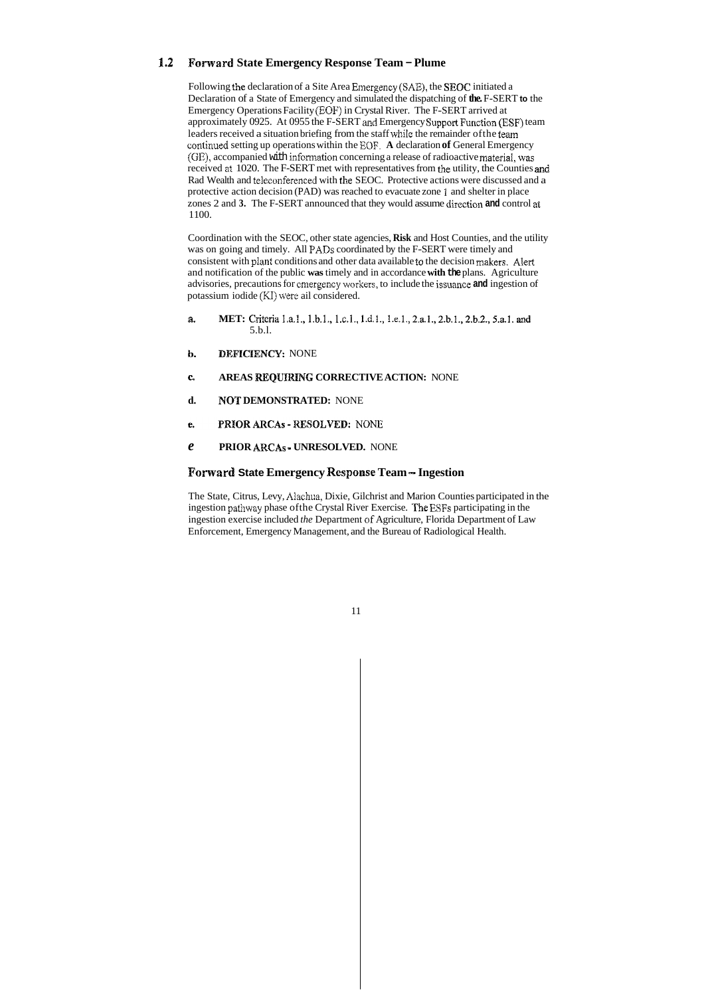### **8.2 Forward State Emergency Response Team - Plume**

Following the declaration of a Site Area Emergency (SAE), the **SEOC** initiated a Declaration of a State of Emergency and simulated the dispatching of **the.** F-SERT **to** the Emergency Operations Facility (EOF) in Crystal River. The F-SERT arrived at approximately 0925. At 0955 the F-SERT and Emergency **Support** Function (ESF) team leaders received a situation briefing from the staff while the remainder ofthe *teaan*  continued setting up operations within the EOF. **A** declaration **of** General Emergency (GE), accompanied with information concerning a release of radioactive material, was received at 1020. The F-SERT met with representatives from the utility, the Counties and Rad Wealth and telecunferenced with the SEOC. Protective actions were discussed and a protective action decision (PAD) was reached to evacuate zone **1** and shelter in place zones 2 and **3.** The F-SERT announced that they would assume dircction **and** control **at**  1100.

Coordination with the SEOC, other state agencies, **Risk** and Host Counties, and the utility was on going and timely. All PADs coordinated by the F-SERT were timely and consistent with plant conditions and other data available to the decision makers. Alert and notification of the public **was** timely and in accordance **with the** plans. Agriculture advisories, precautions for cmergency workers, to include the issuance **and** ingestion of potassium iodide (KI) were ail considered.

- **a. MET:** Criteria 1.a.1., 1.b.1., 1.c.1., 1.d.1., 1.e.1., 2.a.1., 2.b.1., 2.b.2., 5.a.1. and 5.b.l.
- **b.** DEFICIENCY: NONE
- *c*  **AREAS REQUIMHMG CORRECTIVE ACTION:** NONE
- **d.** MOT **DEMONSTRATED:** NONE
- PRIOR ARCAS RESOLVED: NONE е.
- *e* **PRIOR ARCAS** ~ **UNRESOLVED.** NONE

### **Forward State Emergency Response Team – Ingestion**

The State, Citrus, Levy, Aiachua, Dixie, Gilchrist and Marion Counties participated in the ingestion pathway phase ofthe Crystal River Exercise. The ESFs participating in the ingestion exercise included *the* Department of Agriculture, Florida Department of Law Enforcement, Emergency Management, and the Bureau of Radiological Health.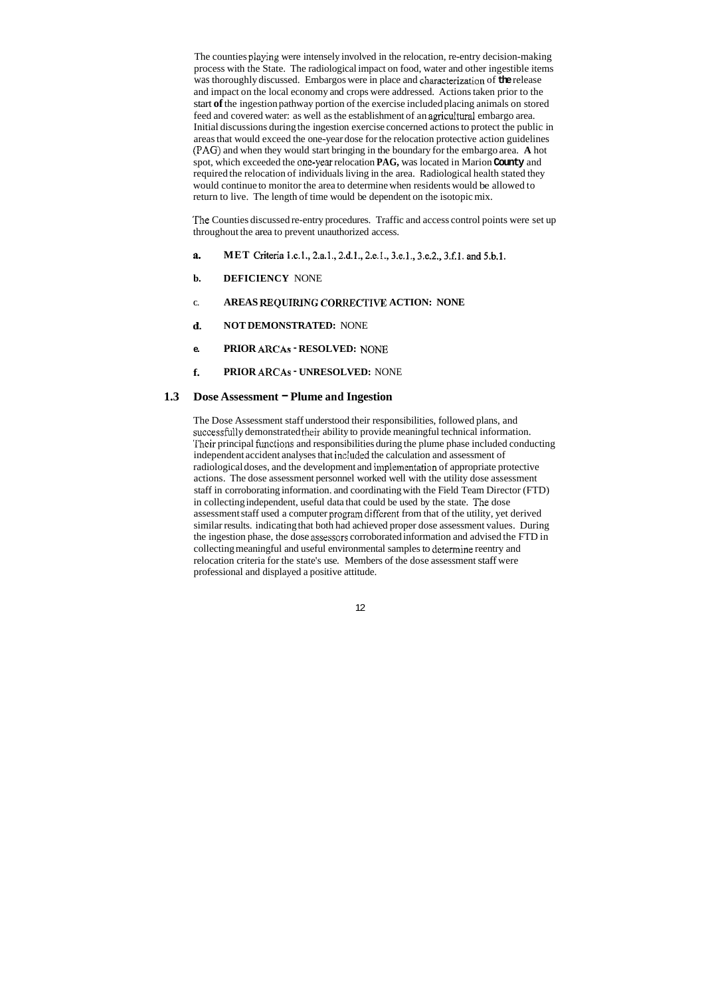The counties playing were intensely involved in the relocation, re-entry decision-making process with the State. The radiological impact on food, water and other ingestible items was thoroughly discussed. Embargos were in place and characterization of the release and impact on the local economy and crops were addressed. Actions taken prior to the start **of** the ingestion pathway portion of the exercise included placing animals on stored feed and covered water: as well as the establishment of an agricultural embargo area. Initial discussions during the ingestion exercise concerned actions to protect the public in areas that would exceed the one-year dose for the relocation protective action guidelines **(PAC?)** and when they would start bringing in the boundary for the embargo area. **A** hot spot, which exceeded the one-year relocation **PAG,** was located in Marion **County** and required the relocation of individuals living in the area. Radiological health stated they would continue to monitor the area to determine when residents would be allowed to return to live. The length of time would be dependent on the isotopic mix.

- **a. MET** Criteria 1.c.1., 2.a.1., 2.d.1., 2.e.1., 3.e.1., 3.e.2., 3.f.1. and 5.b.1.
- **b. DEFICIENCY** NONE
- **C. AREAS REQUIRING CORRECTIVE ACTION: NONE**
- **d. NOT DEMONSTRATED:** NONE
- **e. PRIOR ARCAS RESOLVED:** NONE
- **f. PRIOR ARCAS UNRESOLVED:** NONE

### **1.3** Dose Assessment – Plume and Ingestion

'The Counties discussed re-entry procedures. Traffic and access control points were set up throughout the area to prevent unauthorized access.

The Dose Assessment staff understood their responsibilities, followed plans, and successfblly demonstrated their ability to provide meaningful technical information. 'iheir principal fimctions and responsibilities during the plume phase included conducting independent accident analyses that included the calculation and assessment of radiological doses, and the development and implementation of appropriate protective actions. The dose assessment personnel worked well with the utility dose assessment staff in corroborating information. and coordinating with the Field Team Director (FTD) in collecting independent, useful data that could be used by the state. The dose assessment staff used a computer program different from that of the utility, yet derived similar results. indicating that both had achieved proper dose assessment values. During the ingestion phase, the dose assessors corroborated information and advised the FTD in collecting meaningful and useful environmental samples to determine reentry and relocation criteria for the state's use. Members of the dose assessment staff were professional and displayed a positive attitude.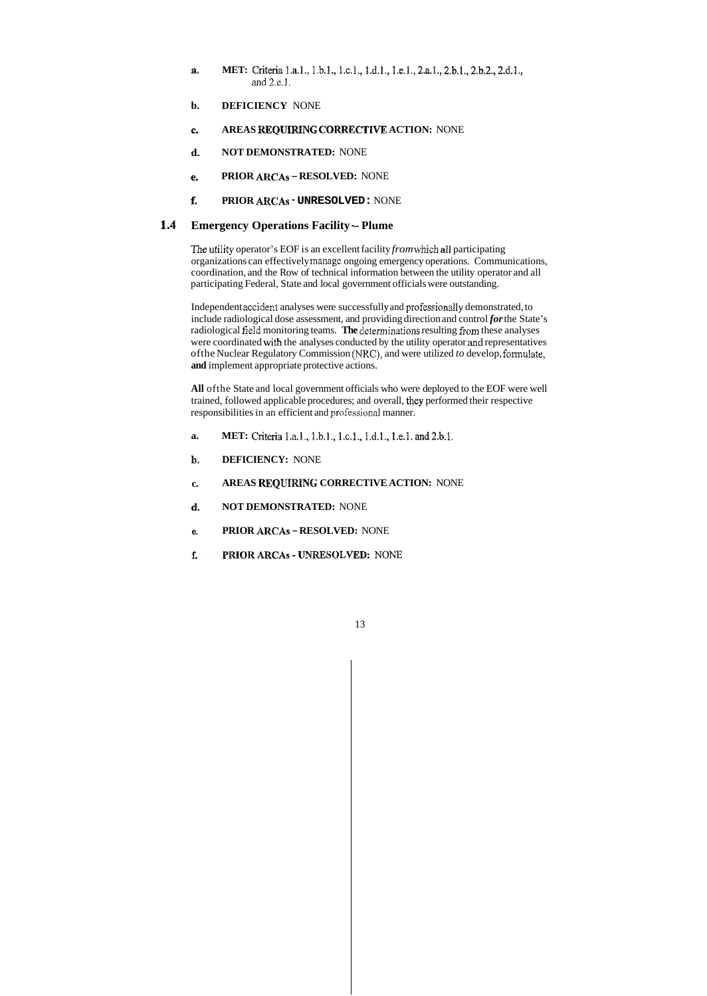- **a. MET:** Criteria 1.a.1., 1.b.1., 1.c.1., 1.d.1., 1.e.1., 2.a.1., 2.b.1., 2.b.2., 2.d.1., and  $2.e.1$ .
- **b. DEFICIENCY** NONE
- **e. AREAS REQUIRING CORRECTIVE ACTION:** NONE
- **d. NOT DEMONSTRATED:** NONE
- **e. PRIOR ARCAS RESOLVED:** NONE
- **f. PRIOR ARCAS UNRESOLVED:** NONE

### 1.4 Emergency Operations Facility – Plume

*The* ntility operator's EOF is an excellent facility *from* **which dl** participating organizations can effectively manage ongoing emergency operations. Communications, coordination, and the Row of technical information between the utility operator and all participating Federal, State and local government officials were outstanding.

Independent accident analyses were successfully and professionally demonstrated, to include radiological dose assessment, and providing direction and control *for* the State's radiological field monitoring teams. **The** determinations resulting from these analyses were coordinated with the analyses conducted by the utility operator and representatives ofthe Nuclear Regulatory Commission **(NKC),** and were utilized *to* develop, formulate, **and** implement appropriate protective actions.

**All** ofthe State and local government officials who were deployed to the EOF were well trained, followed applicable procedures; and overall, they performed their respective responsibilities in an efficient and professional manner.

- **a. MET: Criteria** 1.a.1., 1.b.1., 1.c.1., 1.d.1., 1.e.1. and 2.b.1.
- **lp. DEFICIENCY:** NONE
- **c. AREAS REQURINB: CORRECTIVE ACTION:** NONE
- **d. NOT DEMONSTRATED:** NONE
- **e. PRIOR AHCAs RESOLVED:** NONE
- f. PRIOR ARCAS - UNRESOLVED: NONE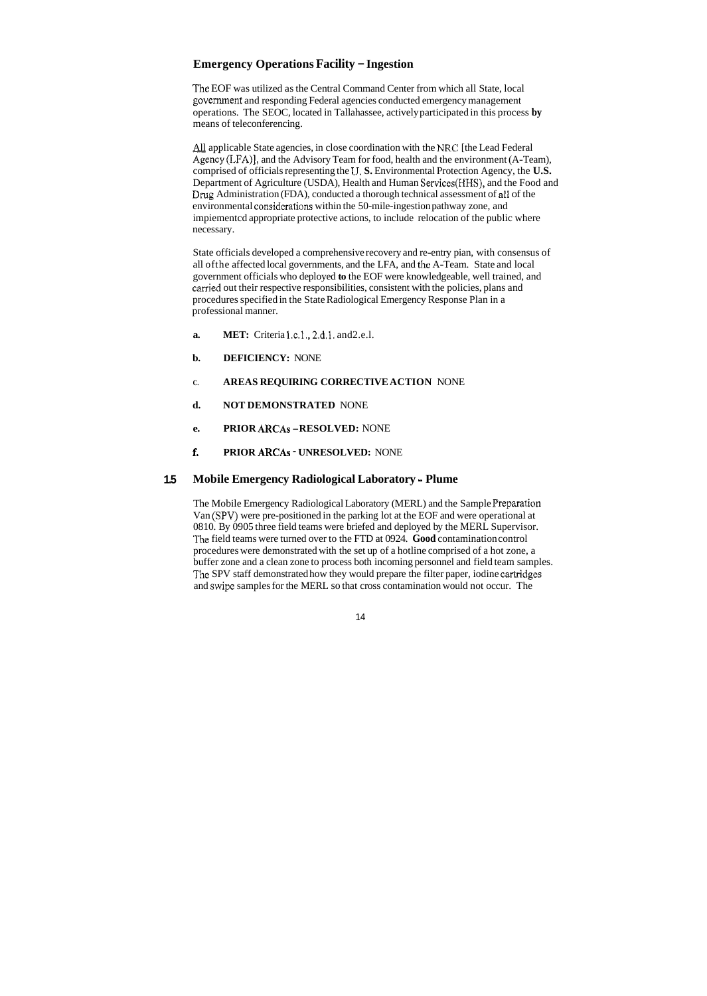### **Emergency Operations Facility** - **Ingestion**

The EOF was utilized as the Central Command Center from which all State, local government and responding Federal agencies conducted emergency management operations. The SEOC, located in Tallahassee, actively participated in this process **by**  means of teleconferencing.

All applicable State agencies, in close coordination with the NRC [the Lead Federal Agency (LFA)], and the Advisory Team for food, health and the environment (A-Team), comprised of officials representing the **U. S.** Environmental Protection Agency, the **U.S.**  Department of Agriculture (USDA), Health and Human Services(WHS), and the Food and Drug Administration (FDA), conducted a thorough technical assessment of all of the environmental considcrations within the 50-mile-ingestion pathway zone, and impiementcd appropriate protective actions, to include relocation of the public where necessary.

- **a. MET:** Criteria 1.c.1., 2.d.1. and 2.e.1.
- **b. DEFICIENCY:** NONE
- **C. AREAS REQUIRING CORRECTIVE ACTION** NONE
- **d. NOT DEMONSTRATED** NONE
- **e. PRIOR ARCAS -RESOLVED:** NONE
- **f. PRIOR ARCAS UNRESOLVED:** NONE

State officials developed a comprehensive recovery and re-entry pian, with consensus of all ofthe affected local governments, and the LFA, and the A-Team. State and local government officials who deployed **to** the EOF were knowledgeable, well trained, and carried out their respective responsibilities, consistent with the policies, plans and procedures specified in the State Radiological Emergency Response Plan in a professional manner.

### **1.5 Mobile Emergency Radiological Laboratory** - **Plume**

The Mobile Emergency Radiological Laboratory (MERL) and the Sample Preparation Van (SPV) were pre-positioned in the parking lot at the EOF and were operational at 0810. By 0905 three field teams were briefed and deployed by the MERL Supervisor. The field teams were turned over to the FTD at 0924. **Good** contamination control procedures were demonstrated with the set up of a hotline comprised of a hot zone, a buffer zone and a clean zone to process both incoming personnel and field team samples. The SPV staff demonstrated how they would prepare the filter paper, iodine cartridges and swipc samples for the MERL so that cross contamination would not occur. The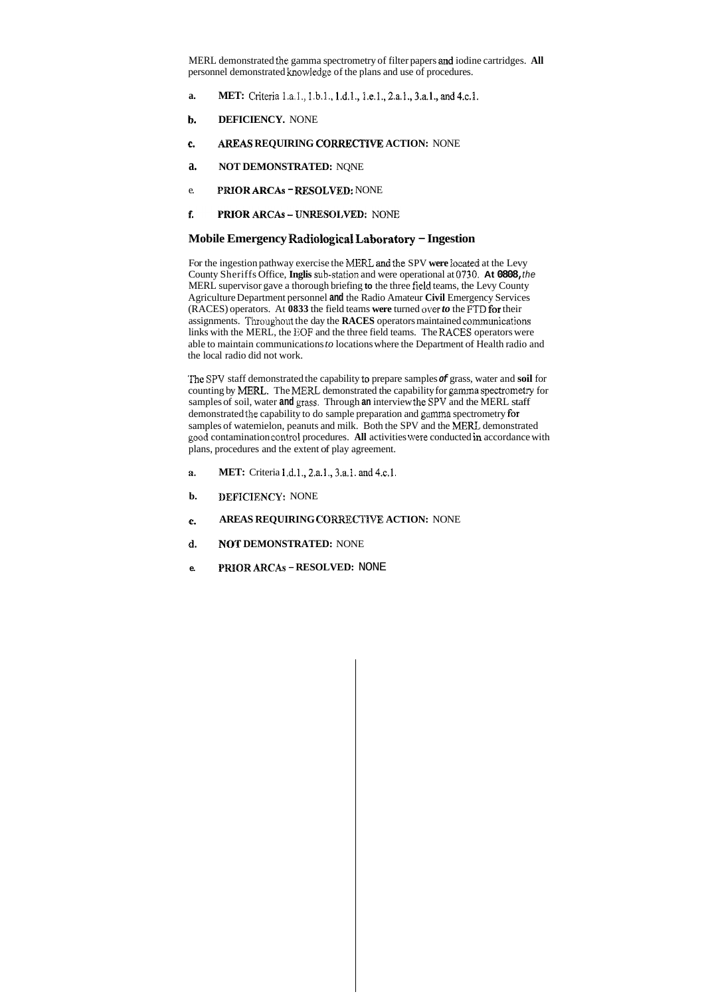MERL demonstrated the gamma spectrometry of filter papers **and** iodine cartridges. **All**  personnel demonstrated knowledge of the plans and use of procedures.

- **a. MET:** Criteria 1.a.1., 1.b.1., 1.d.1., 1.e.1., 2.a.1., 3.a.1., and 4.c.1.
- **b. DEFICIENCY.** NONE
- **c. AREAS REQUIRING CORRECTIVE ACTION:** NONE
- **a. NOT DEMONSTRATED:** NQNE
- e. **PRIOR ARCAS RESOLVED:** NONE
- f. **PRIOR ARCAS - UNRESOLVED: NONE**

### **Mobile Emergency Radiologies1 Labosatsry** - **Ingestion**

For the ingestion pathway exercise the MERZ and the SPV **were** located at the Levy County Sheriffs Office, **Inglis** sub-station and were operational at **0939. At 0808,** *the*  MERL supervisor gave a thorough briefing **to** the three fidd teams, the Levy County Agriculture Department personnel **and** the Radio Amateur **Civil** Emergency Services (RACES) operators. At **0833** the field teams **were** turned over *to* the FTD for their assignments. Thoughout the day the **RACES** operators maintained communications links with the MERL, the EOF and the three field teams. The RACES operators were able to maintain communications *to* locations where the Department of Health radio and the local radio did not work.

- **a. MET:** Criteria 1.d.1., 2.a.1., 3.a.1. and 4.c.1.
- **b. DEFICIENCY:** NONE
- **c. AREAS REQUIRING CORRECTIVE ACTION: NONE**
- **d. NOT DEMONSTRATED:** NONE
- **e. PWOW ARCAS RESOLVED:** NONE

The SPV staff demonstrated the capability to prepare samples *of* grass, water and **soil** for counting by MERL. The MERL demonstrated the capability for gamma spectrometry for samples of soil, water **and** grass. Through **an** interview the SPV and the MERL staff demonstrated the capability to do sample preparation and gamma spectrometry for samples of watemielon, peanuts and milk. Both the SPV and the MERL demonstrated pod contamination cont~ol procedures. **All** activities &'ere conducted **in** accordance with plans, procedures and the extent of play agreement.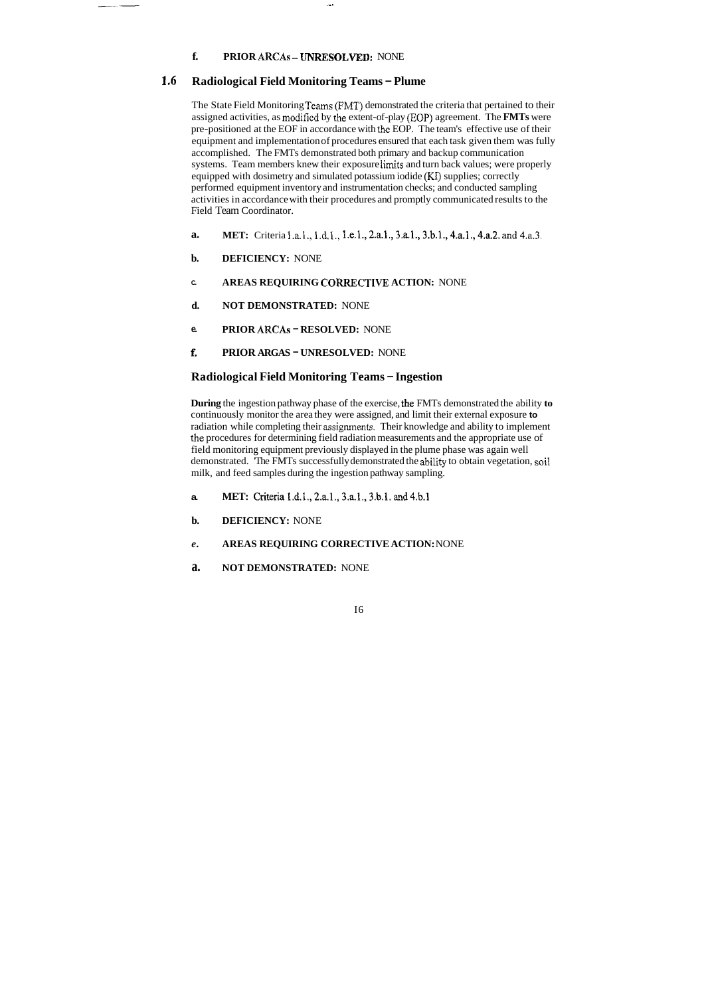.\_.

### **f. PRIOR ARCAS -UNRESOLVED:** NONE

### **1,6 Radiological Field Monitoring Teams** - **Plume**

The State Field Monitoring Teams (FMT) demonstrated the criteria that pertained to their assigned activities, as modified by the extent-of-play (EOP) agreement. The **FMTs** were pre-positioned at the EOF in accordance with the EOP. The team's effective use of their equipment and implementation of procedures ensured that each task given them was fully accomplished. The FMTs demonstrated both primary and backup communication systems. Team members knew their exposure limits and turn back values; were properly equipped with dosimetry and simulated potassium iodide **(KK)** supplies; correctly performed equipment inventory and instrumentation checks; and conducted sampling activities in accordance with their procedures and promptly communicated results to the Field Team Coordinator.

- **a. MET:** Criteria 1.d.1., 2.a.1., 3.a.1., 3.b.1. and 4.b.1
- **b. DEFICIENCY:** NONE
- *e.*  **AREAS REQUIRING CORRECTIVE ACTION:** NONE
- **a. NOT DEMONSTRATED:** NONE
- **a. MET:** Criteria 1.a.1., 1.d.1., 1.e.1., 2.a.1., 3.a.1., 3.b.1., 4.a.1., 4.a.2. and 4.a.3.
- **b. DEFICIENCY:** NONE
- **C. AREAS REQUIRING COKRECTIVE ACTION:** NONE
- **d. NOT DEMONSTRATED:** NONE
- **e. PRIOR ARCAS RESOLVED:** NONE
- **f. PRIOR ARGAS UNRESOLVED:** NONE

### **Radiological Field Monitoring Teams** - **Ingestion**

**During** the ingestion pathway phase of the exercise, the FMTs demonstrated the ability **to**  continuously monitor the area they were assigned, and limit their external exposure **to**  radiation while completing their assignments. Their knowledge and ability to implement the procedures for determining field radiation measurements and the appropriate use of field monitoring equipment previously displayed in the plume phase was again well demonstrated. 'The FMTs successfully demonstrated the **sbiiity** to obtain vegetation, soil milk, and feed samples during the ingestion pathway sampling.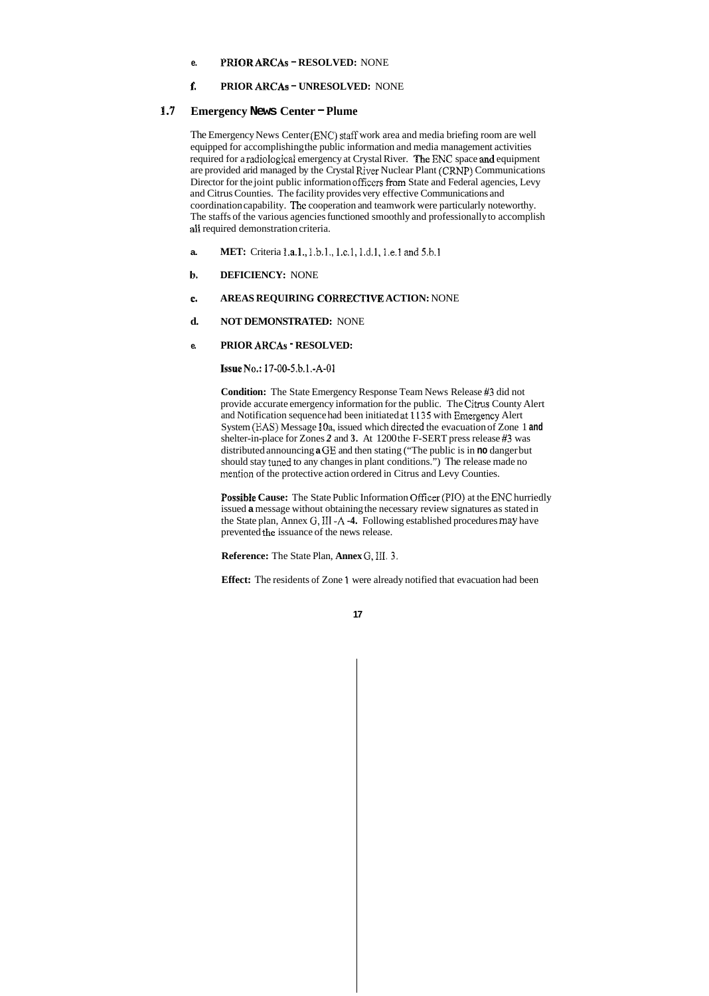### **e. PRIOR ARCAS** - **RESOLVED:** NONE

### €. **PRIOR ARCAS** - **UNRESOLVED:** NONE

### *8.3* **Emergency News Center** - **Plume**

The Emergency News Center (ENC) staff work area and media briefing room are well equipped for accomplishing the public information and media management activities required for a radiological emergency at Crystal River. The ENC space and equipment are provided arid managed by the Crystal River Nuclear Plant (CRNP) Communications Director for the joint public information officers from State and Federal agencies, Levy and Citrus Counties. The facility provides very effective Communications and coordination capability. The cooperation and teamwork were particularly noteworthy. The staffs of the various agencies functioned smoothly and professionally to accomplish all required demonstration criteria.

#### *c.*  **AREAS REQUIRING CORRECTIVE ACTION: NONE**

**Condition:** The State Emergency Response Team News Release *#3* did not provide accurate emergency information for the public. The **Citrus** County Alert and Notification sequence had been initiated **at I135** with Emagency Alert System (EAS) Message 10a, issued which directed the evacuation of Zone 1 and shelter-in-place for Zones *2* and **3.** At 1200 the F-SERT press release *#3* was distributed announcing **a GE** and then stating ("The public is in **no** danger but should stay tuned to any changes in plant conditions.") The release made no mention of the protective action ordered in Citrus and Levy Counties.

- **a. MET:** Criteria 1.a.1., 1.b.1., 1.c.1, 1.d.1, 1.e.1 and 5.b.1
- **b. DEFICIENCY:** NONE

**d. NOT DEMONSTRATED:** NONE

**Possible Cause:** The State Public Information Officer (PIO) at the ENC hurriedly issued **a** message without obtaining the necessary review signatures as stated in the State plan, Annex *G,* **III -A -4.** Following established procedures may have prevented the issuance of the news release.

### **e. PRIOR ARCAS** - **RESOLVED:**

**Issue No.:** 17-00-5.b.l.-A-01

**Reference:** The State Plan, **Annex** *G,* 111.3.

**Effect:** The residents of Zone **1** were already notified that evacuation had been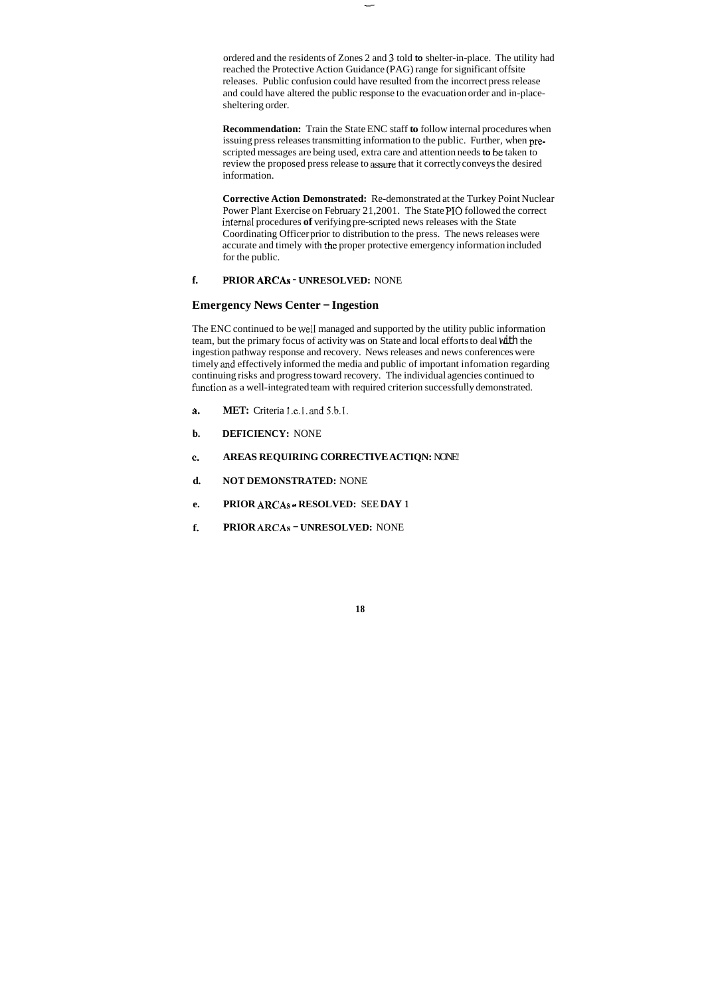ordered and the residents of Zones 2 and **3** told **to** shelter-in-place. The utility had reached the Protective Action Guidance (PAG) range for significant offsite releases. Public confusion could have resulted from the incorrect press release and could have altered the public response to the evacuation order and in-placesheltering order.

**Recommendation:** Train the State ENC staff **to** follow internal procedures when issuing press releases transmitting information to the public. Further, when prescripted messages are being used, extra care and attention needs **to** be taken to review the proposed press release to **assure** that it correctly conveys the desired information.

**Corrective Action Demonstrated:** Re-demonstrated at the Turkey Point Nuclear Power Plant Exercise on February 21,2001. The State PI0 followed the correct internal procedures of verifying pre-scripted news releases with the State Coordinating Officer prior to distribution to the press. The news releases were accurate and timely with the proper protective emergency information included for the public.

- **a. MET:** Criteria 1.e.1. and 5.b.1.
- **b. DEFICIENCY:** NONE
- **C. AREAS REQUIRING CORRECTIVE ACTIQN:** NONE!
- **d. NOT DEMONSTRATED:** NONE
- **e. PRIOR ARCAS RESOLVED:** SEE **DAY 1**
- **f. PRIOR ARCAS UNRESOLVED:** NONE

### **f. PRIOR ARCAS** - **UNRESOLVED:** NONE

### **Emergency News Center** - **Ingestion**

The ENC continued to be well managed and supported by the utility public information team, but the primary focus of activity was on State and local efforts to deal with the ingestion pathway response and recovery. News releases and news conferences were timely **and** effectively informed the media and public of important infomation regarding continuing risks and progress toward recovery. The individual agencies continued to fimction as a well-integrated team with required criterion successfully demonstrated.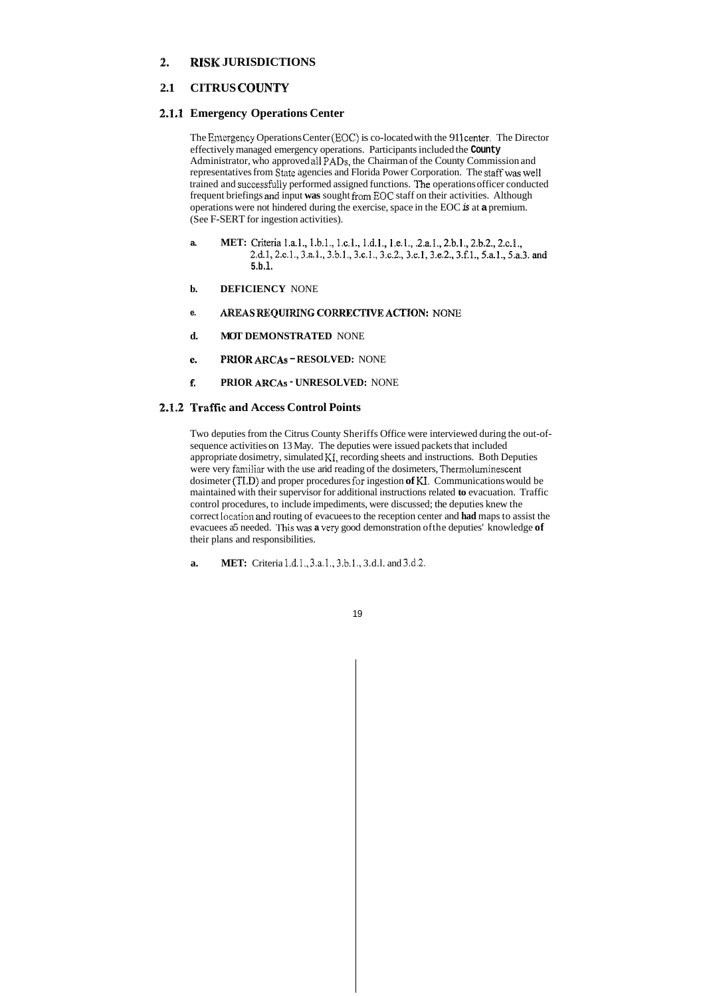### **2. RISK JURISDICTIONS**

### **2.1 CITRUS COUNTY**

### **2.1.1 Emergency Operations Center**

The Emergency Operations Center (EOC) is co-located with the 911 center. The Director effectively managed emergency operations. Participants included the **County**  Administrator, who approved **ail** PADS, the Chairman of the County Commission and representatives from State agencies and Florida Power Corporation. The staff was well trained and successfiaIly performed assigned functions. **'%e** operations officer conducted frequent briefings and input **was** sought **froom** EOC staff on their activities. Although operations were not hindered during the exercise, space in the EOC *is* at **a** premium. (See F-SERT for ingestion activities).

- **a. MET:** Criteria 1.a.1., 1.b.1., 1.c.1., 1.d.1., 1.e.1., .2.a.1., 2.b.1., 2.b.2., 2.c.1., 2.d.1, 2.e.1., 3.a.1., 3.b.1., 3.c.1., 3.c.2., 3.e.1, 3.e.2., 3.f.1., 5.a.1., 5.a.3. and **5.b.l.**
- **b. DEFICIENCY** NONE
- **e. AREAS REQUIRING CORRECTIVE ACTION:** NONE
- **d. MOT DEMONSTRATED** NONE
- **e. PRIOR ARCAS RESOLVED:** NONE
- **f. PRIOR ARCAS UNRESOLVED:** NONE

### **2.1.2 Traffic and Access Control Points**

Two deputies from the Citrus County Sheriffs Office were interviewed during the out-ofsequence activities on 13 May. The deputies were issued packets that included appropriate dosimetry, simulated KI, recording sheets and instructions. Both Deputies were very familiar with the use arid reading of the dosimeters, Thermoluminescent dosimeter (TLD) and proper procedures for ingestion **of** KI. Communications would be maintained with their supervisor for additional instructions related **to** evacuation. Traffic control procedures, to include impediments, were discussed; the deputies knew the correct location and routing of evacuees to the reception center and **had** maps to assist the evacuees a5 needed. This was **a** very good demonstration ofthe deputies' knowledge **of**  their plans and responsibilities.

**a. MET:** Criteria 1.d.1., 3.a.1., 3.b.1., 3.d.1. and 3.d.2.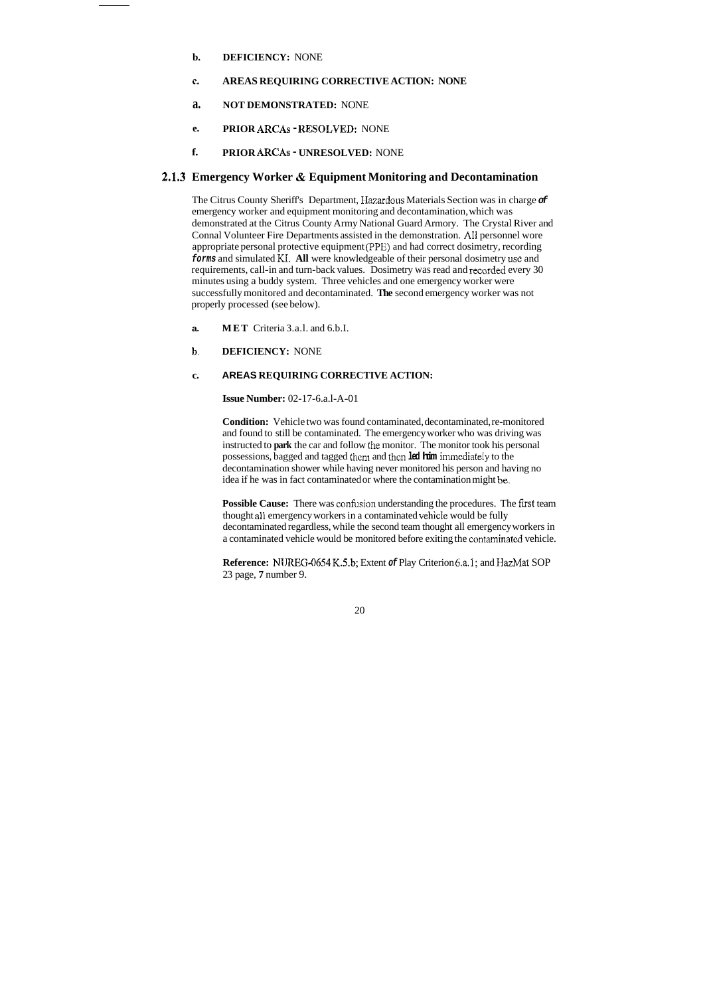- **b. DEFICIENCY:** NONE
- **e. AREAS REQUIRING CORRECTIVE ACTION: NONE**
- **a. NOT DEMONSTRATED:** NONE
- **e. PRIOR ARCAS KESOLVED:** NONE
- **f. PRIOR ARCAS UNRESOLVED:** NONE

### **2.1.3 Emergency Worker** & **Equipment Monitoring and Decontamination**

**Condition:** Vehicle two was found contaminated, decontaminated, re-monitored and found to still be contaminated. The emergency worker who was driving was instructed to **park** the car and follow the monitor. The monitor took his personal possessions, bagged and tagged them and thcn **led him** inunediateiy to the decontamination shower while having never monitored his person and having no idea if he was in fact contaminated or where the contamination might be.

Possible Cause: There was confusion understanding the procedures. The first team thought all emergency workers in a contaminated vehicle would be fully decontaminated regardless, while the second team thought all emergency workers in a contaminated vehicle would be monitored before exiting the contaminated vehicle.

The Citrus County Sheriff's Department, IIazardous Materials Section was in charge *of*  emergency worker and equipment monitoring and decontamination, which was demonstrated at the Citrus County Army National Guard Armory. The Crystal River and Connal Volunteer Fire Departments assisted in the demonstration. **AI1** personnel wore appropriate personal protective equipment (PPE) and had correct dosimetry, recording *forms* and simulated KI. **All** were knowledgeable of their personal dosimetry **use** and requirements, call-in and turn-back values. Dosimetry was read and recorded every 30 minutes using a buddy system. Three vehicles and one emergency worker were successfully monitored and decontaminated. **The** second emergency worker was not properly processed (see below).

- **a. MET** Criteria 3.a.l. and 6.b.I.
- **b. DEFICIENCY:** NONE

#### **c. AREAS REQUIRING CORRECTIVE ACTION:**

**Issue Number:** 02-17-6.a.l-A-01

**Reference:** N1 JREG-06S4 **K.5.b;** Extent *of* Play Criterion 6.a.l; and IIazMat SOP 23 page, **7** number 9.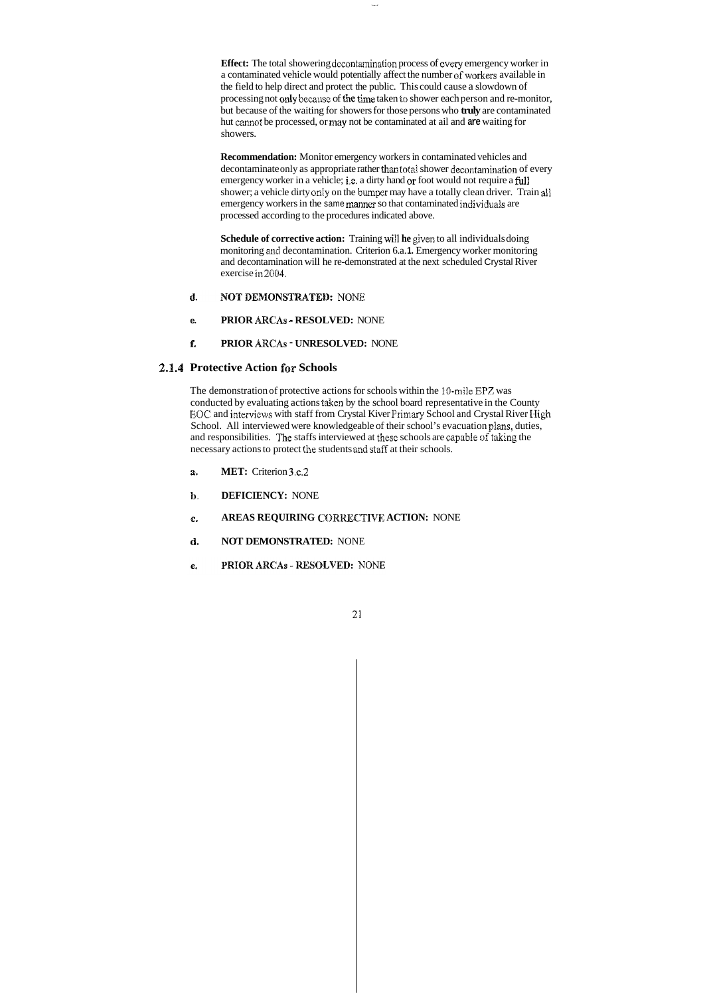**Effect:** The total showering decontamination process of every emergency worker in a contaminated vehicle would potentially affect the number of workers available in the field to help direct and protect the public. This could cause a slowdown of processing not only because of the time taken to shower each person and re-monitor, but because of the waiting for showers for those persons who **truly** are contaminated hut cannot be processed, or may not be contaminated at ail and **are** waiting for showers.

**Schedule of corrective action:** Training will be given to all individuals doing monitoring **and** decontamination. Criterion 6.a. **1.** Emergency worker monitoring and decontamination will he re-demonstrated at the next scheduled Crystal River exercise in 2004.

- NOT DEMONSTRATED: NONE d.
- **e. PRIOR** *ARCAS* **p RESOLVED:** NONE
- **f. PRIOR ARCAS UNRESOLVED:** NONE

The demonstration of protective actions for schools within the IO-mile EPZ was conducted by evaluating actions taken by the school board representative in the County EOC and interviews with staff from Crystal Kiver Priniaq School and Crystal River **High**  School. All interviewed were knowledgeable of their school's evacuation plans, duties, and responsibilities. The staffs interviewed at these schools are capable of taking the necessary actions to protect the students and staff at their schools.

- **a. MET:** Criterion 3.c.2
- **b. DEFICIENCY:** NONE
- *6.*  AREAS REQUIRING CORRECTIVE ACTION: NONE
- (8. **NOT DEMONSTRATED:** NONE
- PRIOR ARCAS RESOLVED: NONE  $e<sub>t</sub>$

**Recommendation:** Monitor emergency workers in contaminated vehicles and decontaminate only as appropriate rather than total shower decontamination of every emergency worker in a vehicle; i.e. a dirty hand or foot would not require a full shower; a vehicle dirty only on the bumper may have a totally clean driver. Train all emergency workers in the same manner so that contaminated individuals are processed according to the procedures indicated above.

### **2.1.4 Protective Action for Schools**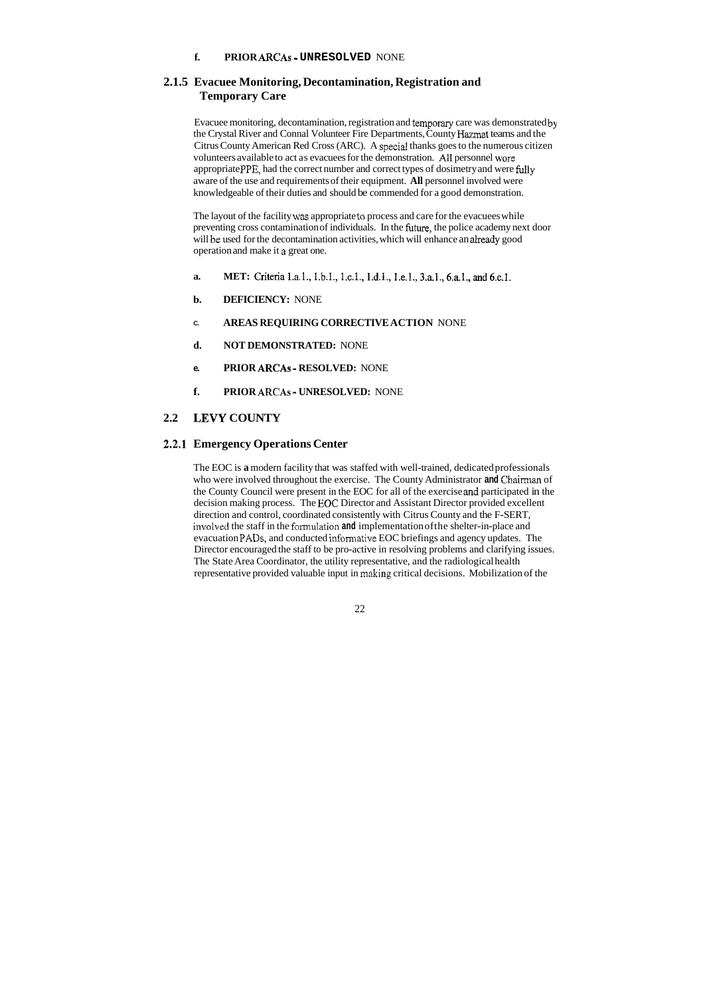### **f. PRIOR ARCAS** ~ **UNRESOLVED** NONE

### **2.1.5 Evacuee Monitoring, Decontamination, Registration and Temporary Care**

Evacuee monitoring, decontamination, registration and temporay care was demonstrated by the Crystal River and Connal Volunteer Fire Departments, County Hazmat teams and the Citrus County American Red Cross (ARC). A specid thanks goes to the numerous citizen volunteers available to act as evacuees for the demonstration. Ail personnel wore appropriate PPE, had the correct number and correct types of dosimetry and were fully aware of the use and requirements of their equipment. **All** personnel involved were knowledgeable of their duties and should be commended for a good demonstration.

- **a. MET:** Criteria 1.a.1., 1.b.1., 1.c.1., 1.d.1., 1.e.1., 3.a.1., 6.a.1., and 6.c.1.
- **b. DEFICIENCY:** NONE
- **C. AREAS REQUIRING CORRECTIVE ACTION** NONE
- **d. NOT DEMONSTRATED:** NONE
- **e. PRIOR ARCAS** ~ **RESOLVED:** NONE
- **f. PRIOR ARCAS** ~ **UNRESOLVED:** NONE

The layout of the facility was appropriate to process and care for the evacuees while preventing cross contamination of individuals. In the future, the police academy next door will be used for the decontamination activities, which will enhance an already good operation and make it **a** great one.

### **2.2 LEVY COUNTY**

### **2.2.1 Emergency Operations Center**

The EOC is **a** modern facility that was staffed with well-trained, dedicated professionals who were involved throughout the exercise. The County Administrator **and** Chairman of the County Council were present in the EOC for all of the exercise **and** participated in the decision making process. The EOC Director and Assistant Director provided excellent direction and control, coordinated consistently with Citrus County and the F-SERT, involved the staff in the formulation and implementation of the shelter-in-place and evacuation **PADS,** and conducted informative EOC briefings and agency updates. The Director encouraged the staff to be pro-active in resolving problems and clarifying issues. The State Area Coordinator, the utility representative, and the radiological health representative provided valuable input in making critical decisions. Mobilization of the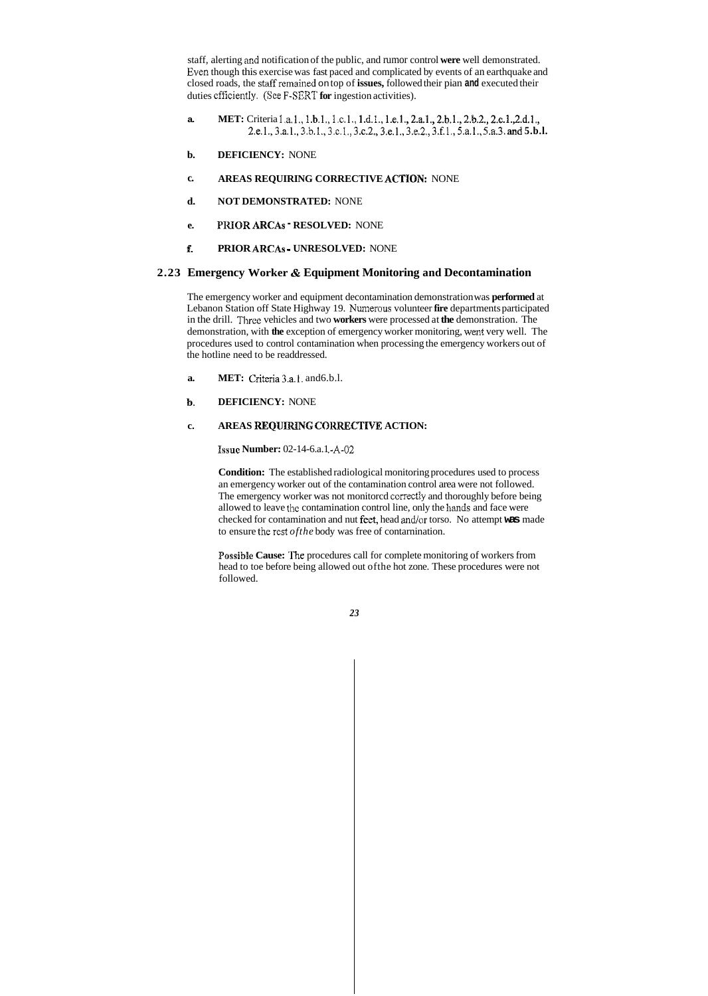staff, alerting and notification of the public, and rumor control **were** well demonstrated. Even though this exercise was fast paced and complicated by events of an earthquake and closed roads, the staEfremained on top of **issues,** followed their pian **and** executed their duties cfficiently. (Sce F-SERT **for** ingestion activities).

- **a. MET:** Criteria l.a.l., 1.b.1., 1.c.1., 1.d.1., 1.e.1., 2.a.1., 2.b.1., 2.b.2., 2.c.1.,2.d.1., 2.e.l.,3.a.l., 3.b.l., 3.c.l., 3.c.2,,3.e.l., 3.e.2., 3.f.1., **5.a.l..** 5.a.3. and **5.b.l.**
- **b. DEFICIENCY:** NONE
- **c. AREAS REQUIRING CORRECTIVE ACTION: NONE**
- **d. NOT DEMONSTRATED:** NONE
- **e. PRIOR ARCAS RESOLVED:** NONE
- **f. PRIOR ARCAS** ~ **UNRESOLVED:** NONE

- **a. MET:** Criteria 3.a, 1. and 6.b.l.
- **b. DEFICIENCY:** NONE

### c. AREAS REQUIRING CORRECTIVE ACTION:

**Issue Number: 02-14-6.a.1 · A-02** 

### **2.23 Emergency Worker** & **Equipment Monitoring and Decontamination**

The emergency worker and equipment decontamination demonstration was **performed** at Lebanon Station off State Highway 19. Numerous volunteer **fire** departments participated in the drill. Three vehicles and two **workers** were processed at **the** demonstration. The demonstration, with **the** exception of emergency worker monitoring, **went** very well. The procedures used to control contamination when processing the emergency workers out of the hotline need to be readdressed.

**Condition:** The established radiological monitoring procedures used to process an emergency worker out of the contamination control area were not followed. The emergency worker was not monitorcd correctiy and thoroughly before being allowed to leave the contamination control line, only the hands and face were checked for contamination and nut feet, head and/or torso. No attempt **was** made to ensure the rest *ofthe* body was free of contarnination.

**Possible Cause:** The procedures call for complete monitoring of workers from head to toe before being allowed out ofthe hot zone. These procedures were not followed.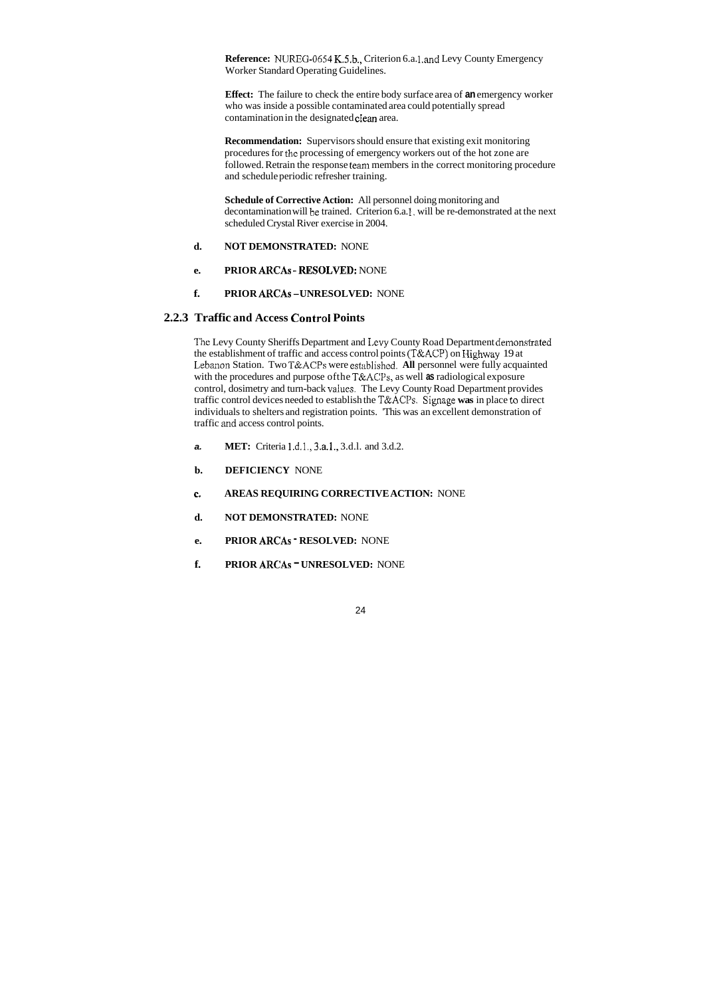**Reference:** NUREG-0654 K.S.b., Criterion 6.a. 1 **.and** Levy County Emergency Worker Standard Operating Guidelines.

**Effect:** The failure to check the entire body surface area of **an** emergency worker who was inside a possible contaminated area could potentially spread contamination in the designated clean area.

**Recommendation:** Supervisors should ensure that existing exit monitoring procedures for the processing of emergency workers out of the hot zone are followed. Retrain the response teani members in the correct monitoring procedure and schedule periodic refresher training.

The Levy County Sheriffs Department and **1,evy** County Road Department demonstrated the establishment of traffic and access control points (T&ACP) on Highway 19 at Lebanon Station. Two T&ACPs were established. All personnel were fully acquainted with the procedures and purpose ofthe T&ACPs, as well **as** radiological exposure control, dosimetry and turn-back values. The Levy County Road Department provides traffic control devices needed to establish the **T&ACI's.** Signage **was** in place **ta** direct individuals to shelters and registration points. 'This was an excellent demonstration of traffic and access control points.

**Schedule of Corrective Action:** All personnel doing monitoring and decontamination will be trained. Criterion 6.a. **1.** will be re-demonstrated at the next scheduled Crystal River exercise in 2004.

- **d. NOT DEMONSTRATED:** NONE
- **e. PRIOR ARCAS -RESOLVED:** NONE
- **f. PRIOR ARCAS -UNRESOLVED:** NONE

### **2.2.3 Traffic and Access Control Points**

- **a. MET:** Criteria 1.d.1., 3.a.1., 3.d.1. and 3.d.2.
- **b. DEFICIENCY** NONE
- **E. AREAS REQUIRING CORRECTIVE ACTION:** NONE
- **d. NOT DEMONSTRATED:** NONE
- **e. PRIOR ARCAS RESOLVED:** NONE
- **f. PRIOR ARCAS UNRESOLVED:** NONE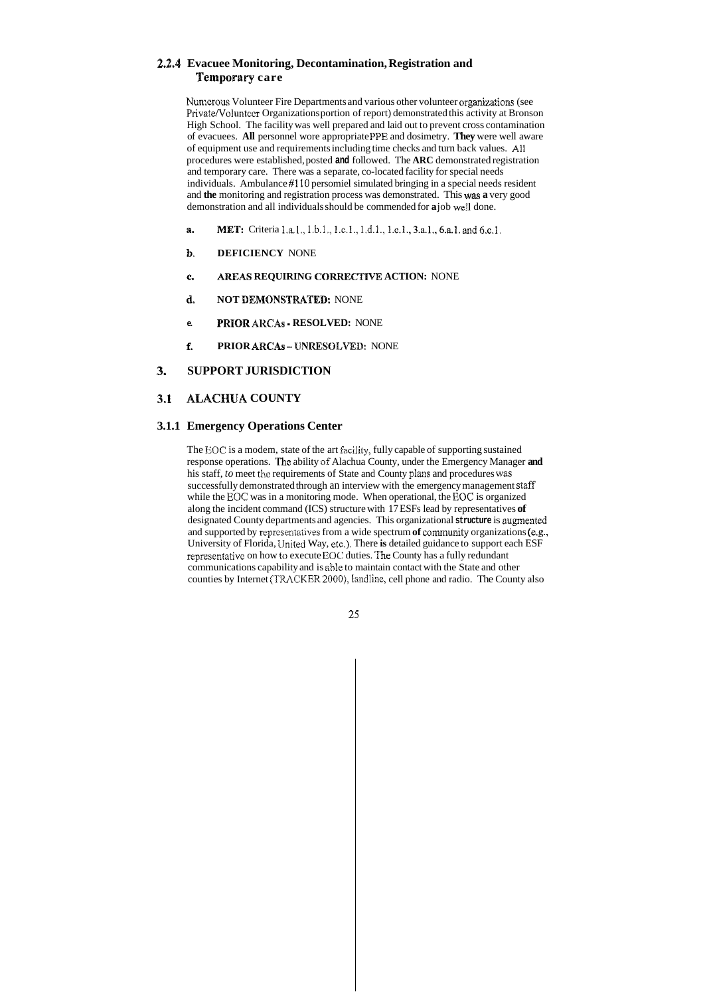### **23.4 Evacuee Monitoring, Decontamination, Registration and Temporary care**

Nunierous Volunteer Fire Departments and various other volunteer organizations (see Private/Volunteer Organizations portion of report) demonstrated this activity at Bronson High School. The facility was well prepared and laid out to prevent cross contamination of evacuees. **All** personnel wore appropriate PPE and dosimetry. **They** were well aware of equipment use and requirements including time checks and turn back values. All procedures were established, posted **and** followed. The **ARC** demonstrated registration and temporary care. There was a separate, co-located facility for special needs individuals. Ambulance #l10 persomiel simulated bringing in a special needs resident and **the** monitoring and registration process was demonstrated. This **was a** very good demonstration and all individuals should be commended for **a** job **we11** done.

- **a. MET:** Criteria 1.a.1., 1.b.1., 1.c.1., 1.d.1., 1.e.1., 3.a.1., 6.a.1. and 6.c.1.
- **b. DEFICIENCY** NONE
- **c. AREAS REQUIRING CORKECTIVE ACTION:** NONE
- d. NOT DEMONSTRATED: NONE
- **e. PRIQR ARCAS RESOLVED:** NONE
- **f.** PRIOR ARCAs UNRESOLVED: NONE

The EOC is a modem, state of the art Eacility, fully capable of supporting sustained response operations. **The** ability *of* Alachua County, under the Emergency Manager **and**  his staff, *to* meet the requirements of State and County plans and procedures was successfully demonstrated through an interview with the emergency management staff while the EOC was in a monitoring mode. When operational, the EOC is organized along the incident command (ICS) structure with 17 ESFs lead by representatives **of**  designated County departments and agencies. This organizational **structure** is augmented and supported by representatives from a wide spectrum of community organizations (e.g., University of Florida, IJnited Way, etc.). There **is** detailed guidance to support each ESF representative on how **to** execute EOC duties. The County has a fully redundant communications capability and is able to maintain contact with the State and other counties by Internet (TRACKER 2000), landline, cell phone and radio. The County also

### **3. SUPPORT JURISDICTION**

### **3-1 ALACHUA COUNTY**

### **3.1.1 Emergency Operations Center**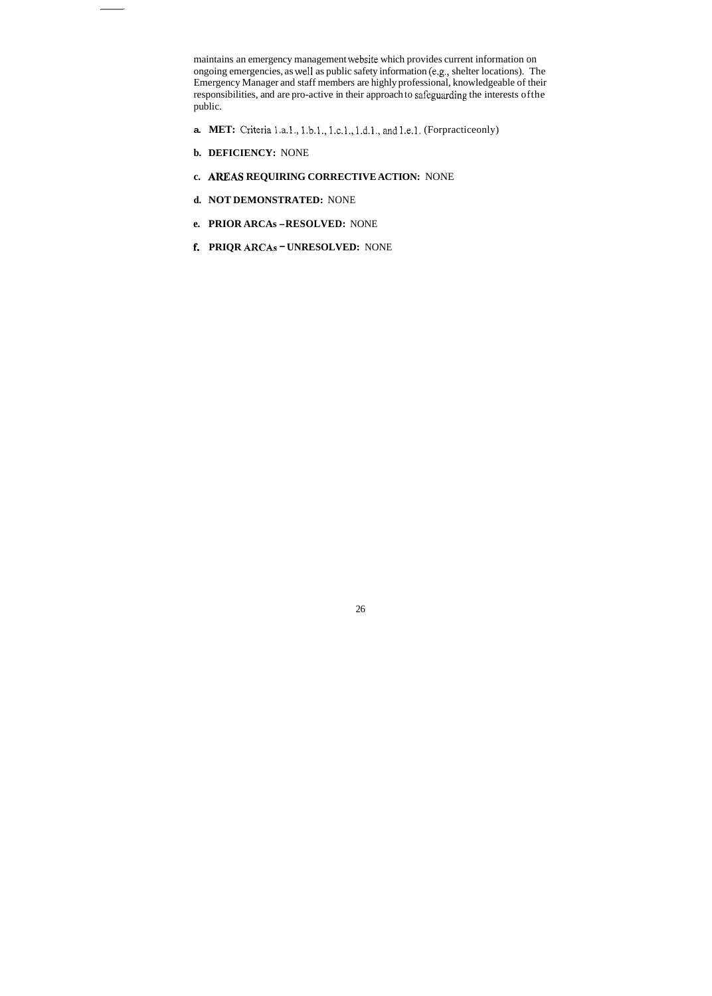maintains an emergency management website which provides current information on ongoing emergencies, as we11 as public safety information (e.g., shelter locations). The Emergency Manager and staff members are highly professional, knowledgeable of their responsibilities, and are pro-active in their approach to safeguarding the interests ofthe public.

- **a. MET:** Criteria 1.a.1., 1.b.1., 1.c.1., 1.d.1., and 1.e.1. (Forpracticeonly)
- **b. DEFICIENCY:** NONE
- **c. AREAS REQUIRING CORRECTIVE ACTION: NONE**
- **d. NOT DEMONSTRATED:** NONE
- **e. PRIOR ARCAs -RESOLVED:** NONE
- **f. PRIQR ARCAS UNRESOLVED:** NONE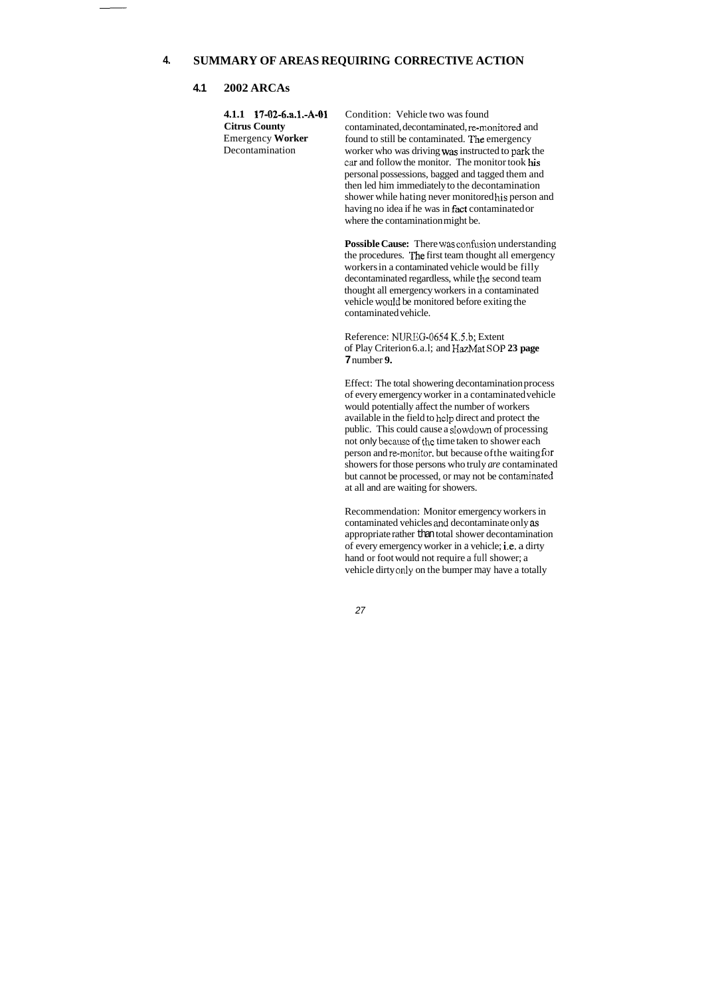### **4. SUMMARY OF AREAS REQUIRING CORRECTIVE ACTION**

### **4.1 2002 ARCAs**

**Citrus County**  Emergency **Worker**  Decontamination

**4.1.1 17-Q2-6.a.l.-A-O1** Condition: Vehicle two was found contaminated, decontaminated, re-monitored and found to still be contaminated. The emergency worker who was driving was instructed to park the car and follow the monitor. The monitor took his personal possessions, bagged and tagged them and then led him immediately to the decontamination shower while hating never monitored **his** person and having no idea if he was in fact contaminated or where the contamination might be.

> Possible Cause: There was confusion understanding the procedures. The first team thought all emergency workers in a contaminated vehicle would be filly decontaminated regardless, while the second team thought all emergency workers in a contaminated vehicle would be monitored before exiting the contaminated vehicle.

Reference: **NUREG-0654** K.5.b; Extent of Play Criterion 6.a.l; and KazMat SOP **23 page 7** number **9.** 

Effect: The total showering decontamination process of every emergency worker in a contaminated vehicle would potentially affect the number of workers available in the field to hclp direct and protect the public. This could cause a slowdown of processing not only hecause of the time taken to shower each person and re-monitor. but because ofthe waiting for showers for those persons who truly *are* contaminated but cannot be processed, or may not be contaminated at all and are waiting for showers.

Recommendation: Monitor emergency workers in contaminated vehicles and decontaminate only as appropriate rather than total shower decontamination of every emergency worker in a vehicle; i.e. a dirty hand or foot would not require a full shower; a vehicle dirty only on the bumper may have a totally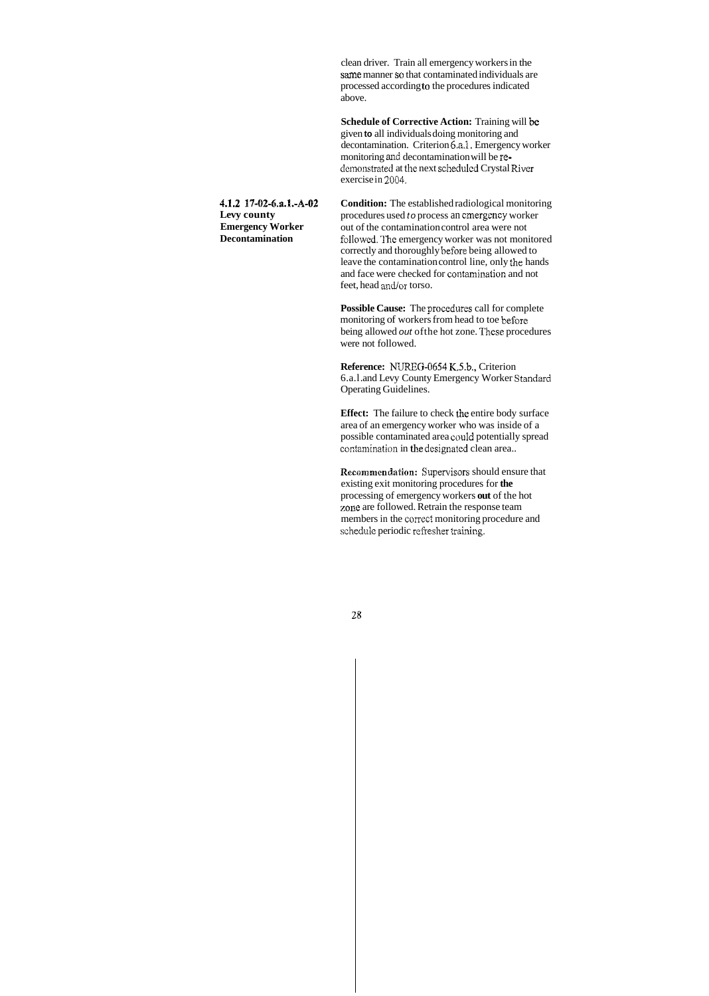clean driver. Train all emergency workers in the same manner so that contaminated individuals are processed according **to** the procedures indicated above.

**Schedule of Corrective Action:** Training will *be*  given **to** all individuals doing monitoring and decontamination. Criterion **6.a.1**. Emergency worker monitoring **and** decontamination will be redemonstrated at the next scheduled Crystal River exercise in 2004.

**4.1.2 17-02-6.a.%.-A-02 Levy county Emergency Worker Decontamination** 

> Possible Cause: The procedures call for complete monitoring of workers from head to toe beforc being allowed *out* ofthe hot zone. These procedures were not followed.

> **Condition:** The established radiological monitoring procedures used *to* process an emergency worker out of the contamination control area were not followcd. **'Ihe** emergency worker was not monitored correctly and thoroughly before being allowed to leave the contamination control line, only *the* hands and face were checked for contaminaiion and not feet, head and/or torso.

**Recommendation:** Supervisors should ensure that existing exit monitoring procedures for **the**  processing of emergency workers **out** of the hot zone are followed. Retrain the response team members in the correct monitoring procedure and schedule periodic refresher training.

**Reference: NUREG-0654** K.5.b., Criterion 6.a.l .and Levy County Emergency Worker Standard Operating Guidelines.

**Effect:** The failure to check the entire body surface area of an emergency worker who was inside of a possible contaminated area could potentially spread confaniination in **the** dcsignated clean area..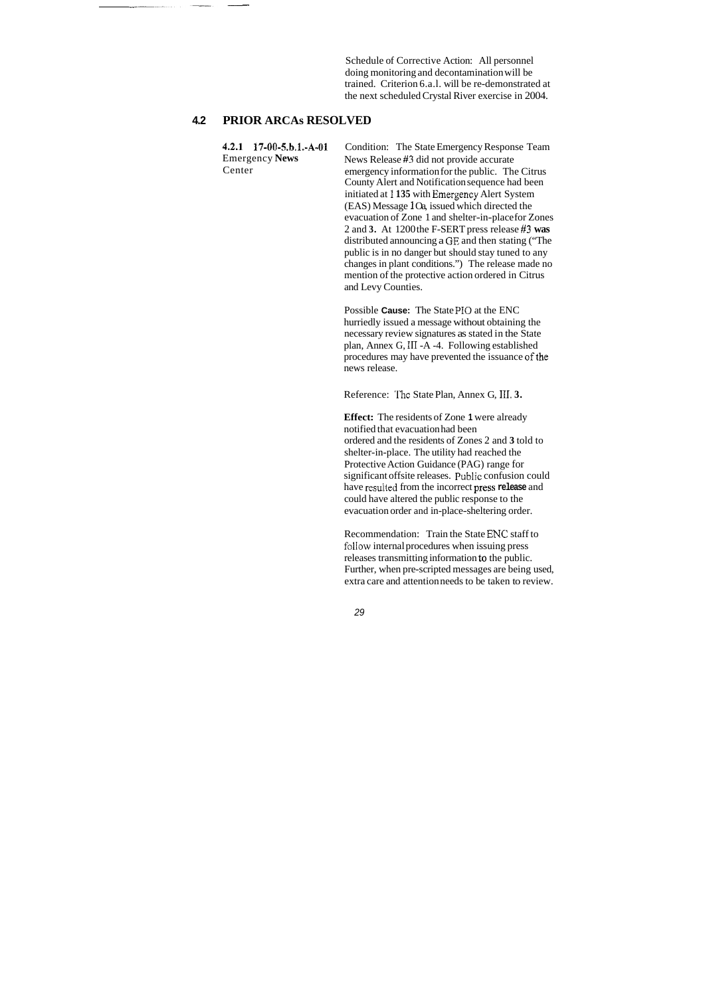Schedule of Corrective Action: All personnel doing monitoring and decontamination will be trained. Criterion 6.a.l. will be re-demonstrated at the next scheduled Crystal River exercise in 2004.

### **4.2 PRIOR ARCAs RESOLVED**

Center

**4.2.1** 17-00-5.b.l.-A-01 Condition: The State Emergency Response Team Emergency **News**  News Release **#3** did not provide accurate emergency information for the public. The Citrus County Alert and Notification sequence had been initiated at 1 **135** with Emergeney Alert System (EAS) Message *1* Oa, issued which directed the evacuation of Zone 1 and shelter-in-place for Zones

2 and **3.** At 1200 the F-SERT press release **#3 was**  distributed announcing a GE and then stating ("The public is in no danger but should stay tuned to any changes in plant conditions.") The release made no mention of the protective action ordered in Citrus and Levy Counties.

Possible **Cause:** The State PI0 at the ENC hurriedly issued a message without obtaining the necessary review signatures as stated in the State plan, Annex G, 111 -A -4. Following established procedures may have prevented the issuance of the news release.

Reference: 'l'hc State Plan, Annex G, **111. 3.** 

**Effect:** The residents of Zone **1** were already notified that evacuation had been ordered and the residents of Zones 2 and **3** told to shelter-in-place. The utility had reached the Protective Action Guidance (PAG) range for significant offsite releases. Public confusion could have resuited from the incorrect press **release** and could have altered the public response to the evacuation order and in-place-sheltering order.

Recommendation: Train the State ENC staff to foliow internal procedures when issuing press releases transmitting information **to** the public. Further, when pre-scripted messages are being used, extra care and attention needs to be taken to review.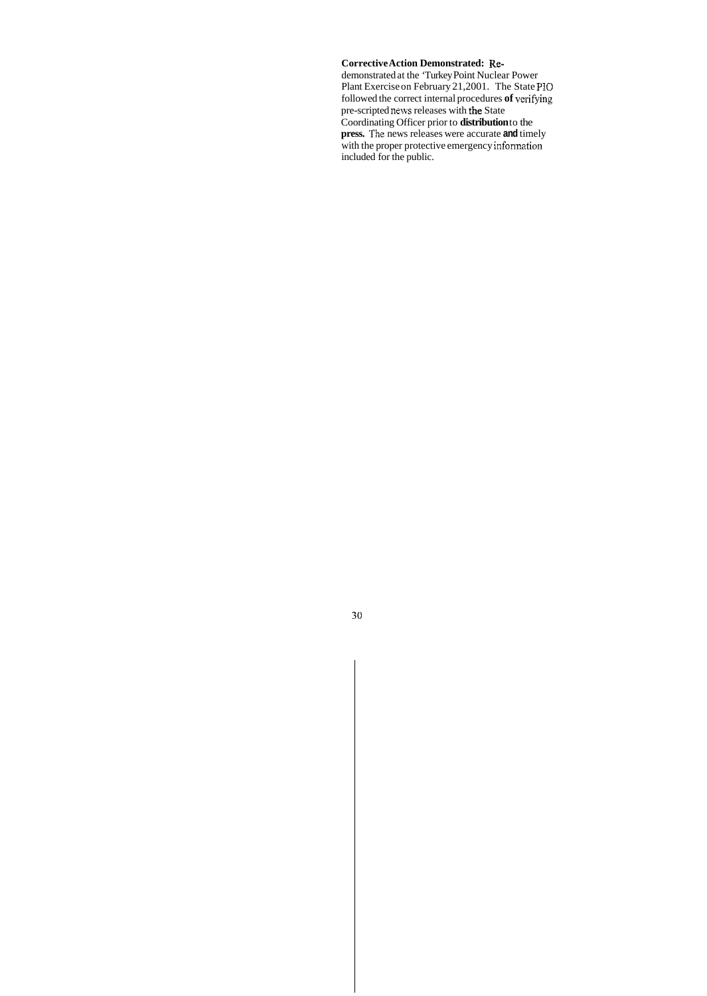### **Corrective Action Demonstrated:** Re-

demonstrated at the 'Turkey Point Nuclear Power Plant Exercise on February 21,2001. The State P10 followed the correct internal procedures **of** vcrifying pre-scripted news releases with **the** State Coordinating Officer prior to **distribution** to the **press.** The news releases were accurate **and** timely with the proper protective emergency information included for the public.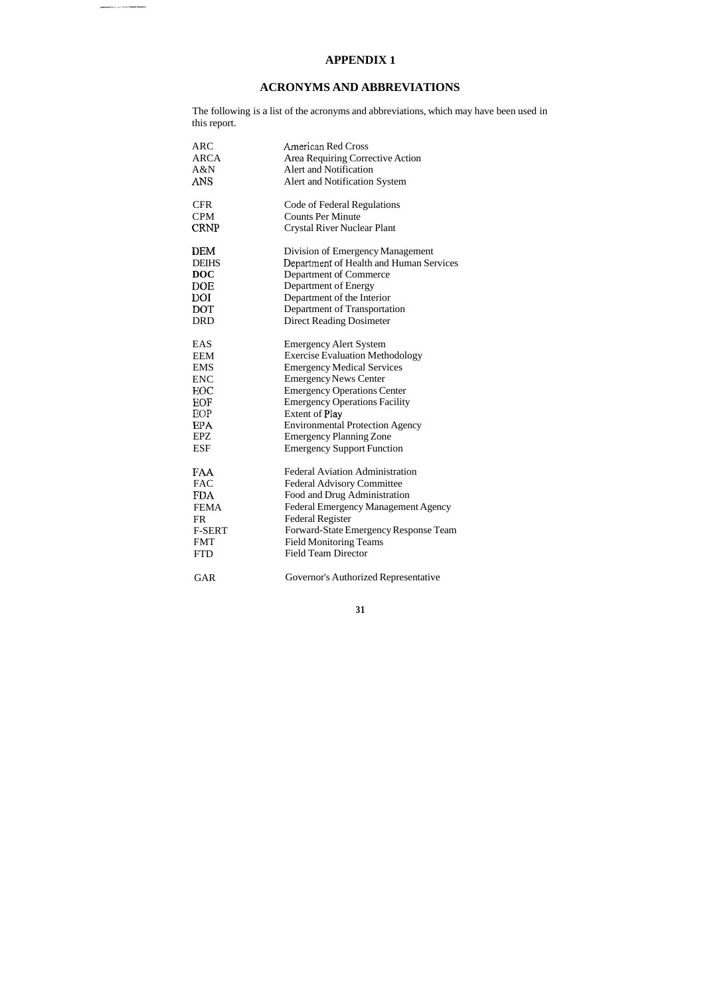## **APPENDIX 1**

### **ACRONYMS AND ABBREVIATIONS**

The following is a list of the acronyms and abbreviations, which may have been used in this report.

| <b>ARC</b>    | American Red Cross                      |
|---------------|-----------------------------------------|
| <b>ARCA</b>   | Area Requiring Corrective Action        |
| A&N           | <b>Alert and Notification</b>           |
| ANS           | Alert and Notification System           |
| <b>CFR</b>    | Code of Federal Regulations             |
| <b>CPM</b>    | <b>Counts Per Minute</b>                |
| <b>CRNP</b>   | <b>Crystal River Nuclear Plant</b>      |
| <b>DEM</b>    | Division of Emergency Management        |
| <b>DEIHS</b>  | Department of Health and Human Services |
| <b>DOC</b>    | Department of Commerce                  |
| DOE           | Department of Energy                    |
| <b>DOI</b>    | Department of the Interior              |
| <b>DOT</b>    | Department of Transportation            |
| <b>DRD</b>    | <b>Direct Reading Dosimeter</b>         |
| EAS           | <b>Emergency Alert System</b>           |
| <b>EEM</b>    | <b>Exercise Evaluation Methodology</b>  |
| <b>EMS</b>    | <b>Emergency Medical Services</b>       |
| <b>ENC</b>    | <b>Emergency News Center</b>            |
| EOC           | <b>Emergency Operations Center</b>      |
| EOF           | <b>Emergency Operations Facility</b>    |
| EOP           | <b>Extent of Play</b>                   |
| EPA           | <b>Environmental Protection Agency</b>  |
| <b>EPZ</b>    | <b>Emergency Planning Zone</b>          |
| <b>ESF</b>    | <b>Emergency Support Function</b>       |
| FAA           | <b>Federal Aviation Administration</b>  |
| <b>FAC</b>    | <b>Federal Advisory Committee</b>       |
| <b>FDA</b>    | Food and Drug Administration            |
| <b>FEMA</b>   | Federal Emergency Management Agency     |
| FR            | <b>Federal Register</b>                 |
| <b>F-SERT</b> | Forward-State Emergency Response Team   |
| <b>FMT</b>    | <b>Field Monitoring Teams</b>           |
| <b>FTD</b>    | <b>Field Team Director</b>              |
| <b>GAR</b>    | Governor's Authorized Representative    |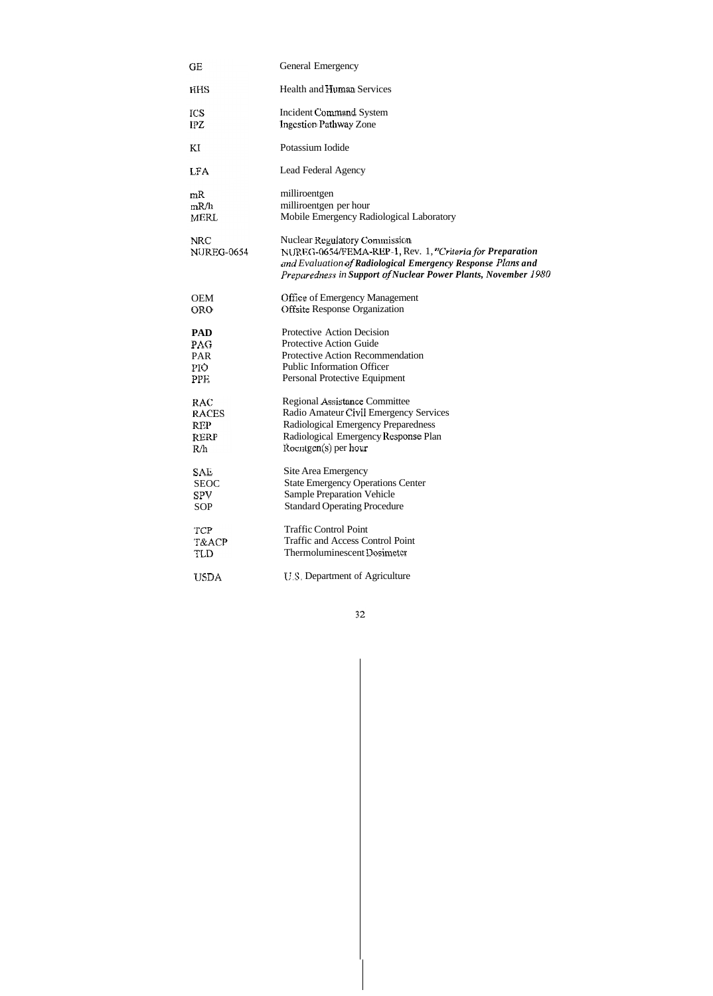| GE                              | <b>General Emergency</b>                                                                                                                                                                                                          |
|---------------------------------|-----------------------------------------------------------------------------------------------------------------------------------------------------------------------------------------------------------------------------------|
| HHS                             | <b>Health and Human Services</b>                                                                                                                                                                                                  |
| ICS                             | <b>Incident Command System</b>                                                                                                                                                                                                    |
| IPZ                             | <b>Ingestion Pathway Zone</b>                                                                                                                                                                                                     |
| ΚI                              | Potassium Iodide                                                                                                                                                                                                                  |
| <b>LFA</b>                      | Lead Federal Agency                                                                                                                                                                                                               |
| mR                              | milliroentgen                                                                                                                                                                                                                     |
| mR/h                            | milliroentgen per hour                                                                                                                                                                                                            |
| <b>MERL</b>                     | Mobile Emergency Radiological Laboratory                                                                                                                                                                                          |
| <b>NRC</b><br><b>NUREG-0654</b> | <b>Nuclear Regulatory Commission</b><br>NUREG-0654/FEMA-REP-1, Rev. 1, "Criteria for Preparation<br>and Evaluation of Radiological Emergency Response Plans and<br>Preparedness in Support of Nuclear Power Plants, November 1980 |
| <b>OEM</b>                      | <b>Office of Emergency Management</b>                                                                                                                                                                                             |
| <b>ORO</b>                      | <b>Offsite Response Organization</b>                                                                                                                                                                                              |
| <b>PAD</b>                      | <b>Protective Action Decision</b>                                                                                                                                                                                                 |
| PAG                             | <b>Protective Action Guide</b>                                                                                                                                                                                                    |
| PAR                             | Protective Action Recommendation                                                                                                                                                                                                  |
| PIO.                            | <b>Public Information Officer</b>                                                                                                                                                                                                 |
| PP <sub>E</sub>                 | Personal Protective Equipment                                                                                                                                                                                                     |
| RAC                             | Regional Assistance Committee                                                                                                                                                                                                     |
| <b>RACES</b>                    | Radio Amateur Civil Emergency Services                                                                                                                                                                                            |
| <b>REP</b>                      | Radiological Emergency Preparedness                                                                                                                                                                                               |
| RERP                            | Radiological Emergency Response Plan                                                                                                                                                                                              |
| R∕h                             | Roentgen(s) per hour                                                                                                                                                                                                              |
| <b>SAE</b>                      | Site Area Emergency                                                                                                                                                                                                               |
| <b>SEOC</b>                     | <b>State Emergency Operations Center</b>                                                                                                                                                                                          |
| ${\rm SPV}$                     | <b>Sample Preparation Vehicle</b>                                                                                                                                                                                                 |
| <b>SOP</b>                      | <b>Standard Operating Procedure</b>                                                                                                                                                                                               |
| TCP                             | <b>Traffic Control Point</b>                                                                                                                                                                                                      |
| T&ACP                           | <b>Traffic and Access Control Point</b>                                                                                                                                                                                           |
| TLD                             | Thermoluminescent Dosimeter                                                                                                                                                                                                       |
| <b>USDA</b>                     | U.S. Department of Agriculture                                                                                                                                                                                                    |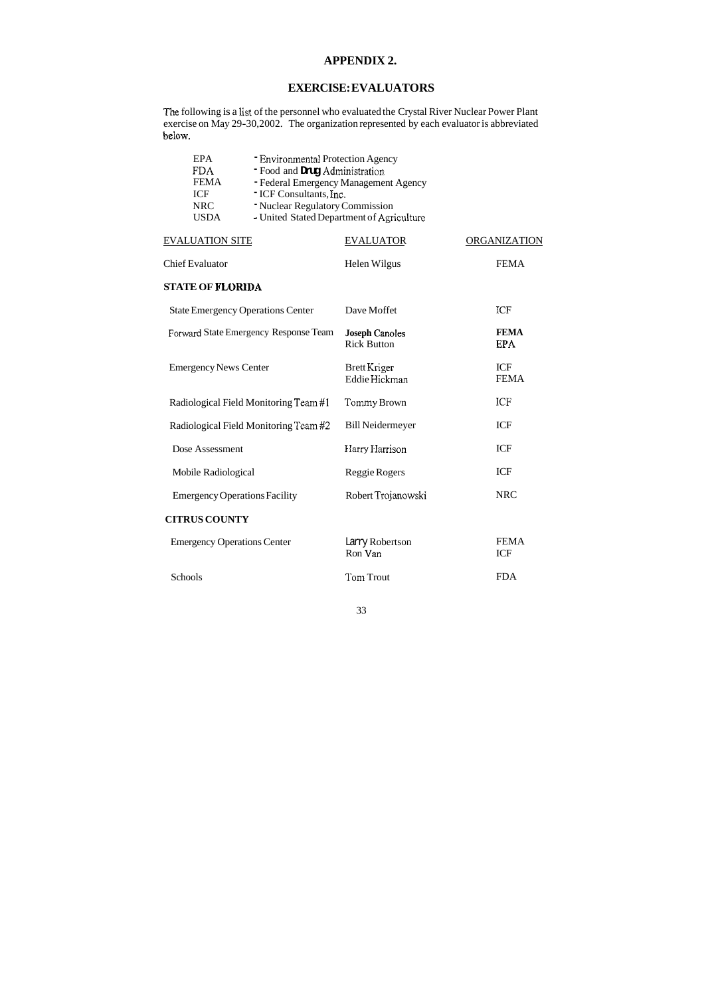## **APPENDIX 2.**

The following is a list of the personnel who evaluated the Crystal River Nuclear Power Plant exercise on May 29-30,2002. The organization represented by each evaluator is abbreviated below.

## **EXERCISE: EVALUATORS**

| <b>EPA</b><br><b>FDA</b><br><b>FEMA</b><br><b>ICF</b><br><b>NRC</b><br><b>USDA</b> | <b>- Environmental Protection Agency</b><br>- Food and Drug Administration<br>- Federal Emergency Management Agency<br>" ICF Consultants, Inc.<br>- Nuclear Regulatory Commission<br>- United Stated Department of Agriculture |                                             |  |                           |  |  |
|------------------------------------------------------------------------------------|--------------------------------------------------------------------------------------------------------------------------------------------------------------------------------------------------------------------------------|---------------------------------------------|--|---------------------------|--|--|
| <b>EVALUATION SITE</b>                                                             |                                                                                                                                                                                                                                | <b>EVALUATOR</b>                            |  | ORGANIZATION              |  |  |
| <b>Chief Evaluator</b>                                                             |                                                                                                                                                                                                                                | Helen Wilgus                                |  | <b>FEMA</b>               |  |  |
| <b>STATE OF FLORIDA</b>                                                            |                                                                                                                                                                                                                                |                                             |  |                           |  |  |
| <b>State Emergency Operations Center</b>                                           |                                                                                                                                                                                                                                | Dave Moffet                                 |  | ICF                       |  |  |
|                                                                                    | Forward State Emergency Response Team                                                                                                                                                                                          | <b>Joseph Canoles</b><br><b>Rick Button</b> |  | <b>FEMA</b><br><b>EPA</b> |  |  |
| <b>Emergency News Center</b>                                                       |                                                                                                                                                                                                                                | Brett Kriger<br>Eddie Hickman               |  | <b>ICF</b><br><b>FEMA</b> |  |  |
|                                                                                    | Radiological Field Monitoring Team #1                                                                                                                                                                                          | Tommy Brown                                 |  | ICF                       |  |  |
|                                                                                    | Radiological Field Monitoring Team #2                                                                                                                                                                                          | <b>Bill Neidermeyer</b>                     |  | <b>ICF</b>                |  |  |
| Dose Assessment                                                                    |                                                                                                                                                                                                                                | Harry Harrison                              |  | <b>ICF</b>                |  |  |
| Mobile Radiological                                                                |                                                                                                                                                                                                                                | Reggie Rogers                               |  | <b>ICF</b>                |  |  |
| <b>Emergency Operations Facility</b>                                               |                                                                                                                                                                                                                                | Robert Trojanowski                          |  | <b>NRC</b>                |  |  |
| <b>CITRUS COUNTY</b>                                                               |                                                                                                                                                                                                                                |                                             |  |                           |  |  |
| <b>Emergency Operations Center</b>                                                 |                                                                                                                                                                                                                                | Larry Robertson<br>Ron Van                  |  | <b>FEMA</b><br><b>ICF</b> |  |  |
| Schools                                                                            |                                                                                                                                                                                                                                | Tom Trout                                   |  | <b>FDA</b>                |  |  |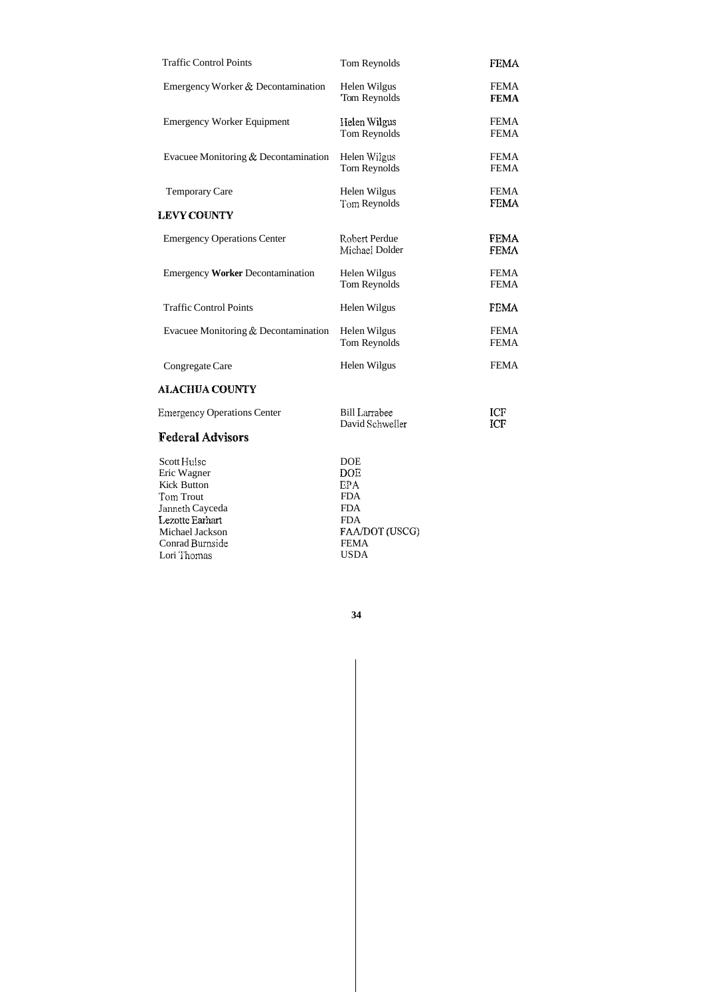| <b>Traffic Control Points</b>           | Tom Reynolds                            | <b>FEMA</b>                |
|-----------------------------------------|-----------------------------------------|----------------------------|
| Emergency Worker & Decontamination      | Helen Wilgus<br>Tom Reynolds            | <b>FEMA</b><br><b>FEMA</b> |
| <b>Emergency Worker Equipment</b>       | Helen Wilgus<br>Tom Reynolds            | <b>FEMA</b><br><b>FEMA</b> |
| Evacuee Monitoring & Decontamination    | Helen Wilgus<br><b>Torn Reynolds</b>    | <b>FEMA</b><br><b>FEMA</b> |
| <b>Temporary Care</b>                   | Helen Wilgus                            | <b>FEMA</b>                |
| <b>LEVY COUNTY</b>                      | Tom Reynolds                            | <b>FEMA</b>                |
| <b>Emergency Operations Center</b>      | Robert Perdue<br>Michael Dolder         | <b>FEMA</b><br><b>FEMA</b> |
| <b>Emergency Worker Decontamination</b> | Helen Wilgus<br>Tom Reynolds            | <b>FEMA</b><br><b>FEMA</b> |
| <b>Traffic Control Points</b>           | Helen Wilgus                            | <b>FEMA</b>                |
| Evacuee Monitoring & Decontamination    | Helen Wilgus<br>Tom Reynolds            | <b>FEMA</b><br><b>FEMA</b> |
| Congregate Care                         | Helen Wilgus                            | <b>FEMA</b>                |
| <b>ALACHUA COUNTY</b>                   |                                         |                            |
| <b>Emergency Operations Center</b>      | <b>Bill Larrabee</b><br>David Schweller | <b>ICF</b><br><b>ICF</b>   |

## **Federal Advisors**

| Scott Hulse        | <b>DOE</b>     |
|--------------------|----------------|
| Eric Wagner        | <b>DOE</b>     |
| <b>Kick Button</b> | <b>EPA</b>     |
| Tom Trout          | <b>FDA</b>     |
| Janneth Cayceda    | <b>FDA</b>     |
| Lezotte Earhart    | <b>FDA</b>     |
| Michael Jackson    | FAA/DOT (USCG) |
| Conrad Burnside    | <b>FEMA</b>    |
| Lori Thomas        | <b>USDA</b>    |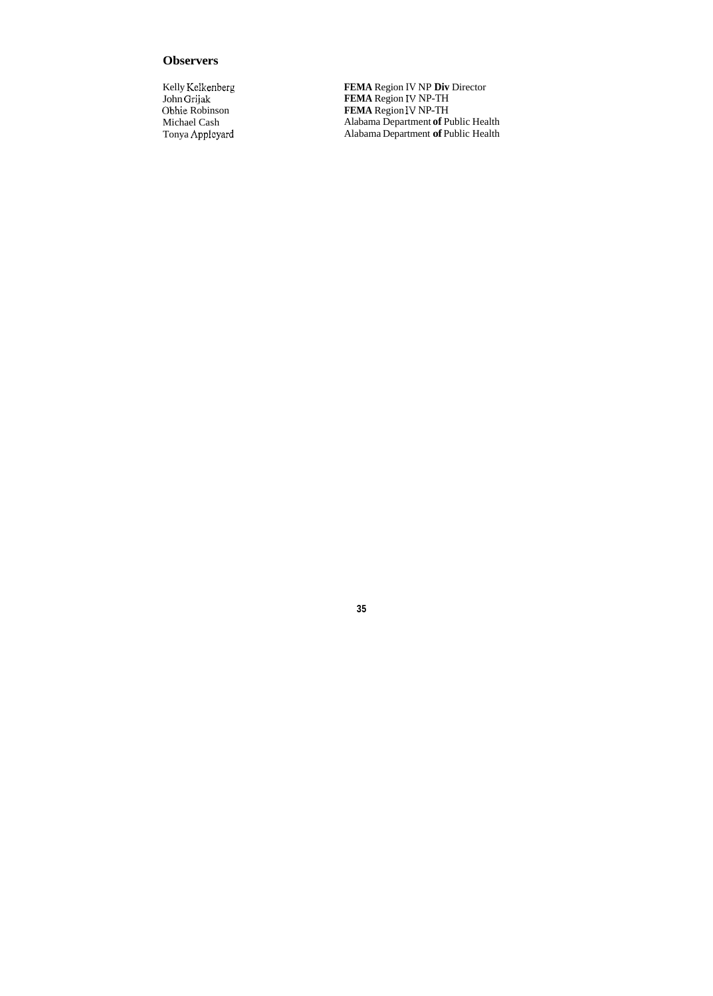## **Observers**

Kelly Kelkenberg John Grijak Obhie Robinson Michael Cash Tonya Appleyard **FEMA** Region IV NP **Div** Director **FEMA** Region IV NP-TH **FEMA** Region IV NP-TH Alabama Department **of** Public Health Alabama Department **of** Public Health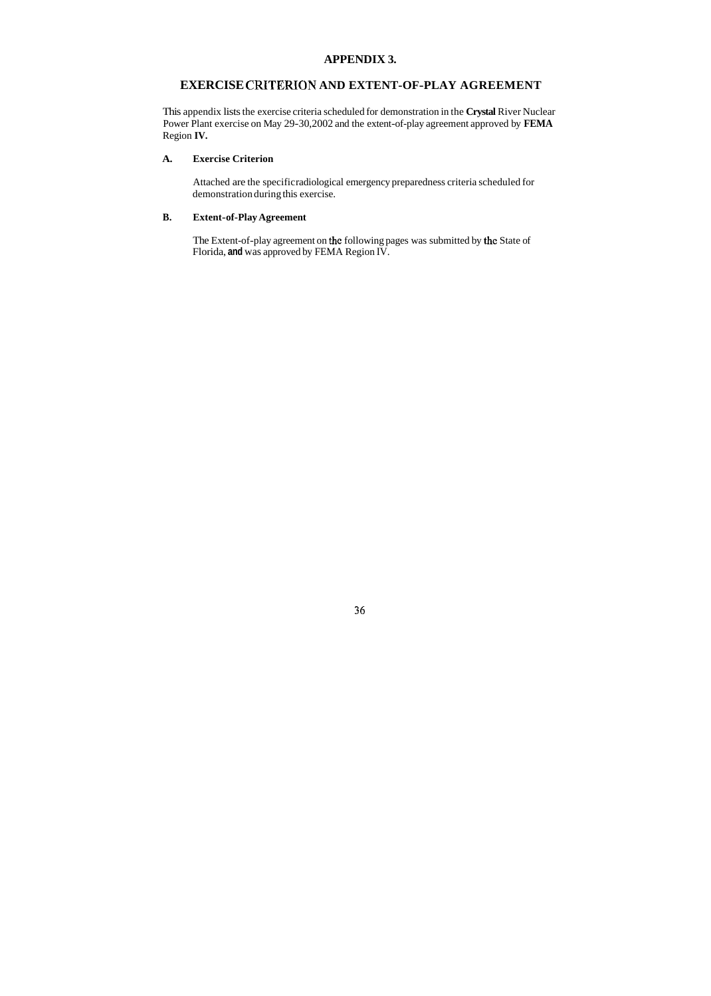### **APPENDIX 3.**

### **EXERCISE CRITERION AND EXTENT-OF-PLAY AGREEMENT**

This appendix lists the exercise criteria scheduled for demonstration in the **Crystal** River Nuclear Power Plant exercise on May 29-30,2002 and the extent-of-play agreement approved by **FEMA**  Region **IV.** 

### **A. Exercise Criterion**

The Extent-of-play agreement on the following pages was submitted by the State of Florida, **and** was approved by FEMA Region IV.

Attached are the specific radiological emergency preparedness criteria scheduled for demonstration during this exercise.

### **B. Extent-of-Play Agreement**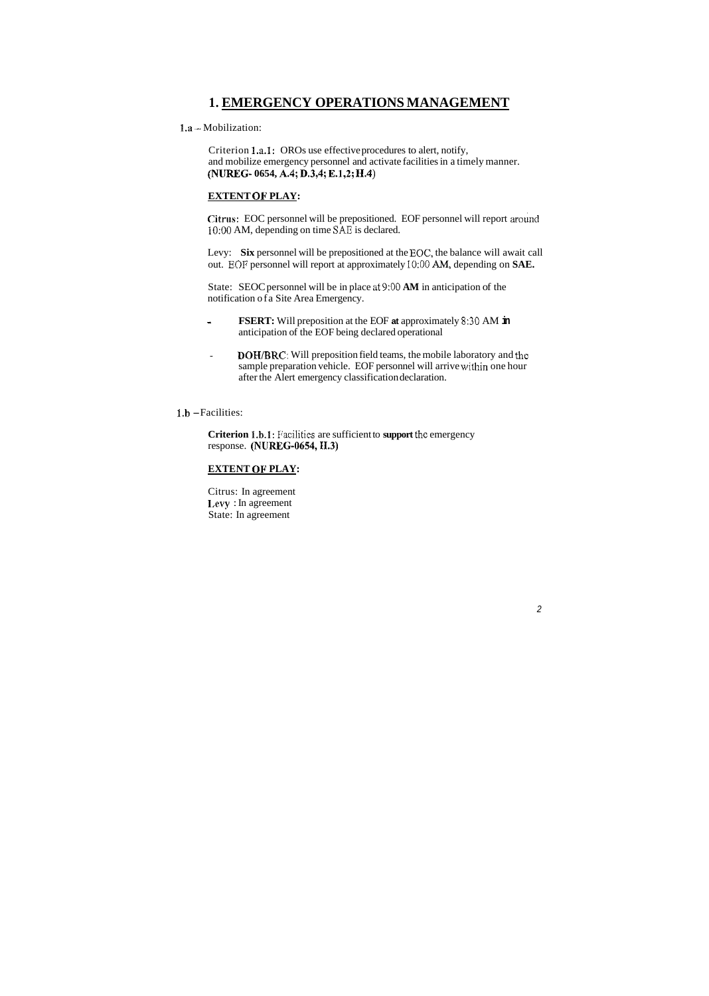### **1. EMERGENCY OPERATIONS MANAGEMENT**

1.a - Mobilization:

Criterion l.a.1: OROs use effective procedures to alert, notify, and mobilize emergency personnel and activate facilities in a timely manner. **(NUREG- 0654, A.4; D.3,4; E.1,2;** 11.4)

Levy: **Six** personnel will be prepositioned at the EOC, the balance will await call out. EOF personnel will report at approximately 10:00 AM, depending on SAE.

### **EXTENT OF PLAY:**

**Citras:** EOC personnel will be prepositioned. EOF personnel will report around l0:OO AM, depending on time SAE is declared.

**Criterion 1.b.1:** Pacilities are sufficient to **support** the emergency response. **(NUREG-0654,II.3)** 

State: SEOC personnel will be in place at *9:OO* **AM** in anticipation of the notification ofa Site Area Emergency.

- **FSERT:** Will preposition at the EOF **at** approximately 8:3O AM **in**  anticipation of the EOF being declared operational
- **DOH/BRC:** Will preposition field teams, the mobile laboratory and the . sample preparation vehicle. EOF personnel will arrive within one hour after the Alert emergency classification declaration.

### **1.b** -Facilities:

### **EXTENT OF PLAY:**

Citrus: In agreement **I**,evy : In agreement State: In agreement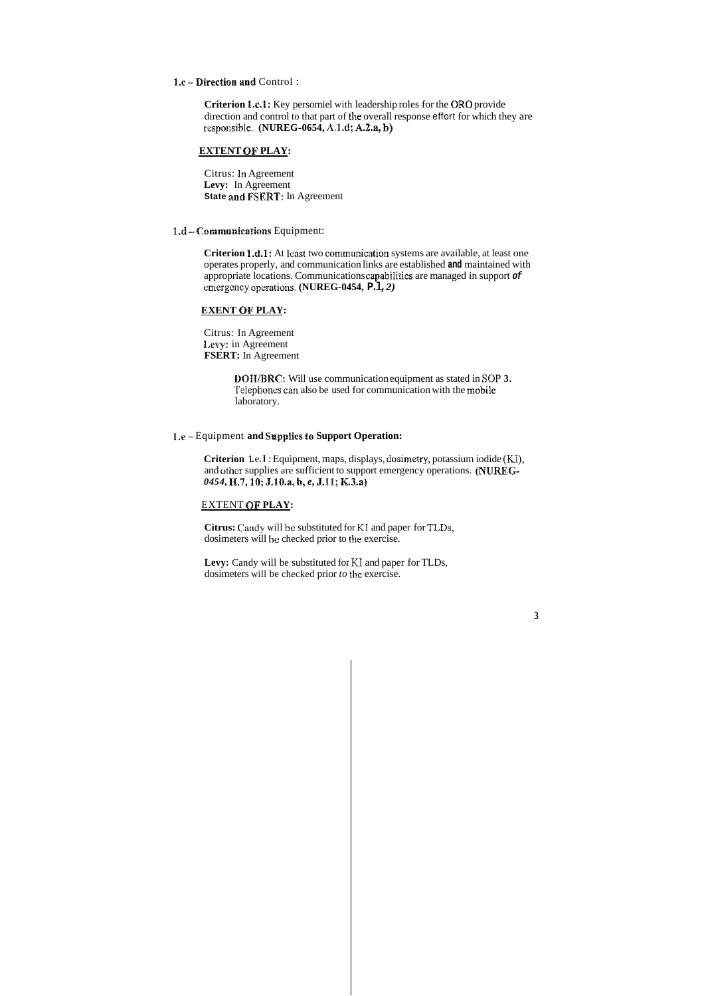1.6 **-Direction and** Control :

**Criterion 1.c.1:** Key persomiel with leadership roles for the ORO provide direction and control to that part of the overall response effort for which they are rcsponsihle. **(NUREG-0654, A.1.d; A.2.a, h)** 

### **EXTENT OF PLAY:**

Citrus: In Agreement **Levy:** In Agreement **State and FSERT:** In Agreement

1.d - Communications Equipment:

**Criterion 1.d.1:** At least two communication systems are available, at least one operates properly, and communication links are established **and** maintained with appropriate locations. Communications capabilities are managed in support *of*  emergency operations. **(NUREG-0454, P.1,2)** 

**Criterion** 1.e.1 : Equipment, maps, displays, dosimetry, potassium iodide (KI), and other supplies are sufficient to support emergency operations. **(NUREG-***0454,* H.3, **IO: ,B.lO.a, b,** *e,* **J.11; K.3.a)** 

**Citrus:** Candy will be substituted for **MI** and paper for TLDs, dosimeters will be checked prior to the exercise.

### **EXENT OF PLAY:**

Citrus: In Agreement **I,evy:** in Agreement **FSERT:** In Agreement

> **DQIIlBRC:** Will use communication equipment as stated in SOP **3.**  Telephones can also be used for communication with the mobile laboratory.

### **1.e** - Equipment **and Supplies to Support Operation:**

### EXTENT **OF PLAY:**

**Levy:** Candy will be substituted for KI and paper for TLDs, dosimeters will be checked prior *to* the exercise.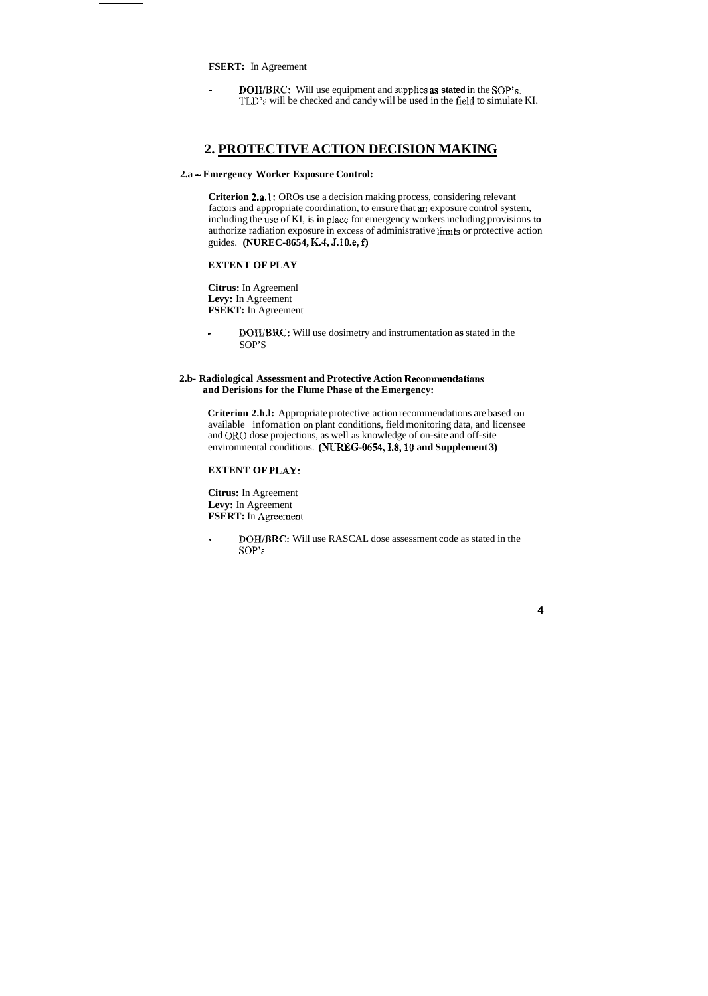**FSERT:** In Agreement

- **DOH/BKC:** Will use equipment and supplies **as stated** in the **SOP'S.**  'ILY's will be checked and candy will be used in the field to simulate KI.

### **2. PROTECTIVE ACTION DECISION MAKING**

### **2.a** - **Emergency Worker Exposure Control:**

**Criterion 2.a.l:** OROs use a decision making process, considering relevant factors and appropriate coordination, to ensure that an exposure control system, including the use of KI, is **in** place for emergency workers including provisions **to**  authorize radiation exposure in excess of administrative limits or protective action guides. **(NUREC-8654, K.4, .J.tO.e, f)** 

**Citrus:** In Agreement **Levy:** In Agreement **FSERT:** In Agreement

### **EXTENT OF PLAY**

**Citrus:** In Agreemenl **Levy:** In Agreement **FSEKT:** In Agreement

**DOIIIBRC:** Will use dosimetry and instrumentation **as** stated in the ä, SOP'S

### **2.b- Radiological Assessment and Protective Action Recommendations and Derisions for the Flume Phase of the Emergency:**

**Criterion 2.h.l:** Appropriate protective action recommendations are based on available infomation on plant conditions, field monitoring data, and licensee and OK0 dose projections, as well as knowledge of on-site and off-site environmental conditions. **(NUKEG-O654,1.8,18 and Supplement 3)** 

#### **EXTENT OF PI.AY:**

<sup>I</sup>**DOHIBRC:** Will use RASCAL dose assessment code as stated in the SOP'S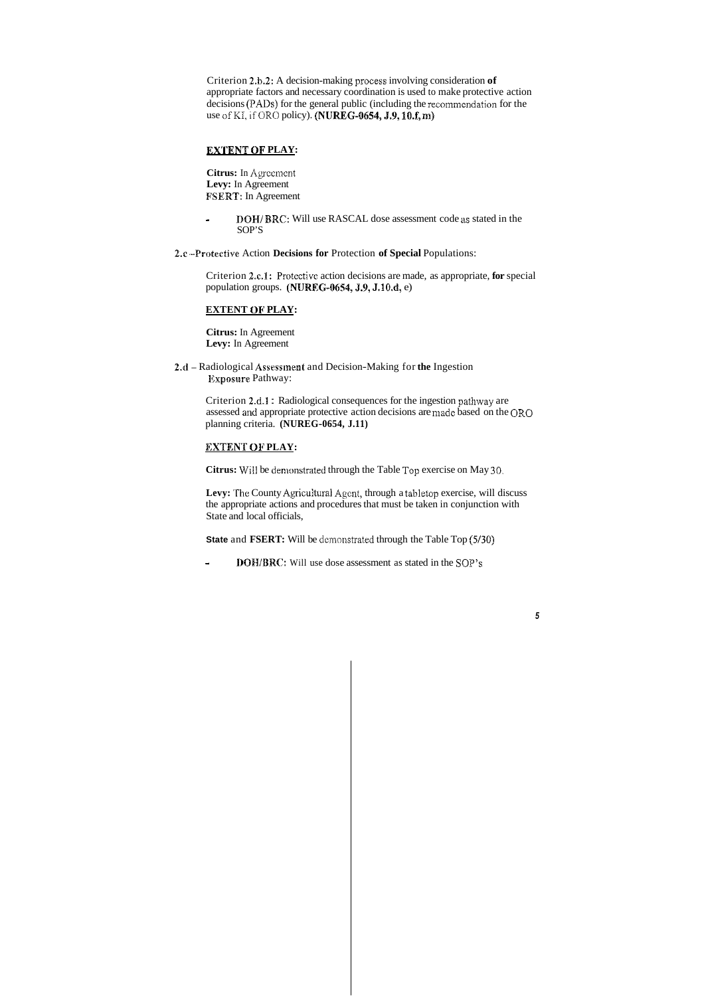Criterion **2.b.2:** A decision-making process involving consideration **of**  appropriate factors and necessary coordination is used to make protective action decisions (PADS) for the general public (including the recommendation for the use of KI, if ORO policy). **(NUREG-0654, J.9, 10.f, m)** 

### **EXTENT OF PLAY:**

- **- DOH/BRC:** Will use RASCAL dose assessment code as stated in the SOP'S
- **2.c .-Protective** Action **Decisions for** Protection **of Special** Populations:

Criterion 2.c.1: Protective action decisions are made, as appropriate, for special population groups. (NUREG-0654, J.9, J.10.d, e)

**Citrus:** In Agrcement **Levy:** In Agreement **FSERT:** In Agreement

Levy: The County Agricultural Agent, through a tabletop exercise, will discuss the appropriate actions and procedures that must be taken in conjunction with State and local officials,

**State and FSERT:** Will be demonstrated through the Table Top (5/30)

### **EXTENT OF PLAY:**

**Citrus:** In Agreement **Levy:** In Agreement

**2.d** - Radiological **Assessinent** and Decision-Making for **the** Ingestion Exposure Pathway:

> Criterion **2.d.B** : Radiological consequences for the ingestion pathway are assessed and appropriate protective action decisions are made based on the OR0 planning criteria. **(NUREG-0654, J.11)**

### **EXTENT OF PLAY:**

**Citrus:** W7ill be denionstrated through the Table Top exercise on May **30.** 

- **J)OH/BRQ':** Will use dose assessment as stated in the SOP'S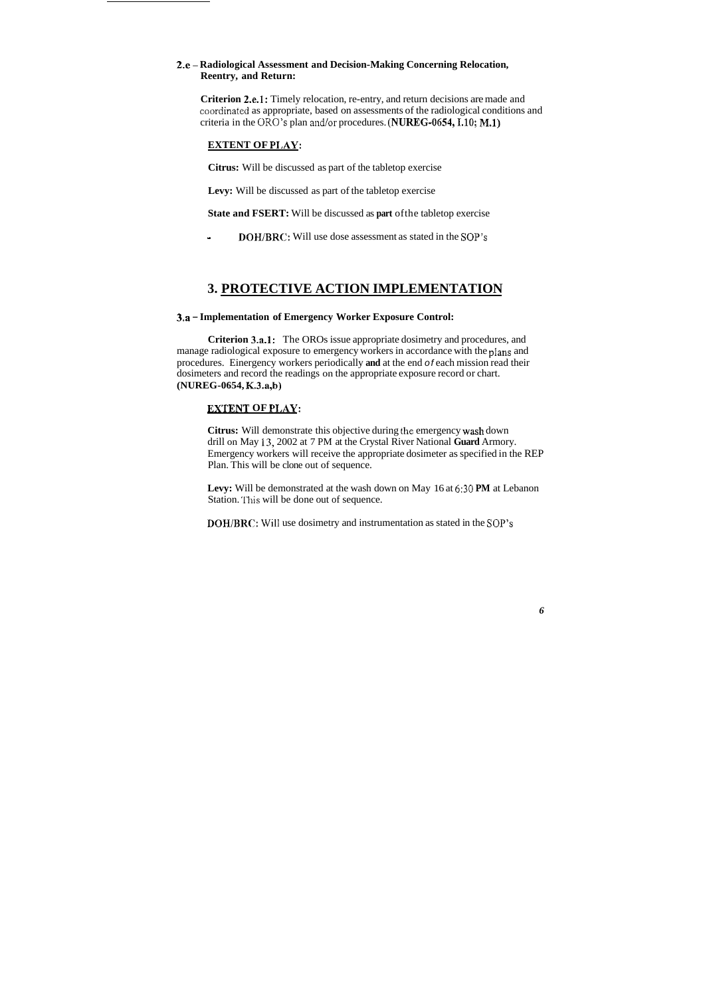### 2.e - Radiological Assessment and Decision-Making Concerning Relocation, **Reentry, and Return:**

**Criterion 2.e.1:** Timely relocation, re-entry, and return decisions are made and coordinatcd as appropriate, based on assessments of the radiological conditions and criteria in the ORO's plan and/or procedures. **(NUREG-0654,I.lO; M.1)** 

### **EXTENT OF** *HAY:*

**Citrus:** Will be discussed as part of the tabletop exercise

**Levy:** Will be discussed as part of the tabletop exercise

**State and FSERT:** Will be discussed as **part** ofthe tabletop exercise

- **DOH/BRC:** Will use dose assessment as stated in the SOP'S

### **3. PROTECTIVE ACTION IMPLEMENTATION**

### **3.a** - **Implementation of Emergency Worker Exposure Control:**

**Levy:** Will be demonstrated at the wash down on May 16 at *6:30* **PM** at Lebanon Station. This will be done out of sequence.

**Criterion 3.a.l:** The OROs issue appropriate dosimetry and procedures, and manage radiological exposure to emergency workers in accordance with the **pians** and procedures. Einergency workers periodically **and** at the end *of* each mission read their dosimeters and record the readings on the appropriate exposure record or chart. **(NUREG-0654, K.3.a,b)** 

### **EXTENT OF PLAY:**

**Citrus:** Will demonstrate this objective during the emergency wash down drill on May **13,** 2002 at 7 PM at the Crystal River National **Guard** Armory. Emergency workers will receive the appropriate dosimeter as specified in the REP Plan. This will be clone out of sequence.

**DQHIBKC:** Will use dosimetry and instrumentation as stated in the **SOP'S**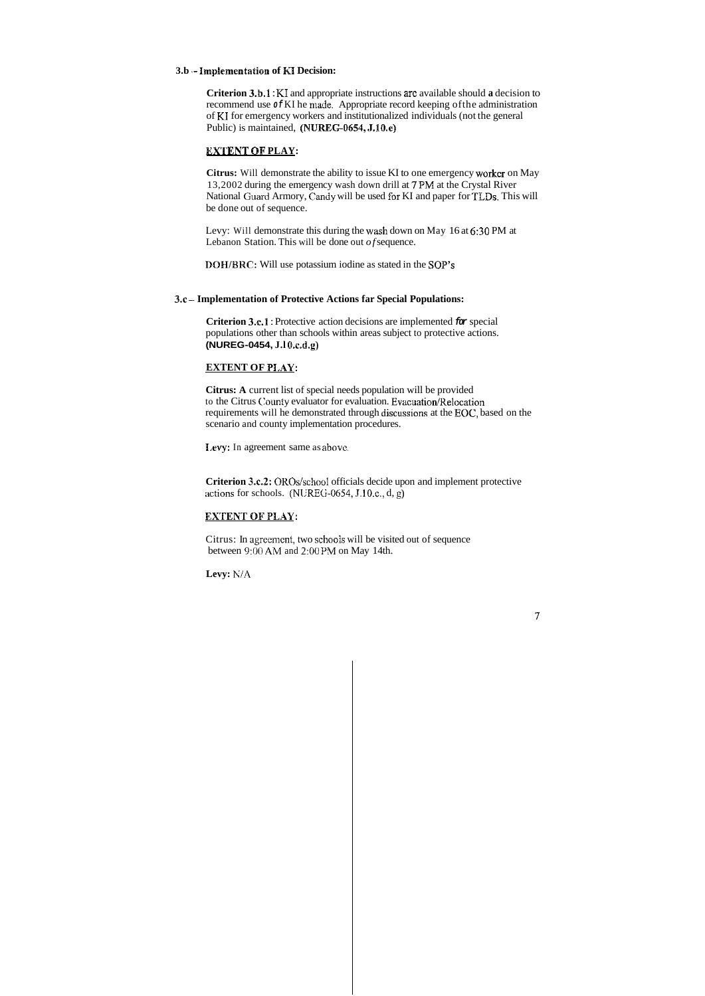#### **3.b** .- **Impkmentation of H Decision:**

**Criterion 3.b.1:** KI and appropriate instructions are available should a decision to recommend use *of* KI he made. Appropriate record keeping ofthe administration of KI for emergency workers and institutionalized individuals (not the general Public) is maintained, **(NUREG-0654, J.10.e)** 

**Citrus:** Will demonstrate the ability to issue KI to one emergency worker on May 13,2002 during the emergency wash down drill at *7* PM at the Crystal River National Guard Armory, Candy will be used for KI and paper for TLDs. This will be done out of sequence.

#### **EXIENT OF PLAY:**

Levy: Will demonstrate this during the wash down on May 16 at *6:30* PM at Lebanon Station. This will be done out *of* sequence.

**DOHIBMC:** Will use potassium iodine as stated in the *SOP'S* 

#### **3.c** - **Implementation of Protective Actions far Special Populations:**

**Criterion 3.6.1** : Protective action decisions are implemented *for* special populations other than schools within areas subject to protective actions. **(NUREG-0454, J.l CD.r.d.g)** 

### **EXTENT OF PIAY:**

**Citrus: A** current list of special needs population will be provided to the Citrus County evaluator for evaluation. Evacuation/Relocation requirements will he demonstrated through discussions at the EOC, based on the scenario and county implementation procedures.

**1,evy:** In agreement same as abovc..

**Criterion 3.c.2:** OROs/school officials decide upon and implement protective actions for schools. (NL:REC;-0654, J. 10.c,, d, g)

### **EXTENT OF PLAY:**

Citrus: In agreement, two schools will be visited out of sequence between 9:00 AM and 2:00 PM on May 14th.

**Levy: KIA**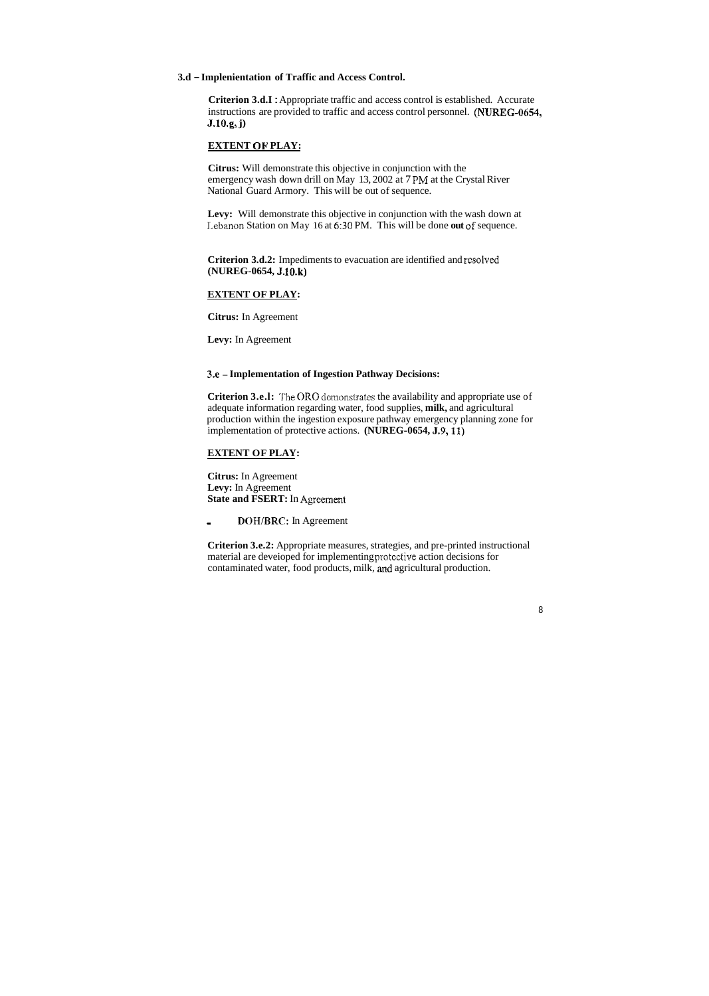#### **3.d** - **Implenientation of Traffic and Access Control.**

**Criterion 3.d.I** : Appropriate traffic and access control is established. Accurate instructions are provided to traffic and access control personnel. **(NUREG-0654, J.lO.g, j)** 

#### **EXTENT OF PLAY:**

Levy: Will demonstrate this objective in conjunction with the wash down at 1,ebanon Station on May 16 at *6:30* PM. This will be done **out cf** sequence.

**Citrus:** Will demonstrate this objective in conjunction with the emergency wash down drill on May 13, 2002 at 7 FM at the Crystal River National Guard Armory. This will be out of sequence.

**Citrus:** In Agreement **Levy:** In Agreement **State and FSERT:** In Agreement

**Criterion 3.e.2:** Appropriate measures, strategies, and pre-printed instructional material are deveioped for implementing protcctive action decisions for contaminated water, food products, milk, and agricultural production.

**Criterion 3.d.2:** Impediments to evacuation are identified and **resoived (NUREG-0654, J. 1O.k)** 

#### **EXTENT OF PLAY:**

**Citrus:** In Agreement

**Levy:** In Agreement

**3.e** - **Implementation of Ingestion Pathway Decisions:** 

**Criterion 3.e.l:** The OR0 demonstrates the availability and appropriate use of adequate information regarding water, food supplies, **milk,** and agricultural production within the ingestion exposure pathway emergency planning zone for implementation of protective actions. **(NUREG-0654, J.9,11)** 

#### **EXTENT OF PLAY:**

- **DOH/BRC:** In Agreement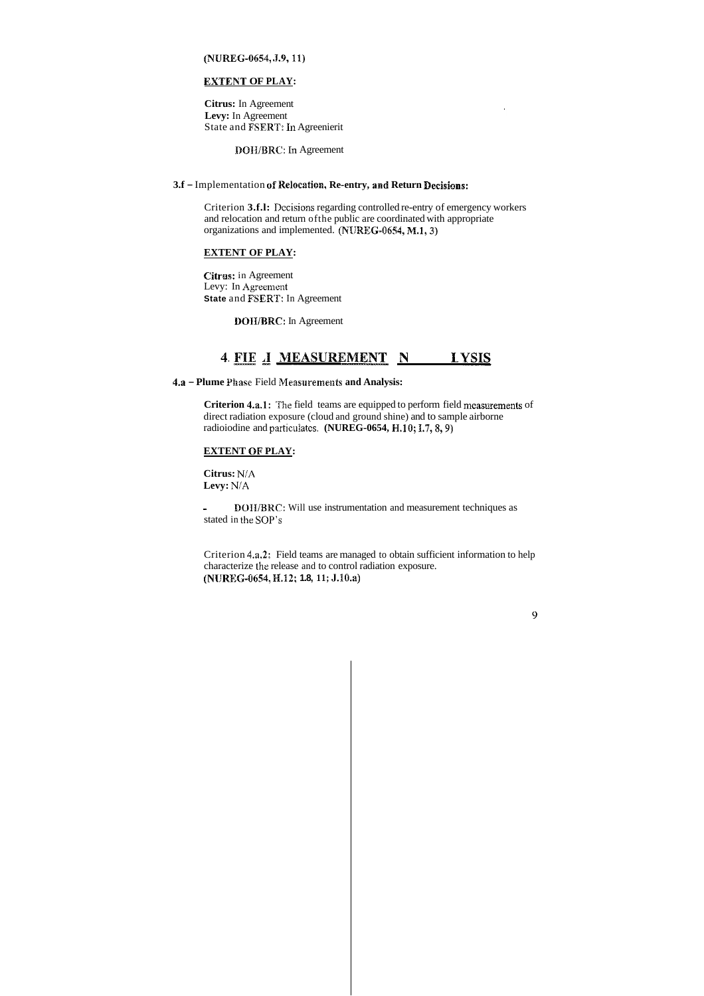### **(NUHBEG-0654, .J.9,11)**

### **EXTENT OF PLAY:**

**Citrus:** In Agreement **Levy:** In Agreement State and **FSERT**: In Agreenierit

Criterion **3.f.l:** Decisioms regarding controlled re-entry of emergency workers and relocation and return ofthe public are coordinated with appropriate organizations and implemented. (NUREG-0654, M.1, 3)

**DOWBRC:** In Agreement

### **3.f** - Implementation *of* **Relosation, Re-entry, asad Return Beeisions:**

**Criterion 4.a.l:** The field teams are equipped to perform field measurements of direct radiation exposure (cloud and ground shine) and to sample airborne radioiodine and particulates. (NUREG-0654, H.10; I.7, 8, 9)

### **EXTENT OF PLAY:**

**- DOII/BRC:** Will use instrumentation and measurement techniques as stated in the SOP'S

**Citrns:** in Agreement Levy: In Agreement **State and FSERT: In Agreement 4. FIELD** -..-.I^.. **IIEASUKEMENT** -----.----- **AND ANALYSIS** 

**1301%/BRC:** In Agreement

**4.a** - **Plume Phase** Field Measurements **and Analysis:** 

### **EXTENT OF PLAY:**

**Citrus:** *NiA*  **Levy: N!A** 

Criterion **4.a.2:** Field teams are managed to obtain sufficient information to help characterize the release and to control radiation exposure. **(NIJRKC;-0654, H.12; 1.8, 11; J.1O.a)**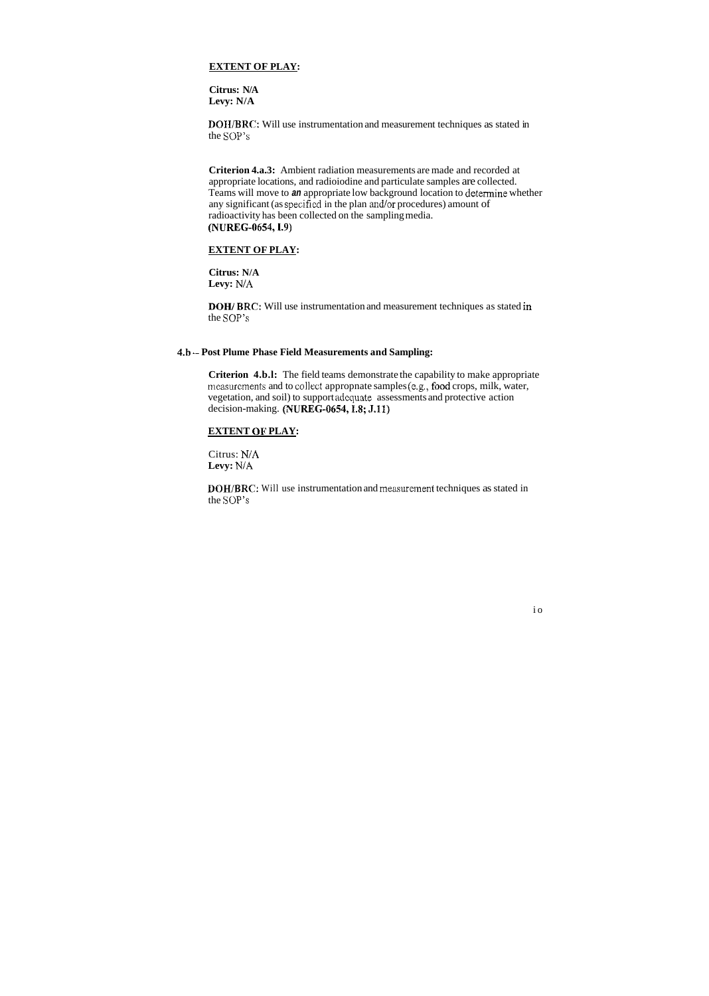### **EXTENT OF PLAY:**

**Citrus: N/A Levy: N/A** 

**DOII/BRC:** Will use instrumentation and measurement techniques as stated in the SOP'S

**Citrus: N/A**  Levy: N/A

**Criterion 4.a.3:** Ambient radiation measurements are made and recorded at appropriate locations, and radioiodine and particulate samples are collected. Teams will move to *an* appropriate low background location to deternine whether any significant (as specified in the plan and/or procedures) amount of radioactivity has been collected on the sampling media. **(NUREG-0654,1.9)** 

Citrus: N/A **Levy: N/A** 

### **EXTENT OF PLAY:**

**DOH/ BRC:** Will use instrumentation and measurement techniques as stated in the SOP'S

### **4.h** -- **Post Plume Phase Field Measurements and Sampling:**

**Criterion 4.b.l:** The field teams demonstrate the capability to make appropriate measurements and to collect appropnate samples (e.g., food crops, milk, water, vegetation, and soil) to support adequate assessments and protective action decision-making. **(NUREG-0654,1.8; J.11)** 

### **EXTENT OF PLAY:**

**DOH/BRC:** Will use instrumentation and measurement techniques as stated in the SOP'S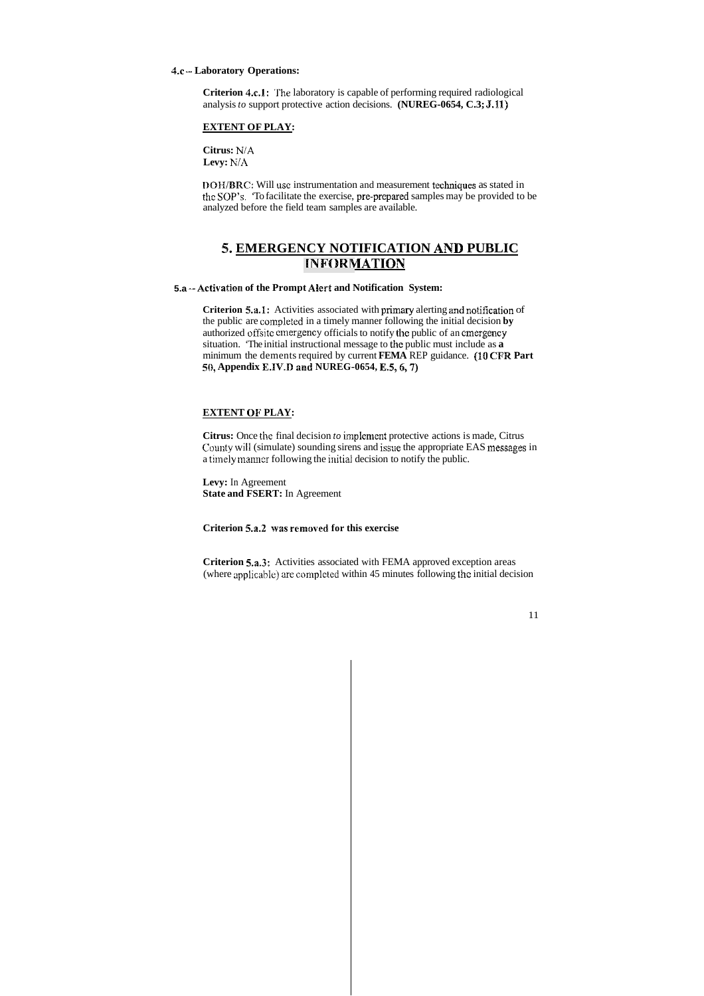#### **4.c** - **Laboratory Operations:**

**Criterion 4.c.l:** 'The laboratory is capable of performing required radiological analysis *to* support protective action decisions. **(NUREG-0654, C.3; J.11)** 

**Citrus:** NiA **Levy:**  $N/A$ 

#### **EXTENT OF PLAY:**

**DOH/BRC:** Will use instrumentation and measurement techniques as stated in the SOP'S. 'To facilitate the exercise, pre-prepared samples may be provided to be analyzed before the field team samples are available.

### *5.* **EMERGENCY NOTIFICATION AND PUBLIC INFORMATION**

**Criterion 5.a.1:** Activities associated with primary alerting and notification of the public are completed in a timely manner following the initial decision **by** authorized offsite emergency officials to notify the public of an emergency situation. 'The initial instructional message to the public must include as **a**  minimum the dements required by current **FEMA** REP guidance. **(10 CFR Part**  *50,* **Appendix E.1V.D and NUREG-0654, E.5,6,7)** 

#### **5.a Activation of the Prompt ABert and Notification System:**

**Criterion 5.a.3:** Activities associated with FEMA approved exception areas (where applicahlej are complcted within 45 minutes following the initial decision

#### **EXTENT OF PLAY:**

**Citrus:** Once the final decision *to* implement protective actions is made, Citrus County will (simulate) sounding sirens and issue the appropriate EAS messages in a timely manner following the initial decision to notify the public.

**Levy:** In Agreement **State and FSERT:** In Agreement

**Criterion 5.a.2 was removed for this exercise**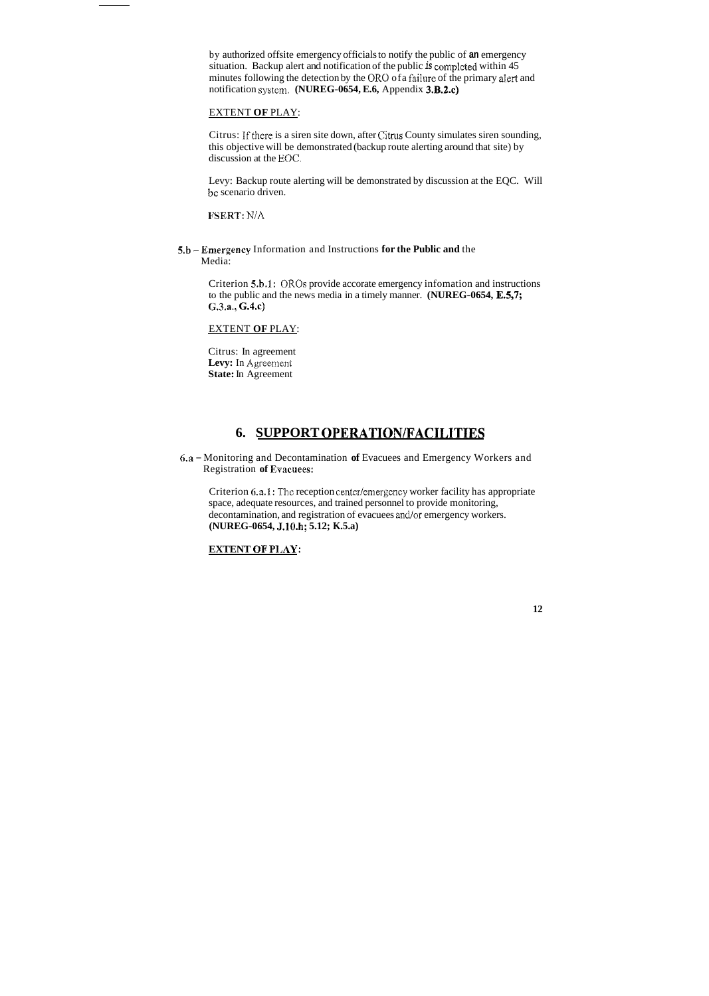by authorized offsite emergency officials to notify the public of **an** emergency situation. Backup alert and notification of the public *is* completed within 45 minutes following the detection by the OR0 ofa faiIure of the primary **alert** and notification system. **(NUREG-0654, E.6,** Appendix **3.B.2.c)** 

Citrus: If there is a siren site down, after Citrus County simulates siren sounding, this objective will be demonstrated (backup route alerting around that site) by discussion at the EOC.

### EXTENT **OF** PLAY:

6.a - Monitoring and Decontamination **of** Evacuees and Emergency Workers and **Registration of Evacuees:** 

Levy: Backup route alerting will be demonstrated by discussion at the EQC. Will be scenario driven.

IPSERT: N/A

**5.h** -Emergency Information and Instructions **for the Public and** the Media:

> Criterion 6.a.1: The reception center/emergency worker facility has appropriate space, adequate resources, and trained personnel to provide monitoring, decontamination, and registration of evacuees and/or emergency workers. **(NUREG-0654, J.1O.h; 5.12; K.5.a)**

Criterion **5.h.l:** ORQs provide accorate emergency infomation and instructions to the public and the news media in a timely manner. **(NUREG-0654, E.S,7;**  GAa., **G.4.c)** 

### EXTENT **OF** PLAY:

Citrus: In agreement Levy: In Agreement **State:** In Agreement

### **6. SUPPORT OPERATION/FACILITIES**

### **EXTENT OF PlAY:**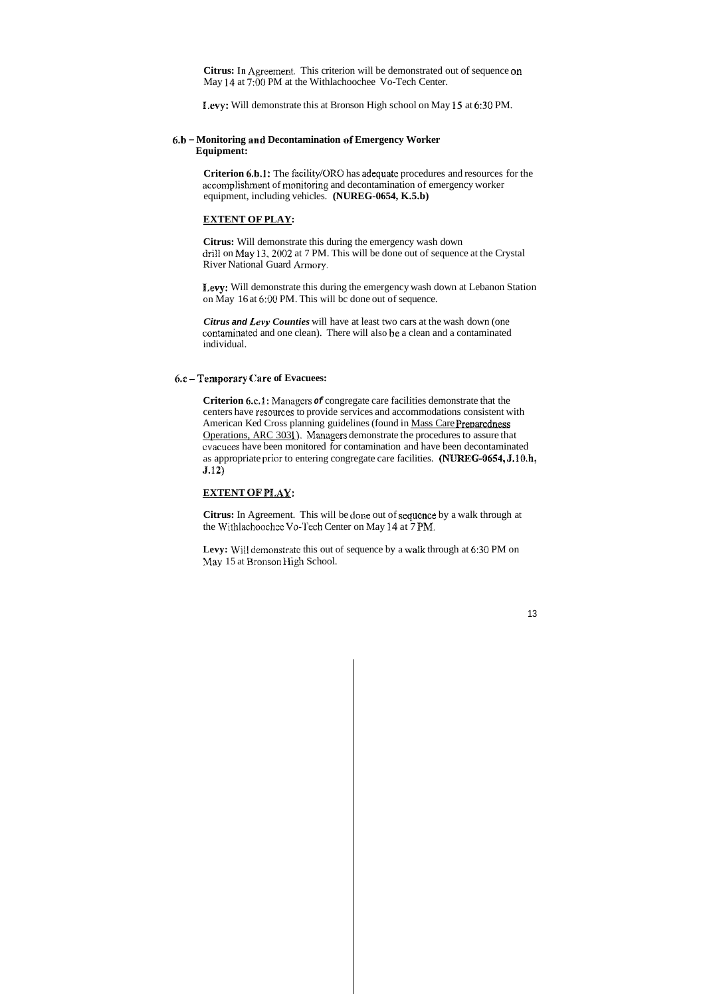**Citrus:** In Agreement. This criterion will be demonstrated out of sequence on May 14 at 7:OO PM at the Withlachoochee Vo-Tech Center.

**1,evy:** Will demonstrate this at Bronson High school on May **15** at *6:30* PM.

**Criterion 6.b.1:** The facility/ORO has adequate procedures and resources for the accomplishment of monitoring and decontamination of emergency worker equipment, including vehicles. **(NUREG-0654, K.5.b)** 

### **6.b** - **Monitoring and Decontamination of Emergency Worker Equipment:**

**Citrus:** Will demonstrate this during the emergency wash down drill on May 13.2002 at 7 PM. This will be done out of sequence at the Crystal River National Guard Armory.

#### **EXTENT OF PLAY:**

**1,evy:** Will demonstrate this during the emergency wash down at Lebanon Station on May 16 at *6:OO* PM. This will bc done out of sequence.

**Criterion 6.c.1:** Managers *of* congregate care facilities demonstrate that the centers have resources to provide services and accommodations consistent with American Ked Cross planning guidelines (found in Mass Care Preparedness Operations, ARC 3031). Managers demonstrate the procedures to assure that cvacuees have been monitored for contamination and have been decontaminated as appropriate prior to entering congregate care facilities. **(NUREG-0654, J.10.h, 5.12)** 

#### **EXTENT OF PLAY:**

**Citrus:** In Agreement. This will be done out of sequcnce by a walk through at the Withlachoochee Vo-Tech Center on May 14 at 7 PM.

Levy: Will demonstrate this out of sequence by a walk through at 6:30 PM on May 15 at Bronson High School.

*Citrus and Levy Counties* will have at least two cars at the wash down (one contaminated and one clean). There will also be a clean and a contaminated individual.

### 6.c **-Temporary Care of Evacuees:**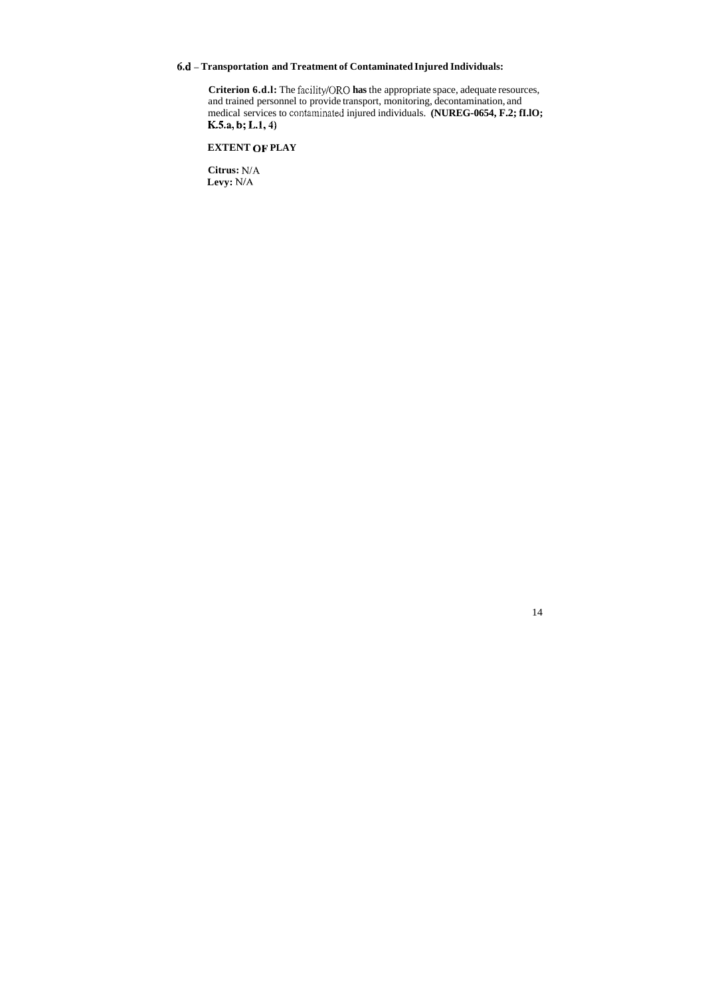### **6.d** - **Transportation and Treatment of Contaminated Injured Individuals:**

**Criterion 6.d.l:** The facility/ORO **has** the appropriate space, adequate resources, and trained personnel to provide transport, monitoring, decontamination, and medical services to contaminated injured individuals. **(NUREG-0654, F.2; fI.IO; K.S.a, b; L.1,4)** 

**EXTENT OF PLAY** 

**Citrus:** NiA **Levy:** NiA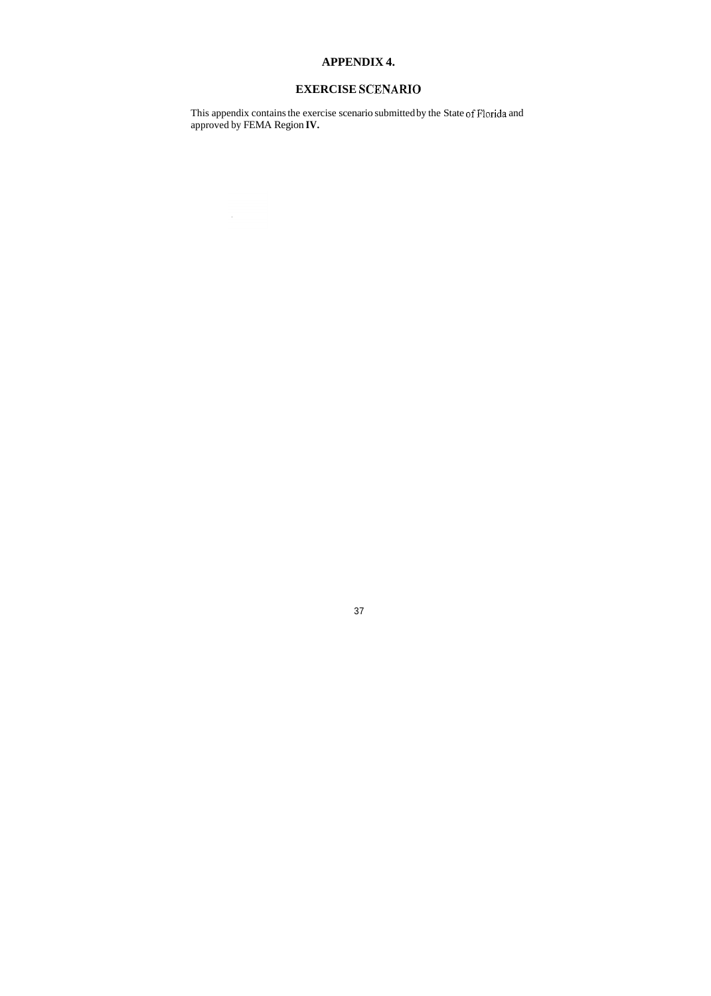## **APPENDIX 4.**

## **EXERCISE SCENARIO**

This appendix contains the exercise scenario submitted by the State of Florida and approved by FEMA Region **IV.** 

 $\sim 10^6$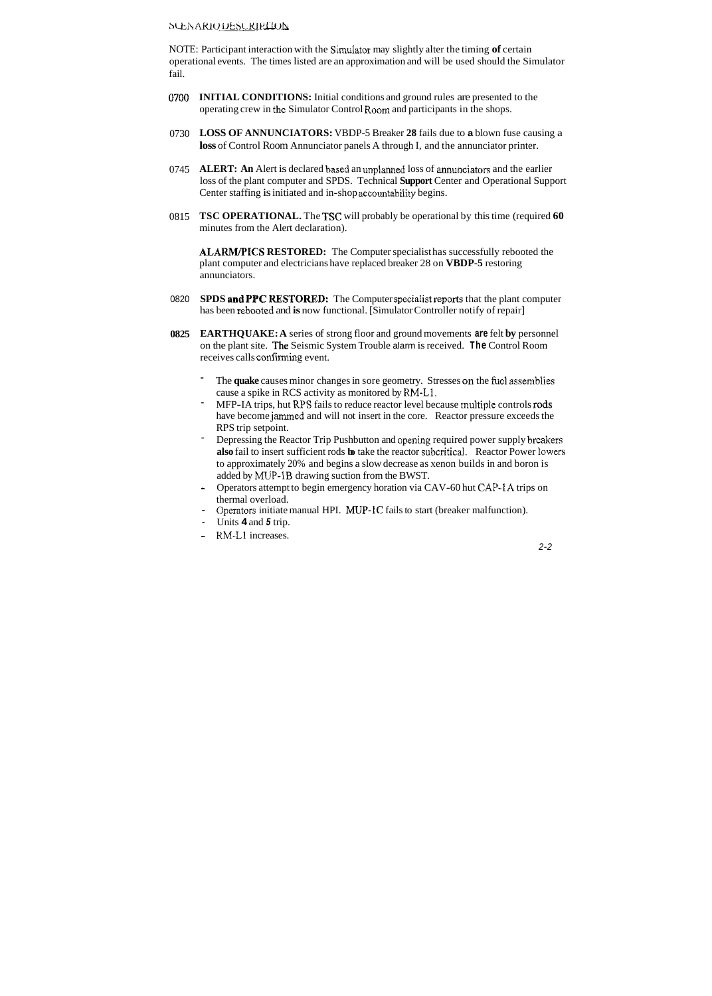### $b$ CENARIO DESCRIPTION

NOTE: Participant interaction with the Simulator may slightly alter the timing of certain operational events. The times listed are an approximation and will be used should the Simulator fail.

- 0700 **INITIAL CONDITIONS:** Initial conditions and ground rules are presented to the operating crew in the Simulator Control Room and participants in the shops.
- 0730 **LOSS OF ANNUNCIATORS:** VBDP-5 Breaker **28** fails due to **a** blown fuse causing a **loss** of Control Room Annunciator panels A through I, and the annunciator printer.
- 0745 **ALERT: An** Alert is declared based an unplanned loss of annunciators and the earlier loss of the plant computer and SPDS. Technical **Support** Center and Operational Support Center staffing is initiated and in-shop accountability begins.
- 0815 **TSC OPERATIONAL.** The **TSC** will probably be operational by this time (required **60**  minutes from the Alert declaration).

**ALARM/PICS RESTORED:** The Computer specialist has successfully rebooted the plant computer and electricians have replaced breaker 28 on **VBDP-5** restoring annunciators.

- 0820 **SPDS and PPC KESTORED:** The Computer specidist **reports** that the plant computer has been rebooted and **is** now functional. [Simulator Controller notify of repair]
- **0825 EARTHQUAKE: A** series of strong floor and ground movements **are** felt **by** personnel on the plant site. **The** Seismic System Trouble alarm is received. **The** Control Room receives calls confirming event.
	- The **quake** causes minor changes in sore geometry. Stresses on the **fucl** assemblies cause a spike in RCS activity as monitored by RM-Li.
	- MFP-IA trips, hut RPS fails to reduce reactor level because multiple controls rods have become **jamrned** and will not insert in the core. Reactor pressure exceeds the RPS trip setpoint. -
	- Depressing the Reactor Trip Pushbutton and opening required power supply breakers **also** fail to insert sufficient rods **bo** take the reactor subcriticd. Reactor Power Iowers to approximately 20% and begins a slow decrease as xenon builds in and boron is added by MUP-1B drawing suction from the BWST. -
	- Operators attempt to begin emergency horation via CAV-60 hut CAP-IA trips on  $\omega$ thermal overload.
	- Operators initiate manual HPI. MUP-1C fails to start (breaker malfunction).
	- Units **4** and *5* trip.
	- KM-L1 increases.

*2-2*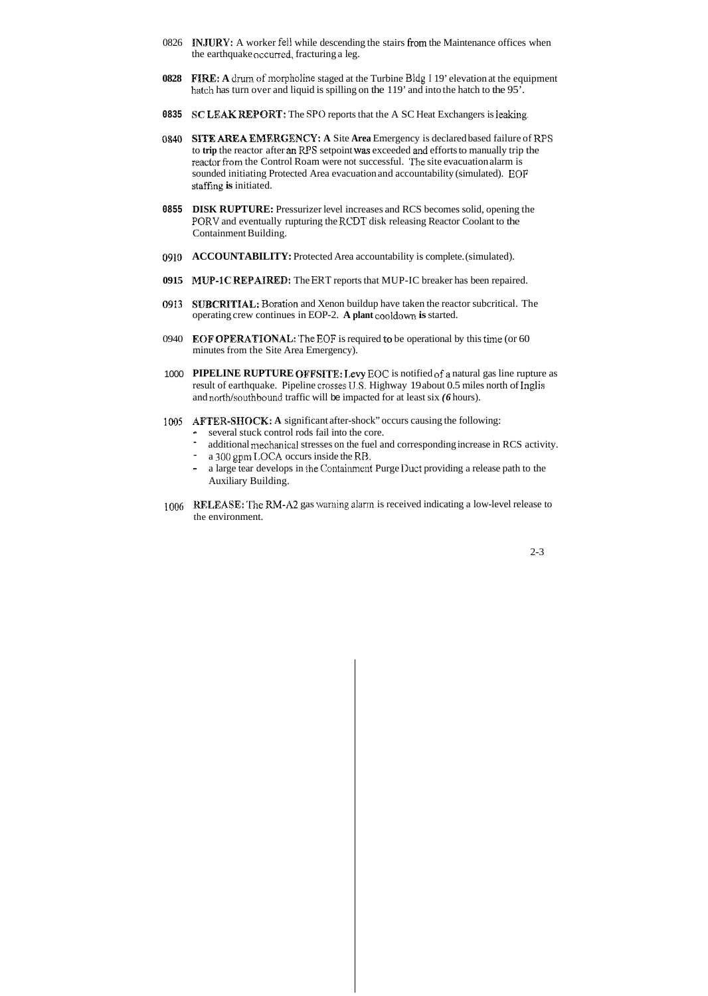- 0826 **INJURY:** A worker fell while descending the stairs from the Maintenance offices when the earthquake occurred, fracturing a leg.
- **0828** FIRE: A drum of morpholine staged at the Turbine Bldg I 19' elevation at the equipment hatch has turn over and liquid is spilling on the 119' and into the hatch to the 95'.
- **0835 SC LEAK REPORT:** The SPO reports that the A SC Heat Exchangers is leaking.
- **0\$40 SITE AREA EMIERGENCY: A** Site **Area** Emergency is declared based failure of RPS to trip the reactor after an RPS setpoint was exceeded and efforts to manually trip the reactor from the Control Roam were not successful. The site evacuation alarm is sounded initiating Protected Area evacuation and accountability (simulated). **EOF**  staffing **is** initiated.
- **DISK RUPTURE:** Pressurizer level increases and RCS becomes solid, opening the **0855**  PQRY and eventually rupturing the RCDT disk releasing Reactor Coolant to the Containment Building.
- 0910 ACCOUNTABILITY: Protected Area accountability is complete. (simulated).
- **0915 MUP-1C REPAIRED:** The ERT reports that MUP-IC breaker has been repaired.
- **0913 SUBCRITIAL:** Boration and Xenon buildup have taken the reactor subcritical. The operating crew continues in EOP-2. **A plant** cooldown **is** started.
- 0940 **EOF OPERATIONAL** 'The EOF is required *to* be operational by this the (or 60 minutes from the Site Area Emergency).
- 1000 PIPELINE RUPTURE OFFSITE: Levy EOC is notified of a natural gas line rupture as result of earthquake. Pipeline crosses **1J.S.** Highway 19 about 0.5 miles north of **Inglis**  and north/southbound traffic will be impacted for at least six *(6 hours)*.
- 1005 **AFTER-SHOCK:** A significant after-shock" occurs causing the following:
	- ~ several stuck control rods fail into the core.
	- additional mechanical stresses on the fuel and corresponding increase in RCS activity.
	- a 300 gpm LOCA occurs inside the RB.
	- a large tear develops in the Containment Purge Duct providing a release path to the Auxiliary Building.
- 1006 **RELEASE:** 'The **M-112** gas waniing alarni is received indicating a low-level release to the environment.

2-3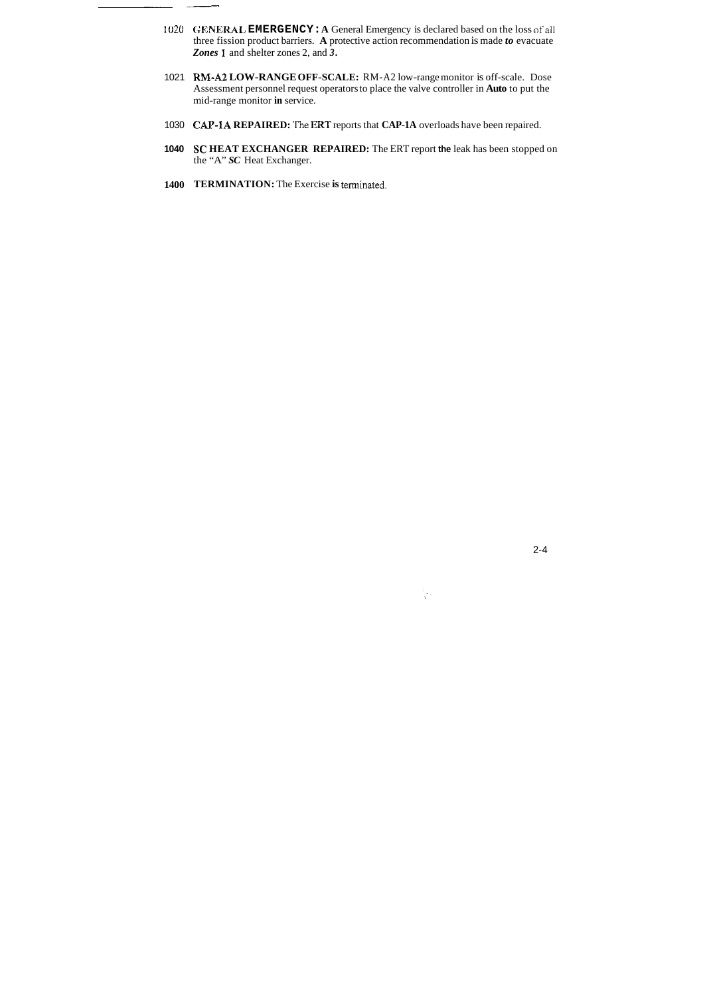- 1020 **GENERAL EMERGENCY: A** General Emergency is declared based on the loss ofall three fission product barriers. **A** protective action recommendation is made *to* evacuate *Zones* **1** and shelter zones 2, and *3.*
- 1021 **RM-A2 LOW-RANGE OFF-SCALE:** RM-A2 low-range monitor is off-scale. Dose Assessment personnel request operators to place the valve controller in **Auto** to put the mid-range monitor **in** service.
- 1030 **CAP-1A REPAIRED:** 'The ERT reports that **CAP-1A** overloads have been repaired.
- **1040 SC HEAT EXCHANGER REPAIRED:** The ERT report **the** leak has been stopped on the "A" *SC* Heat Exchanger.
- **1400 TERMINATION:** The Exercise **is** terminated.

ومسعد

 $\frac{1}{3} \frac{1}{2}$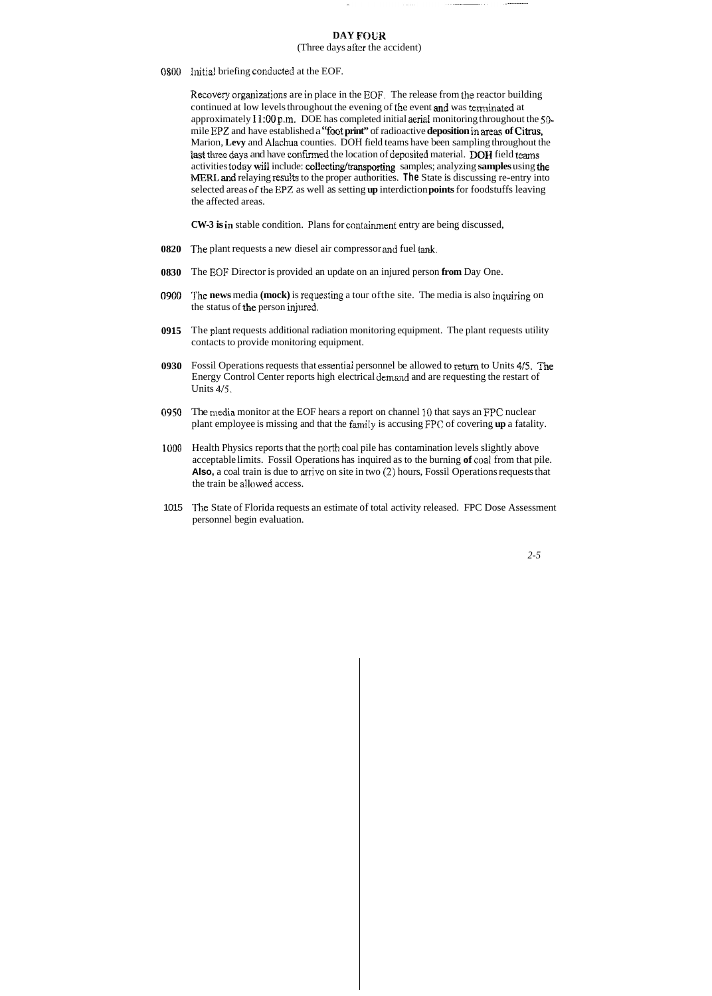### **DAY FOUR**

(Three days after the accident)

0800 Initial briefing conducted at the EOF.

Recovery organiaations are in place in the **EOF.** The release from the reactor building continued at low levels throughout the evening of the event and was terminated at approximately **1l:OO** p.m. DOE has completed initial aerial monitoring throughout the *50*  mile **EPZ** and have established a "foot print" of radioactive **deposition** in areas of Citrus, Marion, **Levy** and **Alxhua** counties. DOH field teams have been sampling throughout the last three days and have confirmed the location of deposited material. DOH field teams activities today will include: collecting/transporting samples; analyzing **samples** using the MERL **and** relaying resalts to the proper authorities. **The** State is discussing re-entry into selected areas ofthe EPZ as well as setting **up** interdiction **points** for foodstuffs leaving the affected areas.

**CW-3 is** in stable condition. Plans for containment entry are being discussed,

- **0820** The plant requests a new diesel air compressor and fuel tank.
- **0830**  The EOF Director is provided an update on an injured person **from** Day One.
- **0900**  The **news** media **(mock)** is requesting a tour ofthe site. The media is also inquiring on the status of *the* person injured.
- **0915**  The **plant** requests additional radiation monitoring equipment. The plant requests utility contacts to provide monitoring equipment.
- 0930 Fossil Operations requests that essential personnel be allowed to return to Units 4/5. The Energy Control Center reports high electrical demand and are requesting the restart of Units 4/5.
- *0950*  The media monitor at the EOF hears a report on channel 10 that says an **FPC** nuclear plant employee is missing and that the family is accusing FPC of covering **up** a fatality.
- 1u00 Health Physics reports that the north coal pile has contamination levels slightly above acceptable limits. Fossil Operations has inquired as to the burning **of** coal from that pile. **Also,** a coal train is due to arrive on site in two *(2)* hours, Fossil Operations requests that the train be allowed access.
- 1015 The State of Florida requests an estimate of total activity released. FPC Dose Assessment personnel begin evaluation.

*2-5*